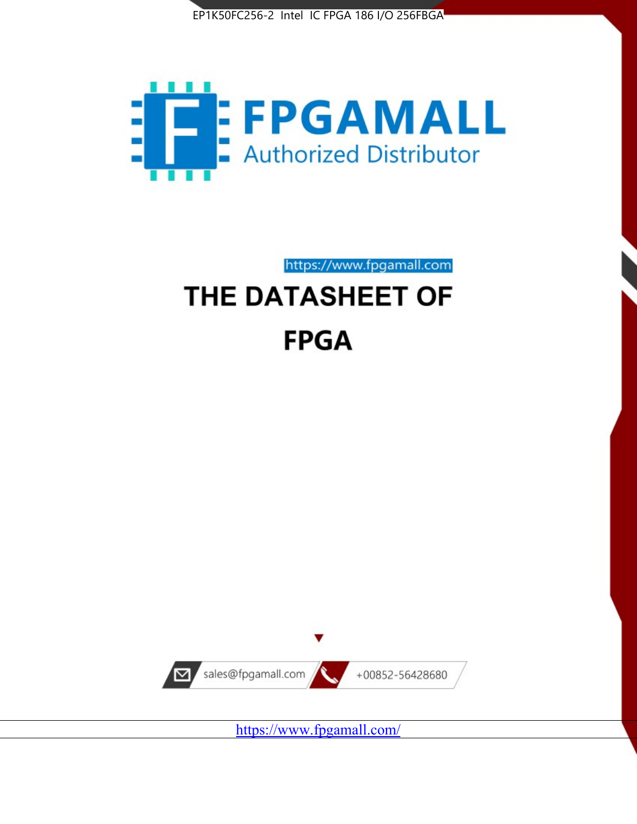



https://www.fpgamall.com

# THE DATASHEET OF **FPGA**



<https://www.fpgamall.com/>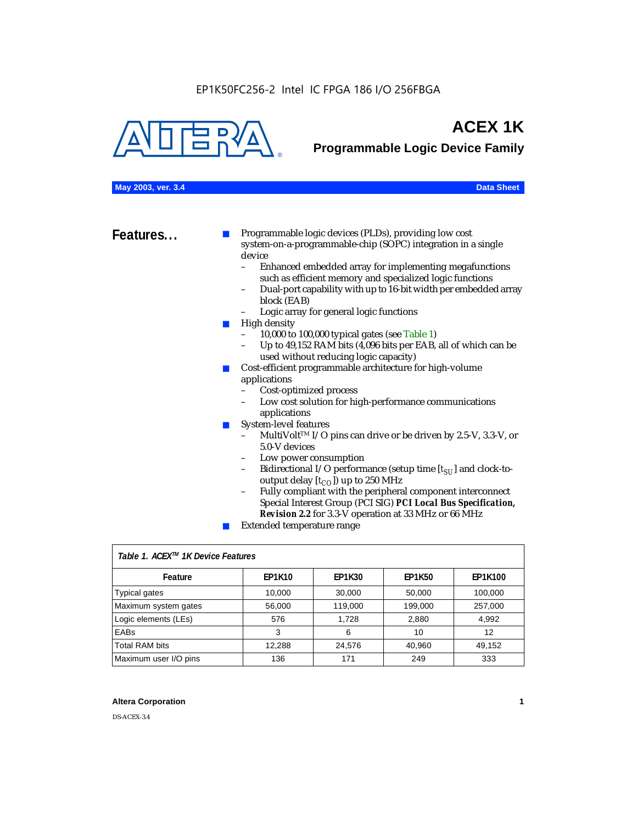

# **ACEX 1K**

**Programmable Logic Device Family**

### **May 2003, ver. 3.4 Data Sheet**

**Features...** ■ Programmable logic devices (PLDs), providing low cost system-on-a-programmable-chip (SOPC) integration in a single device

- Enhanced embedded array for implementing megafunctions such as efficient memory and specialized logic functions
- Dual-port capability with up to 16-bit width per embedded array block (EAB)
- Logic array for general logic functions
- High density
	- 10,000 to 100,000 typical gates (see Table 1)
	- Up to 49,152 RAM bits (4,096 bits per EAB, all of which can be used without reducing logic capacity)
- Cost-efficient programmable architecture for high-volume applications
	- Cost-optimized process
	- Low cost solution for high-performance communications applications
- System-level features
	- MultiVolt<sup>™</sup> I/O pins can drive or be driven by 2.5-V, 3.3-V, or 5.0-V devices
	- Low power consumption
	- Bidirectional I/O performance (setup time [ $t_{SU}$ ] and clock-tooutput delay  $[t_{CO}]$ ) up to 250 MHz
	- Fully compliant with the peripheral component interconnect Special Interest Group (PCI SIG) *PCI Local Bus Specification, Revision 2.2* for 3.3-V operation at 33 MHz or 66 MHz
	- Extended temperature range

| Table 1. ACEX™ 1K Device Features |               |               |               |                |  |  |
|-----------------------------------|---------------|---------------|---------------|----------------|--|--|
| Feature                           | <b>EP1K10</b> | <b>EP1K30</b> | <b>EP1K50</b> | <b>EP1K100</b> |  |  |
| <b>Typical gates</b>              | 10,000        | 30,000        | 50,000        | 100,000        |  |  |
| Maximum system gates              | 56,000        | 119,000       | 199,000       | 257,000        |  |  |
| Logic elements (LEs)              | 576           | 1.728         | 2,880         | 4,992          |  |  |
| <b>EABs</b>                       | 3             | 6             | 10            | 12             |  |  |
| <b>Total RAM bits</b>             | 12.288        | 24,576        | 40,960        | 49.152         |  |  |
| Maximum user I/O pins             | 136           | 171           | 249           | 333            |  |  |

### **Altera Corporation 1**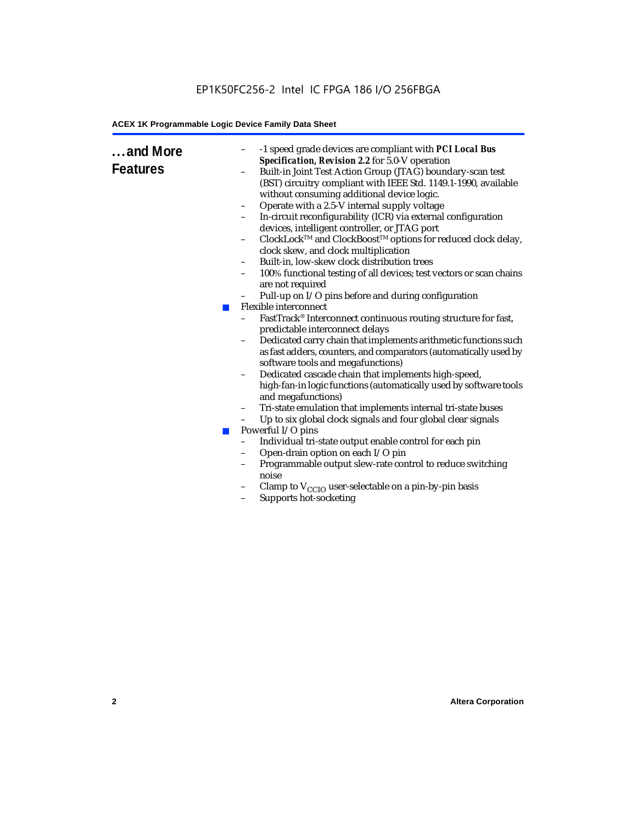### EP1K50FC256-2 Intel IC FPGA 186 I/O 256FBGA

### **ACEX 1K Programmable Logic Device Family Data Sheet**

| and More<br><b>Features</b> | -1 speed grade devices are compliant with PCI Local Bus<br>$\qquad \qquad -$<br>Specification, Revision 2.2 for 5.0-V operation<br>Built-in Joint Test Action Group (JTAG) boundary-scan test<br>(BST) circuitry compliant with IEEE Std. 1149.1-1990, available<br>without consuming additional device logic.<br>Operate with a 2.5-V internal supply voltage<br>$\qquad \qquad -$<br>In-circuit reconfigurability (ICR) via external configuration<br>devices, intelligent controller, or JTAG port<br>ClockLock™ and ClockBoost™ options for reduced clock delay,<br>$\qquad \qquad -$<br>clock skew, and clock multiplication<br>Built-in, low-skew clock distribution trees<br>$\overline{\phantom{0}}$<br>100% functional testing of all devices; test vectors or scan chains<br>$\qquad \qquad -$<br>are not required<br>Pull-up on I/O pins before and during configuration<br>Flexible interconnect<br><b>College</b><br>FastTrack® Interconnect continuous routing structure for fast,<br>predictable interconnect delays<br>Dedicated carry chain that implements arithmetic functions such<br>$\qquad \qquad -$<br>as fast adders, counters, and comparators (automatically used by<br>software tools and megafunctions)<br>Dedicated cascade chain that implements high-speed,<br>$\qquad \qquad -$<br>high-fan-in logic functions (automatically used by software tools<br>and megafunctions)<br>Tri-state emulation that implements internal tri-state buses<br>$\qquad \qquad -$<br>Up to six global clock signals and four global clear signals<br>-<br>Powerful I/O pins<br><b>COL</b><br>Individual tri-state output enable control for each pin<br>$\overline{a}$<br>Open-drain option on each I/O pin<br>$\qquad \qquad -$<br>Programmable output slew-rate control to reduce switching<br>$\overline{\phantom{0}}$<br>noise<br>Clamp to $V_{\text{CCIO}}$ user-selectable on a pin-by-pin basis<br>Supports hot-socketing<br>$\qquad \qquad -$ |
|-----------------------------|----------------------------------------------------------------------------------------------------------------------------------------------------------------------------------------------------------------------------------------------------------------------------------------------------------------------------------------------------------------------------------------------------------------------------------------------------------------------------------------------------------------------------------------------------------------------------------------------------------------------------------------------------------------------------------------------------------------------------------------------------------------------------------------------------------------------------------------------------------------------------------------------------------------------------------------------------------------------------------------------------------------------------------------------------------------------------------------------------------------------------------------------------------------------------------------------------------------------------------------------------------------------------------------------------------------------------------------------------------------------------------------------------------------------------------------------------------------------------------------------------------------------------------------------------------------------------------------------------------------------------------------------------------------------------------------------------------------------------------------------------------------------------------------------------------------------------------------------------------------------------------------------------------------------------------------------------------------------|
|                             |                                                                                                                                                                                                                                                                                                                                                                                                                                                                                                                                                                                                                                                                                                                                                                                                                                                                                                                                                                                                                                                                                                                                                                                                                                                                                                                                                                                                                                                                                                                                                                                                                                                                                                                                                                                                                                                                                                                                                                      |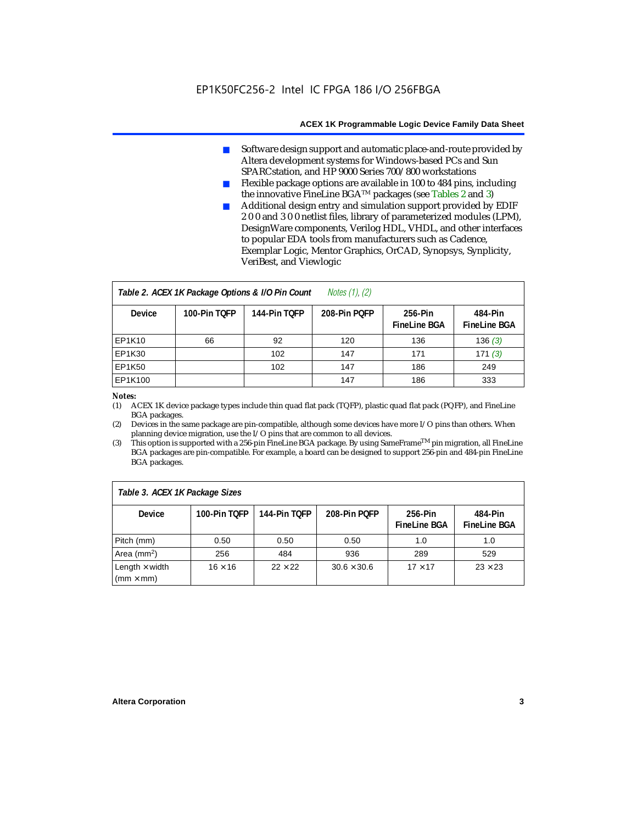- Software design support and automatic place-and-route provided by Altera development systems for Windows-based PCs and Sun SPARCstation, and HP 9000 Series 700/800 workstations
- Flexible package options are available in 100 to 484 pins, including the innovative FineLine BGATM packages (see Tables 2 and 3)
- Additional design entry and simulation support provided by EDIF 2 0 0 and 3 0 0 netlist files, library of parameterized modules (LPM), DesignWare components, Verilog HDL, VHDL, and other interfaces to popular EDA tools from manufacturers such as Cadence, Exemplar Logic, Mentor Graphics, OrCAD, Synopsys, Synplicity, VeriBest, and Viewlogic

| Notes $(1)$ , $(2)$<br>Table 2. ACEX 1K Package Options & I/O Pin Count |              |              |              |                                |                                |  |  |
|-------------------------------------------------------------------------|--------------|--------------|--------------|--------------------------------|--------------------------------|--|--|
| <b>Device</b>                                                           | 100-Pin TOFP | 144-Pin TOFP | 208-Pin POFP | 256-Pin<br><b>FineLine BGA</b> | 484-Pin<br><b>FineLine BGA</b> |  |  |
| EP1K10                                                                  | 66           | 92           | 120          | 136                            | 136(3)                         |  |  |
| <b>EP1K30</b>                                                           |              | 102          | 147          | 171                            | 171(3)                         |  |  |
| <b>EP1K50</b>                                                           |              | 102          | 147          | 186                            | 249                            |  |  |
| EP1K100                                                                 |              |              | 147          | 186                            | 333                            |  |  |

### *Notes:*

(1) ACEX 1K device package types include thin quad flat pack (TQFP), plastic quad flat pack (PQFP), and FineLine BGA packages.

(2) Devices in the same package are pin-compatible, although some devices have more I/O pins than others. When planning device migration, use the I/O pins that are common to all devices.

(3) This option is supported with a 256-pin FineLine BGA package. By using SameFrameTM pin migration, all FineLine BGA packages are pin-compatible. For example, a board can be designed to support 256-pin and 484-pin FineLine BGA packages.

| Table 3. ACEX 1K Package Sizes            |                |                |                    |                                |                                |  |
|-------------------------------------------|----------------|----------------|--------------------|--------------------------------|--------------------------------|--|
| <b>Device</b>                             | 100-Pin TOFP   | 144-Pin TOFP   | 208-Pin POFP       | 256-Pin<br><b>FineLine BGA</b> | 484-Pin<br><b>FineLine BGA</b> |  |
| Pitch (mm)                                | 0.50           | 0.50           | 0.50               | 1.0                            | 1.0                            |  |
| Area ( $mm2$ )                            | 256            | 484            | 936                | 289                            | 529                            |  |
| Length $\times$ width<br>$(mm \times mm)$ | $16 \times 16$ | $22 \times 22$ | $30.6 \times 30.6$ | $17 \times 17$                 | $23 \times 23$                 |  |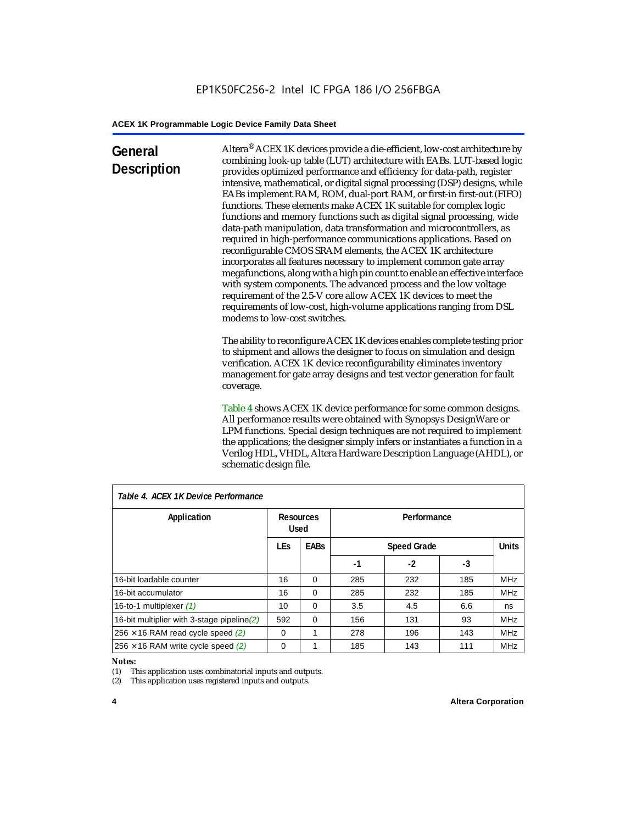### **General Description**

Altera® ACEX 1K devices provide a die-efficient, low-cost architecture by combining look-up table (LUT) architecture with EABs. LUT-based logic provides optimized performance and efficiency for data-path, register intensive, mathematical, or digital signal processing (DSP) designs, while EABs implement RAM, ROM, dual-port RAM, or first-in first-out (FIFO) functions. These elements make ACEX 1K suitable for complex logic functions and memory functions such as digital signal processing, wide data-path manipulation, data transformation and microcontrollers, as required in high-performance communications applications. Based on reconfigurable CMOS SRAM elements, the ACEX 1K architecture incorporates all features necessary to implement common gate array megafunctions, along with a high pin count to enable an effective interface with system components. The advanced process and the low voltage requirement of the 2.5-V core allow ACEX 1K devices to meet the requirements of low-cost, high-volume applications ranging from DSL modems to low-cost switches.

The ability to reconfigure ACEX 1K devices enables complete testing prior to shipment and allows the designer to focus on simulation and design verification. ACEX 1K device reconfigurability eliminates inventory management for gate array designs and test vector generation for fault coverage.

Table 4 shows ACEX 1K device performance for some common designs. All performance results were obtained with Synopsys DesignWare or LPM functions. Special design techniques are not required to implement the applications; the designer simply infers or instantiates a function in a Verilog HDL, VHDL, Altera Hardware Description Language (AHDL), or schematic design file.

| Table 4. ACEX 1K Device Performance         |                          |                                   |             |      |              |            |  |
|---------------------------------------------|--------------------------|-----------------------------------|-------------|------|--------------|------------|--|
| Application                                 | <b>Resources</b><br>Used |                                   | Performance |      |              |            |  |
|                                             | <b>LEs</b>               | <b>EABs</b><br><b>Speed Grade</b> |             |      | <b>Units</b> |            |  |
|                                             |                          |                                   | -1          | $-2$ | -3           |            |  |
| 16-bit loadable counter                     | 16                       | $\Omega$                          | 285         | 232  | 185          | <b>MHz</b> |  |
| 16-bit accumulator                          | 16                       | $\Omega$                          | 285         | 232  | 185          | <b>MHz</b> |  |
| 16-to-1 multiplexer (1)                     | 10                       | $\Omega$                          | 3.5         | 4.5  | 6.6          | ns         |  |
| 16-bit multiplier with 3-stage pipeline (2) | 592                      | $\Omega$                          | 156         | 131  | 93           | <b>MHz</b> |  |
| $256 \times 16$ RAM read cycle speed (2)    | $\Omega$                 | 1                                 | 278         | 196  | 143          | <b>MHz</b> |  |
| $256 \times 16$ RAM write cycle speed (2)   | $\Omega$                 |                                   | 185         | 143  | 111          | <b>MHz</b> |  |

### *Table 4. ACEX 1K Device Performance*

#### *Notes:*

(1) This application uses combinatorial inputs and outputs.

(2) This application uses registered inputs and outputs.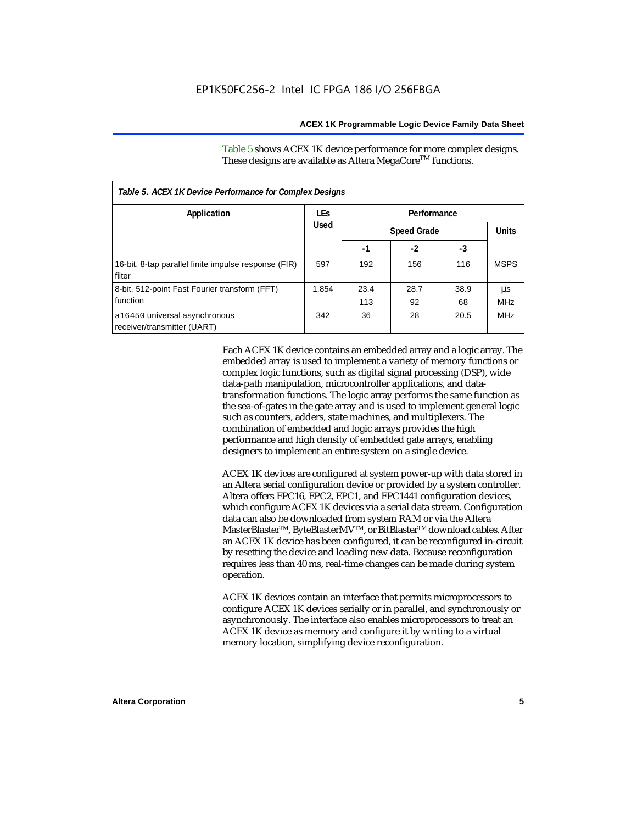Table 5 shows ACEX 1K device performance for more complex designs. These designs are available as Altera MegaCore<sup>TM</sup> functions.

| Table 5. ACEX 1K Device Performance for Complex Designs        |            |      |                    |      |             |  |
|----------------------------------------------------------------|------------|------|--------------------|------|-------------|--|
| Application                                                    | <b>LEs</b> |      |                    |      |             |  |
|                                                                | Used       |      | <b>Speed Grade</b> |      |             |  |
|                                                                |            | -1   | $-2$               | -3   |             |  |
| 16-bit, 8-tap parallel finite impulse response (FIR)<br>filter | 597        | 192  | 156                | 116  | <b>MSPS</b> |  |
| 8-bit, 512-point Fast Fourier transform (FFT)                  | 1.854      | 23.4 | 28.7               | 38.9 | μs          |  |
| function                                                       |            | 113  | 92                 | 68   | <b>MHz</b>  |  |
| a16450 universal asynchronous<br>receiver/transmitter (UART)   | 342        | 36   | 28                 | 20.5 | <b>MHz</b>  |  |

Each ACEX 1K device contains an embedded array and a logic array. The embedded array is used to implement a variety of memory functions or complex logic functions, such as digital signal processing (DSP), wide data-path manipulation, microcontroller applications, and datatransformation functions. The logic array performs the same function as the sea-of-gates in the gate array and is used to implement general logic such as counters, adders, state machines, and multiplexers. The combination of embedded and logic arrays provides the high performance and high density of embedded gate arrays, enabling designers to implement an entire system on a single device.

ACEX 1K devices are configured at system power-up with data stored in an Altera serial configuration device or provided by a system controller. Altera offers EPC16, EPC2, EPC1, and EPC1441 configuration devices, which configure ACEX 1K devices via a serial data stream. Configuration data can also be downloaded from system RAM or via the Altera MasterBlaster™, ByteBlasterMV™, or BitBlaster™ download cables. After an ACEX 1K device has been configured, it can be reconfigured in-circuit by resetting the device and loading new data. Because reconfiguration requires less than 40 ms, real-time changes can be made during system operation.

ACEX 1K devices contain an interface that permits microprocessors to configure ACEX 1K devices serially or in parallel, and synchronously or asynchronously. The interface also enables microprocessors to treat an ACEX 1K device as memory and configure it by writing to a virtual memory location, simplifying device reconfiguration.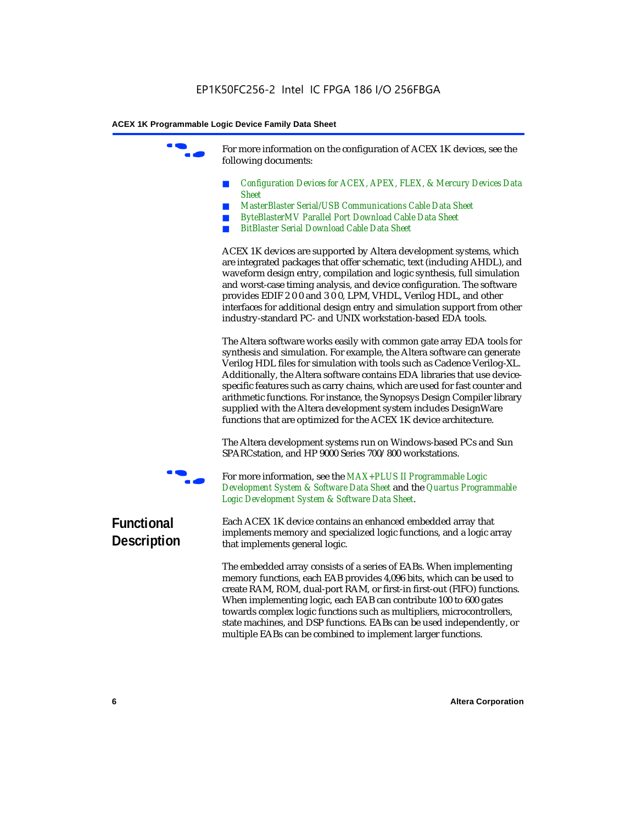For more information on the configuration of ACEX 1K devices, see the following documents:

- *Configuration Devices for ACEX, APEX, FLEX, & Mercury Devices Data Sheet*
- *MasterBlaster Serial/USB Communications Cable Data Sheet*
- *ByteBlasterMV Parallel Port Download Cable Data Sheet*
- *BitBlaster Serial Download Cable Data Sheet*

ACEX 1K devices are supported by Altera development systems, which are integrated packages that offer schematic, text (including AHDL), and waveform design entry, compilation and logic synthesis, full simulation and worst-case timing analysis, and device configuration. The software provides EDIF 2 0 0 and 3 0 0, LPM, VHDL, Verilog HDL, and other interfaces for additional design entry and simulation support from other industry-standard PC- and UNIX workstation-based EDA tools.

The Altera software works easily with common gate array EDA tools for synthesis and simulation. For example, the Altera software can generate Verilog HDL files for simulation with tools such as Cadence Verilog-XL. Additionally, the Altera software contains EDA libraries that use devicespecific features such as carry chains, which are used for fast counter and arithmetic functions. For instance, the Synopsys Design Compiler library supplied with the Altera development system includes DesignWare functions that are optimized for the ACEX 1K device architecture.

The Altera development systems run on Windows-based PCs and Sun SPARCstation, and HP 9000 Series 700/800 workstations.



For more information, see the *MAX+PLUS II Programmable Logic Development System & Software Data Sheet* and the *Quartus Programmable Logic Development System & Software Data Sheet*.

### **Functional Description**

Each ACEX 1K device contains an enhanced embedded array that implements memory and specialized logic functions, and a logic array that implements general logic.

The embedded array consists of a series of EABs. When implementing memory functions, each EAB provides 4,096 bits, which can be used to create RAM, ROM, dual-port RAM, or first-in first-out (FIFO) functions. When implementing logic, each EAB can contribute 100 to 600 gates towards complex logic functions such as multipliers, microcontrollers, state machines, and DSP functions. EABs can be used independently, or multiple EABs can be combined to implement larger functions.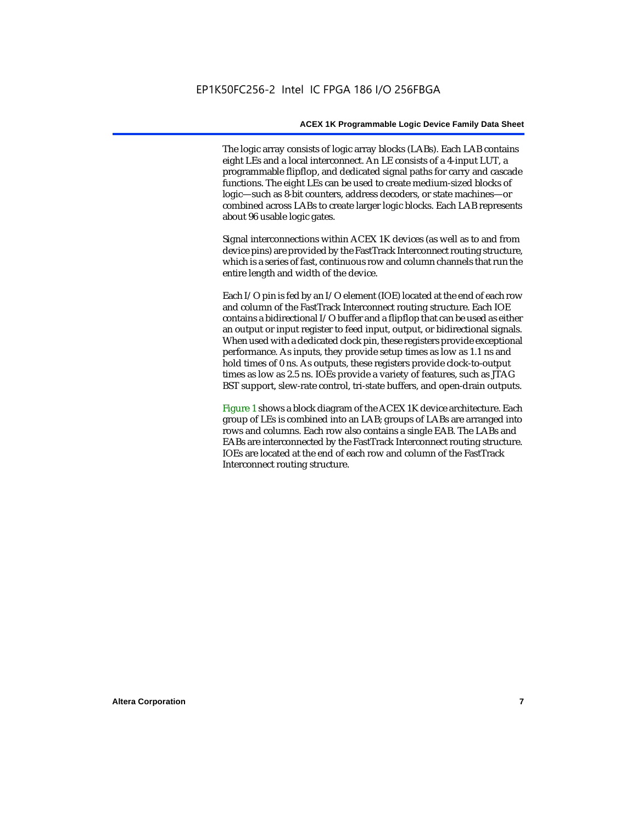The logic array consists of logic array blocks (LABs). Each LAB contains eight LEs and a local interconnect. An LE consists of a 4-input LUT, a programmable flipflop, and dedicated signal paths for carry and cascade functions. The eight LEs can be used to create medium-sized blocks of logic—such as 8-bit counters, address decoders, or state machines—or combined across LABs to create larger logic blocks. Each LAB represents about 96 usable logic gates.

Signal interconnections within ACEX 1K devices (as well as to and from device pins) are provided by the FastTrack Interconnect routing structure, which is a series of fast, continuous row and column channels that run the entire length and width of the device.

Each I/O pin is fed by an I/O element (IOE) located at the end of each row and column of the FastTrack Interconnect routing structure. Each IOE contains a bidirectional I/O buffer and a flipflop that can be used as either an output or input register to feed input, output, or bidirectional signals. When used with a dedicated clock pin, these registers provide exceptional performance. As inputs, they provide setup times as low as 1.1 ns and hold times of 0 ns. As outputs, these registers provide clock-to-output times as low as 2.5 ns. IOEs provide a variety of features, such as JTAG BST support, slew-rate control, tri-state buffers, and open-drain outputs.

Figure 1 shows a block diagram of the ACEX 1K device architecture. Each group of LEs is combined into an LAB; groups of LABs are arranged into rows and columns. Each row also contains a single EAB. The LABs and EABs are interconnected by the FastTrack Interconnect routing structure. IOEs are located at the end of each row and column of the FastTrack Interconnect routing structure.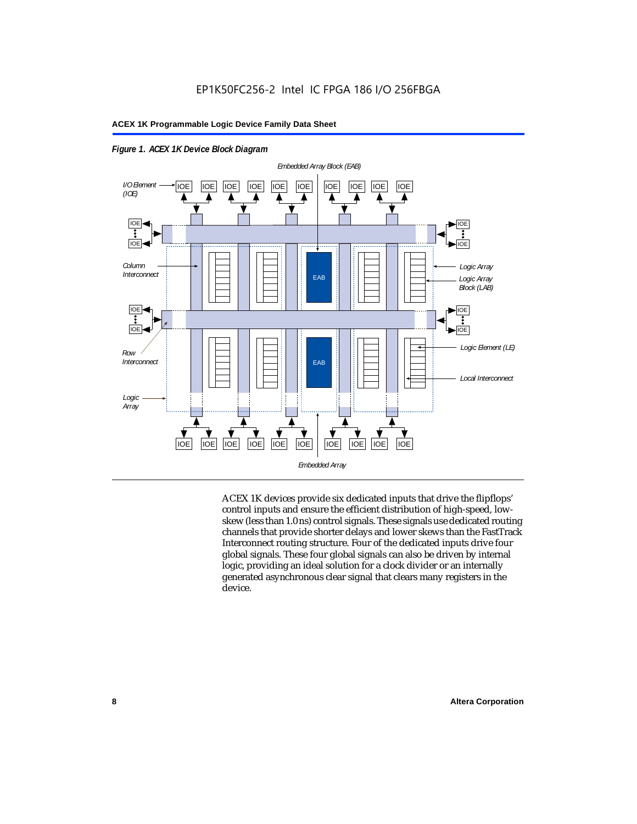

*Figure 1. ACEX 1K Device Block Diagram*

ACEX 1K devices provide six dedicated inputs that drive the flipflops' control inputs and ensure the efficient distribution of high-speed, lowskew (less than 1.0 ns) control signals. These signals use dedicated routing channels that provide shorter delays and lower skews than the FastTrack Interconnect routing structure. Four of the dedicated inputs drive four global signals. These four global signals can also be driven by internal logic, providing an ideal solution for a clock divider or an internally generated asynchronous clear signal that clears many registers in the device.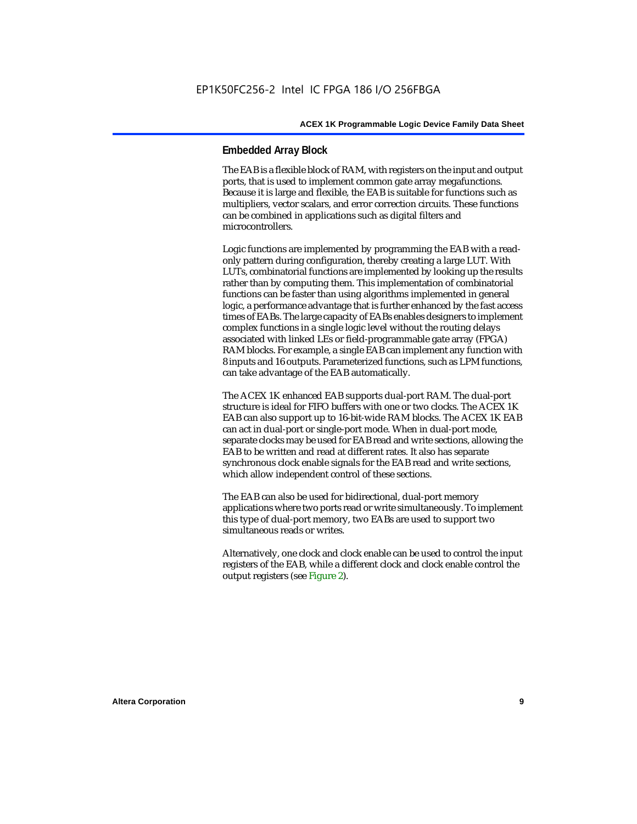### **Embedded Array Block**

The EAB is a flexible block of RAM, with registers on the input and output ports, that is used to implement common gate array megafunctions. Because it is large and flexible, the EAB is suitable for functions such as multipliers, vector scalars, and error correction circuits. These functions can be combined in applications such as digital filters and microcontrollers.

Logic functions are implemented by programming the EAB with a readonly pattern during configuration, thereby creating a large LUT. With LUTs, combinatorial functions are implemented by looking up the results rather than by computing them. This implementation of combinatorial functions can be faster than using algorithms implemented in general logic, a performance advantage that is further enhanced by the fast access times of EABs. The large capacity of EABs enables designers to implement complex functions in a single logic level without the routing delays associated with linked LEs or field-programmable gate array (FPGA) RAM blocks. For example, a single EAB can implement any function with 8 inputs and 16 outputs. Parameterized functions, such as LPM functions, can take advantage of the EAB automatically.

The ACEX 1K enhanced EAB supports dual-port RAM. The dual-port structure is ideal for FIFO buffers with one or two clocks. The ACEX 1K EAB can also support up to 16-bit-wide RAM blocks. The ACEX 1K EAB can act in dual-port or single-port mode. When in dual-port mode, separate clocks may be used for EAB read and write sections, allowing the EAB to be written and read at different rates. It also has separate synchronous clock enable signals for the EAB read and write sections, which allow independent control of these sections.

The EAB can also be used for bidirectional, dual-port memory applications where two ports read or write simultaneously. To implement this type of dual-port memory, two EABs are used to support two simultaneous reads or writes.

Alternatively, one clock and clock enable can be used to control the input registers of the EAB, while a different clock and clock enable control the output registers (see Figure 2).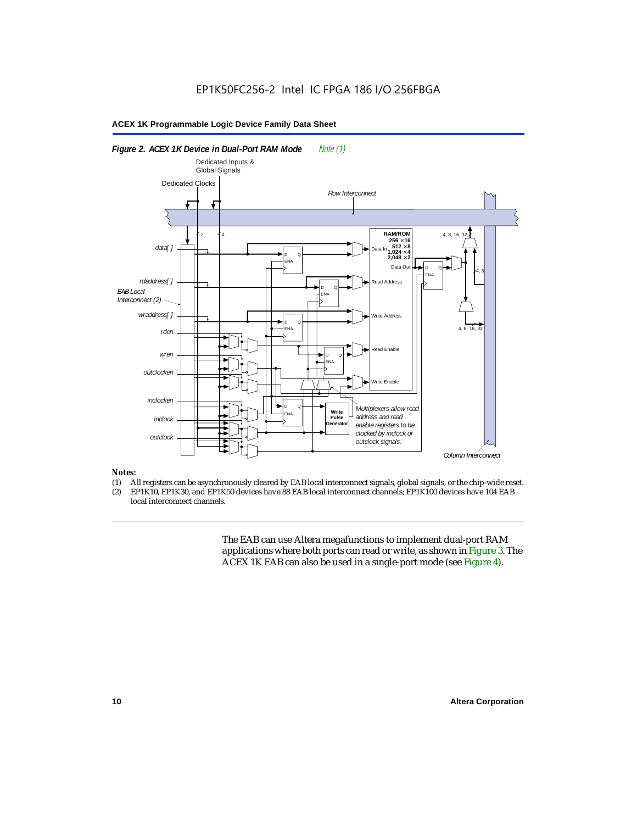

### *Notes:*

- (1) All registers can be asynchronously cleared by EAB local interconnect signals, global signals, or the chip-wide reset.<br>(2) EP1K10. EP1K30. and EP1K50 devices have 88 EAB local interconnect channels: EP1K100 devices hav
- EP1K10, EP1K30, and EP1K50 devices have 88 EAB local interconnect channels; EP1K100 devices have 104 EAB local interconnect channels.

The EAB can use Altera megafunctions to implement dual-port RAM applications where both ports can read or write, as shown in Figure 3. The ACEX 1K EAB can also be used in a single-port mode (see Figure 4).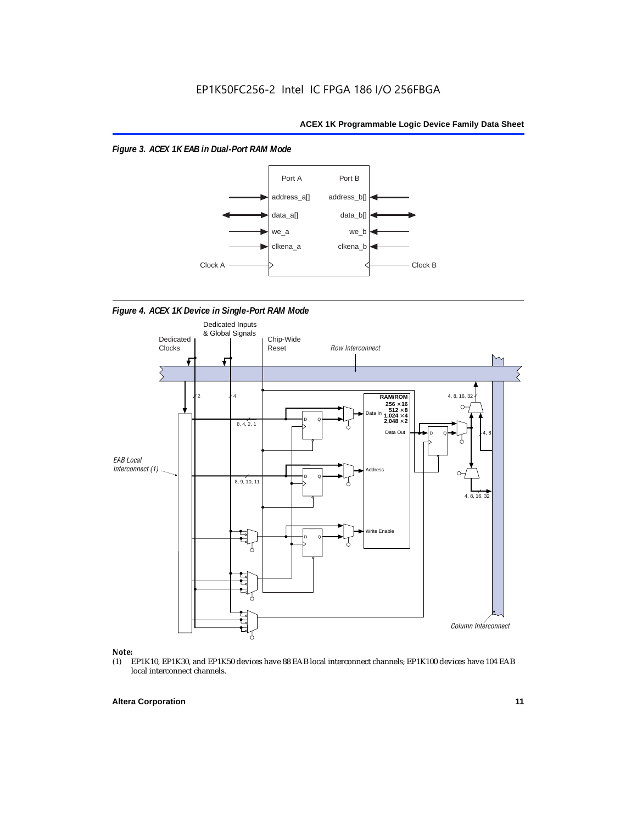*Figure 3. ACEX 1K EAB in Dual-Port RAM Mode*



*Figure 4. ACEX 1K Device in Single-Port RAM Mode* 



## *Note:*<br>(1) **H**

EP1K10, EP1K30, and EP1K50 devices have 88 EAB local interconnect channels; EP1K100 devices have 104 EAB local interconnect channels.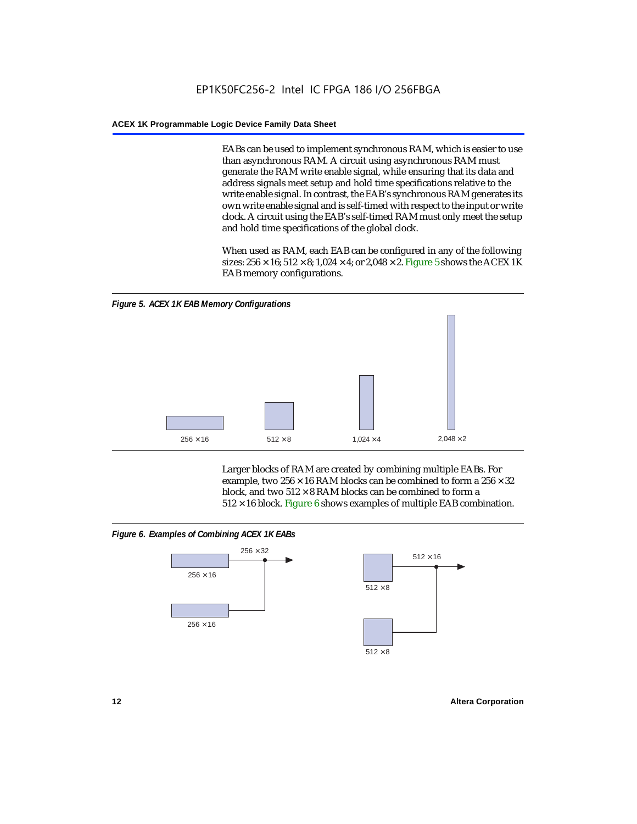EABs can be used to implement synchronous RAM, which is easier to use than asynchronous RAM. A circuit using asynchronous RAM must generate the RAM write enable signal, while ensuring that its data and address signals meet setup and hold time specifications relative to the write enable signal. In contrast, the EAB's synchronous RAM generates its own write enable signal and is self-timed with respect to the input or write clock. A circuit using the EAB's self-timed RAM must only meet the setup and hold time specifications of the global clock.

When used as RAM, each EAB can be configured in any of the following sizes:  $256 \times 16$ ;  $512 \times 8$ ;  $1,024 \times 4$ ; or  $2,048 \times 2$ . Figure 5 shows the ACEX 1K EAB memory configurations.



Larger blocks of RAM are created by combining multiple EABs. For example, two  $256 \times 16$  RAM blocks can be combined to form a  $256 \times 32$ block, and two  $512 \times 8$  RAM blocks can be combined to form a  $512 \times 16$  block. Figure 6 shows examples of multiple EAB combination.

### *Figure 6. Examples of Combining ACEX 1K EABs*



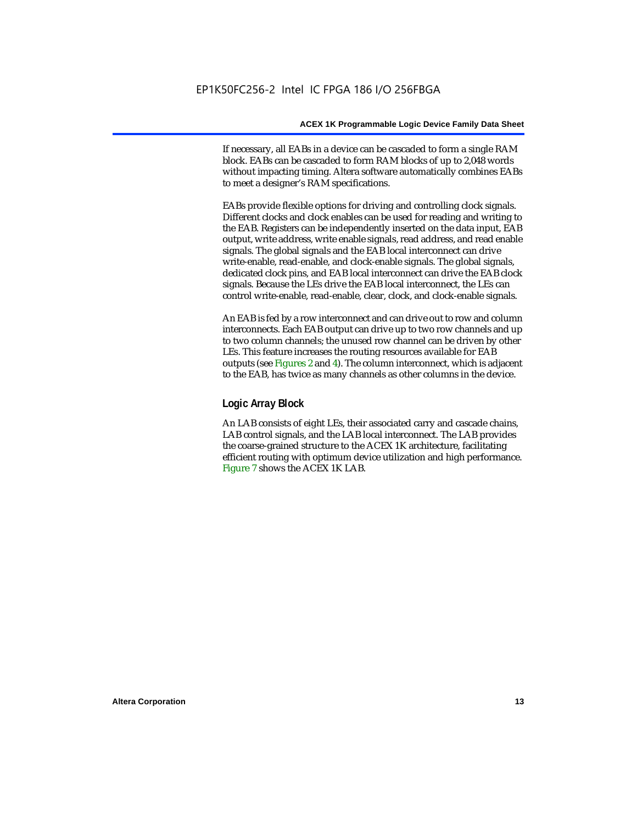If necessary, all EABs in a device can be cascaded to form a single RAM block. EABs can be cascaded to form RAM blocks of up to 2,048 words without impacting timing. Altera software automatically combines EABs to meet a designer's RAM specifications.

EABs provide flexible options for driving and controlling clock signals. Different clocks and clock enables can be used for reading and writing to the EAB. Registers can be independently inserted on the data input, EAB output, write address, write enable signals, read address, and read enable signals. The global signals and the EAB local interconnect can drive write-enable, read-enable, and clock-enable signals. The global signals, dedicated clock pins, and EAB local interconnect can drive the EAB clock signals. Because the LEs drive the EAB local interconnect, the LEs can control write-enable, read-enable, clear, clock, and clock-enable signals.

An EAB is fed by a row interconnect and can drive out to row and column interconnects. Each EAB output can drive up to two row channels and up to two column channels; the unused row channel can be driven by other LEs. This feature increases the routing resources available for EAB outputs (see Figures 2 and 4). The column interconnect, which is adjacent to the EAB, has twice as many channels as other columns in the device.

### **Logic Array Block**

An LAB consists of eight LEs, their associated carry and cascade chains, LAB control signals, and the LAB local interconnect. The LAB provides the coarse-grained structure to the ACEX 1K architecture, facilitating efficient routing with optimum device utilization and high performance. Figure 7 shows the ACEX 1K LAB.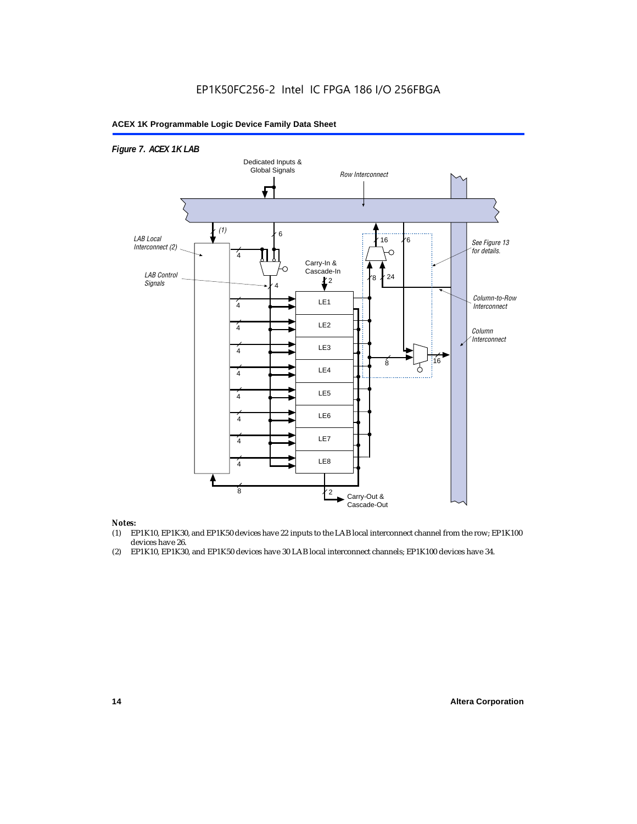### EP1K50FC256-2 Intel IC FPGA 186 I/O 256FBGA

### **ACEX 1K Programmable Logic Device Family Data Sheet**



#### *Notes:*

- (1) EP1K10, EP1K30, and EP1K50 devices have 22 inputs to the LAB local interconnect channel from the row; EP1K100 devices have 26.
- (2) EP1K10, EP1K30, and EP1K50 devices have 30 LAB local interconnect channels; EP1K100 devices have 34.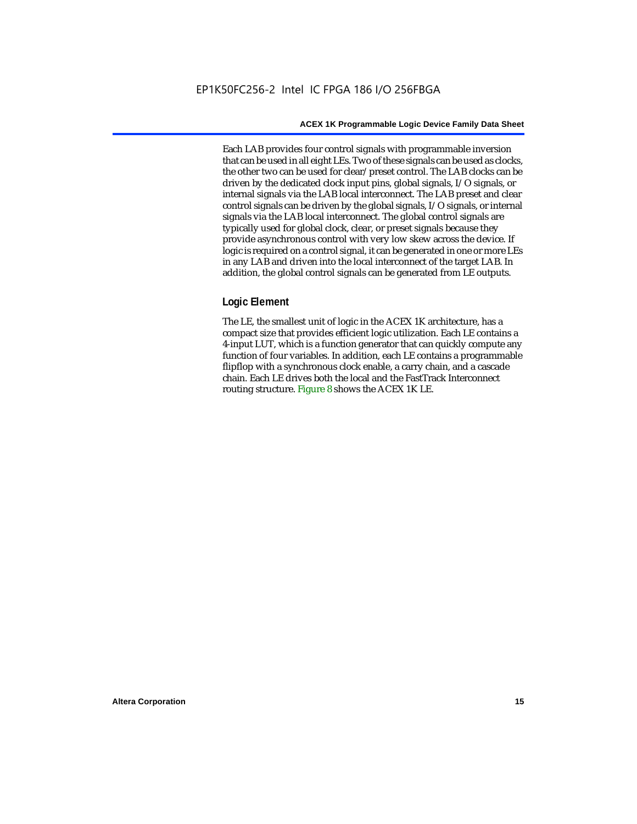Each LAB provides four control signals with programmable inversion that can be used in all eight LEs. Two of these signals can be used as clocks, the other two can be used for clear/preset control. The LAB clocks can be driven by the dedicated clock input pins, global signals, I/O signals, or internal signals via the LAB local interconnect. The LAB preset and clear control signals can be driven by the global signals, I/O signals, or internal signals via the LAB local interconnect. The global control signals are typically used for global clock, clear, or preset signals because they provide asynchronous control with very low skew across the device. If logic is required on a control signal, it can be generated in one or more LEs in any LAB and driven into the local interconnect of the target LAB. In addition, the global control signals can be generated from LE outputs.

### **Logic Element**

The LE, the smallest unit of logic in the ACEX 1K architecture, has a compact size that provides efficient logic utilization. Each LE contains a 4-input LUT, which is a function generator that can quickly compute any function of four variables. In addition, each LE contains a programmable flipflop with a synchronous clock enable, a carry chain, and a cascade chain. Each LE drives both the local and the FastTrack Interconnect routing structure. Figure 8 shows the ACEX 1K LE.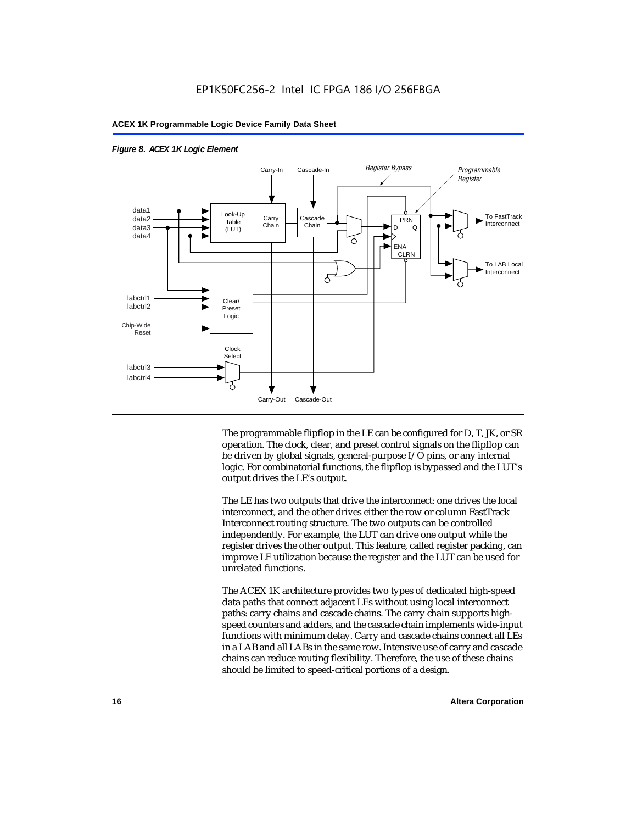

### *Figure 8. ACEX 1K Logic Element*

The programmable flipflop in the LE can be configured for D, T, JK, or SR operation. The clock, clear, and preset control signals on the flipflop can be driven by global signals, general-purpose I/O pins, or any internal logic. For combinatorial functions, the flipflop is bypassed and the LUT's output drives the LE's output.

The LE has two outputs that drive the interconnect: one drives the local interconnect, and the other drives either the row or column FastTrack Interconnect routing structure. The two outputs can be controlled independently. For example, the LUT can drive one output while the register drives the other output. This feature, called register packing, can improve LE utilization because the register and the LUT can be used for unrelated functions.

The ACEX 1K architecture provides two types of dedicated high-speed data paths that connect adjacent LEs without using local interconnect paths: carry chains and cascade chains. The carry chain supports highspeed counters and adders, and the cascade chain implements wide-input functions with minimum delay. Carry and cascade chains connect all LEs in a LAB and all LABs in the same row. Intensive use of carry and cascade chains can reduce routing flexibility. Therefore, the use of these chains should be limited to speed-critical portions of a design.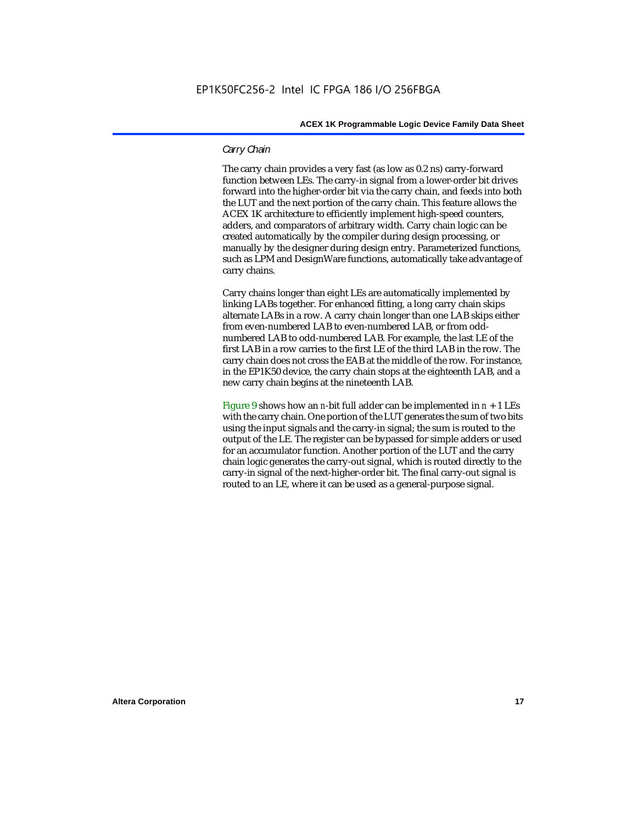### *Carry Chain*

The carry chain provides a very fast (as low as 0.2 ns) carry-forward function between LEs. The carry-in signal from a lower-order bit drives forward into the higher-order bit via the carry chain, and feeds into both the LUT and the next portion of the carry chain. This feature allows the ACEX 1K architecture to efficiently implement high-speed counters, adders, and comparators of arbitrary width. Carry chain logic can be created automatically by the compiler during design processing, or manually by the designer during design entry. Parameterized functions, such as LPM and DesignWare functions, automatically take advantage of carry chains.

Carry chains longer than eight LEs are automatically implemented by linking LABs together. For enhanced fitting, a long carry chain skips alternate LABs in a row. A carry chain longer than one LAB skips either from even-numbered LAB to even-numbered LAB, or from oddnumbered LAB to odd-numbered LAB. For example, the last LE of the first LAB in a row carries to the first LE of the third LAB in the row. The carry chain does not cross the EAB at the middle of the row. For instance, in the EP1K50 device, the carry chain stops at the eighteenth LAB, and a new carry chain begins at the nineteenth LAB.

Figure 9 shows how an *n*-bit full adder can be implemented in  $n + 1$  LEs with the carry chain. One portion of the LUT generates the sum of two bits using the input signals and the carry-in signal; the sum is routed to the output of the LE. The register can be bypassed for simple adders or used for an accumulator function. Another portion of the LUT and the carry chain logic generates the carry-out signal, which is routed directly to the carry-in signal of the next-higher-order bit. The final carry-out signal is routed to an LE, where it can be used as a general-purpose signal.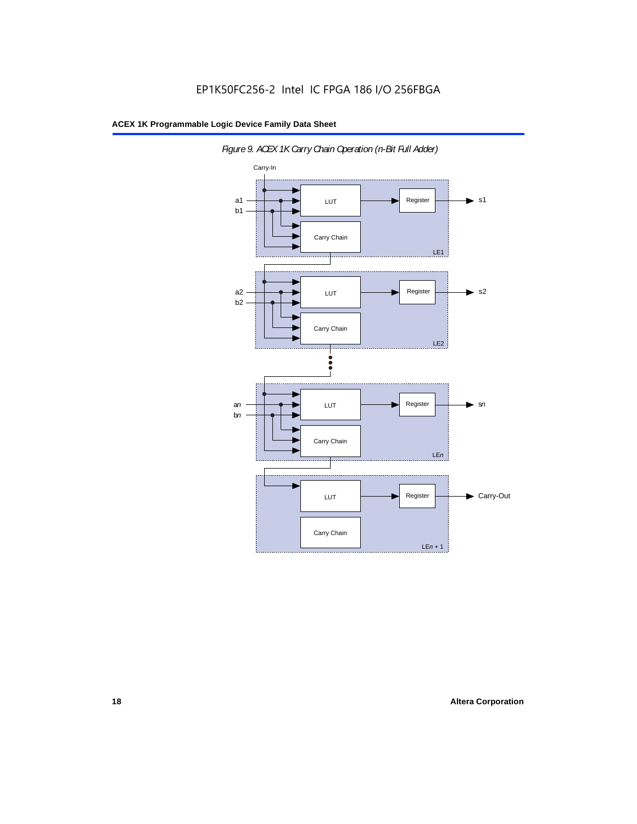

*Figure 9. ACEX 1K Carry Chain Operation (n-Bit Full Adder)*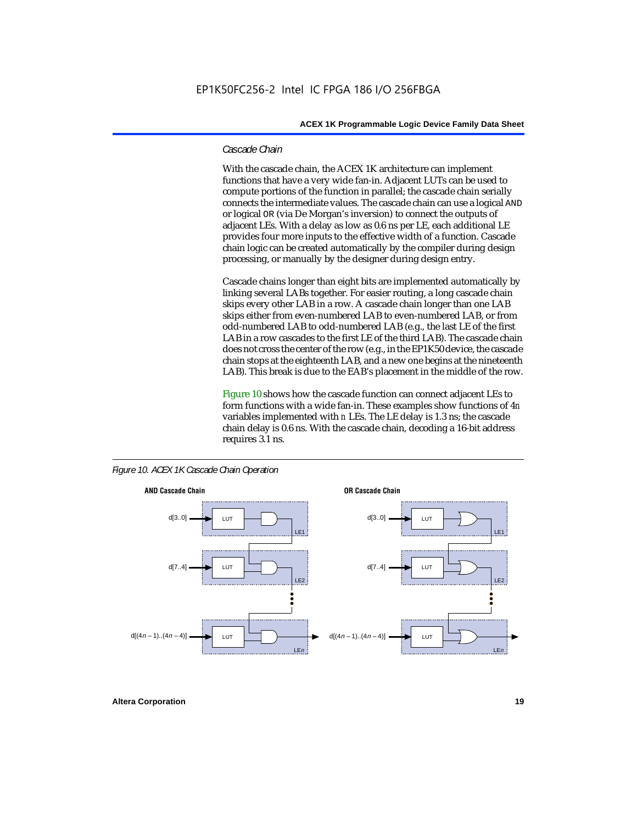### *Cascade Chain*

With the cascade chain, the ACEX 1K architecture can implement functions that have a very wide fan-in. Adjacent LUTs can be used to compute portions of the function in parallel; the cascade chain serially connects the intermediate values. The cascade chain can use a logical AND or logical OR (via De Morgan's inversion) to connect the outputs of adjacent LEs. With a delay as low as 0.6 ns per LE, each additional LE provides four more inputs to the effective width of a function. Cascade chain logic can be created automatically by the compiler during design processing, or manually by the designer during design entry.

Cascade chains longer than eight bits are implemented automatically by linking several LABs together. For easier routing, a long cascade chain skips every other LAB in a row. A cascade chain longer than one LAB skips either from even-numbered LAB to even-numbered LAB, or from odd-numbered LAB to odd-numbered LAB (e.g., the last LE of the first LAB in a row cascades to the first LE of the third LAB). The cascade chain does not cross the center of the row (e.g., in the EP1K50 device, the cascade chain stops at the eighteenth LAB, and a new one begins at the nineteenth LAB). This break is due to the EAB's placement in the middle of the row.

Figure 10 shows how the cascade function can connect adjacent LEs to form functions with a wide fan-in. These examples show functions of 4*n* variables implemented with *n* LEs. The LE delay is 1.3 ns; the cascade chain delay is 0.6 ns. With the cascade chain, decoding a 16-bit address requires 3.1 ns.





**Altera Corporation 19**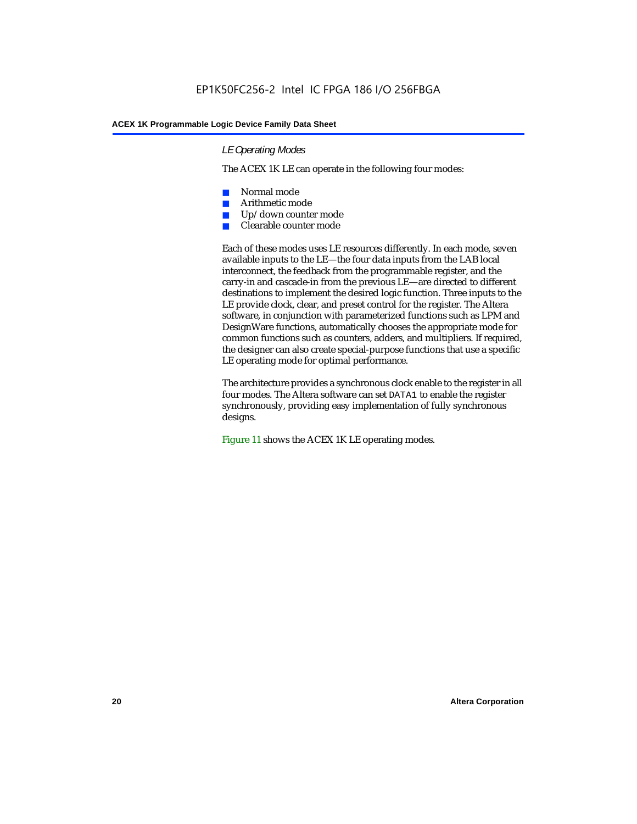### *LE Operating Modes*

The ACEX 1K LE can operate in the following four modes:

- Normal mode
- Arithmetic mode
- Up/down counter mode
- Clearable counter mode

Each of these modes uses LE resources differently. In each mode, seven available inputs to the LE—the four data inputs from the LAB local interconnect, the feedback from the programmable register, and the carry-in and cascade-in from the previous LE—are directed to different destinations to implement the desired logic function. Three inputs to the LE provide clock, clear, and preset control for the register. The Altera software, in conjunction with parameterized functions such as LPM and DesignWare functions, automatically chooses the appropriate mode for common functions such as counters, adders, and multipliers. If required, the designer can also create special-purpose functions that use a specific LE operating mode for optimal performance.

The architecture provides a synchronous clock enable to the register in all four modes. The Altera software can set DATA1 to enable the register synchronously, providing easy implementation of fully synchronous designs.

Figure 11 shows the ACEX 1K LE operating modes.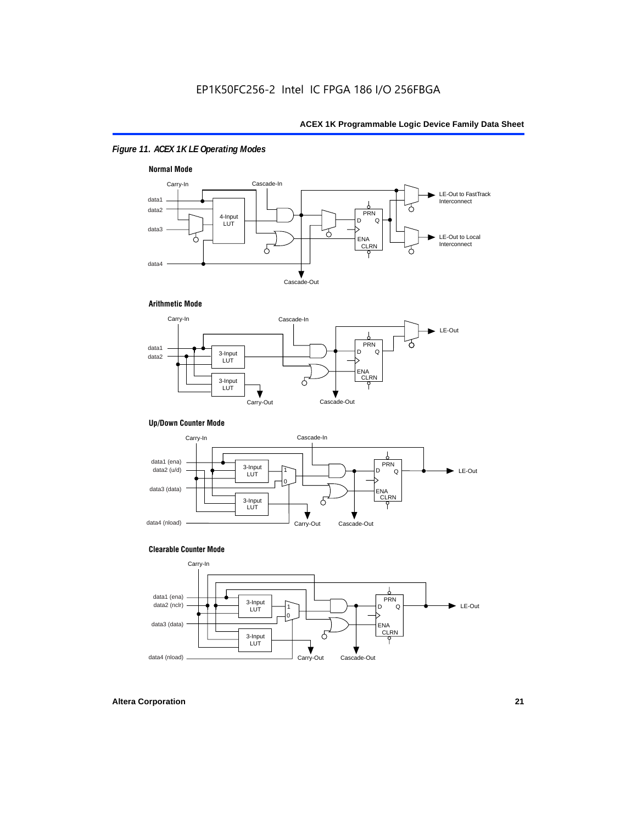### *Figure 11. ACEX 1K LE Operating Modes*



### **Arithmetic Mode**



### **Up/Down Counter Mode**



### **Clearable Counter Mode**

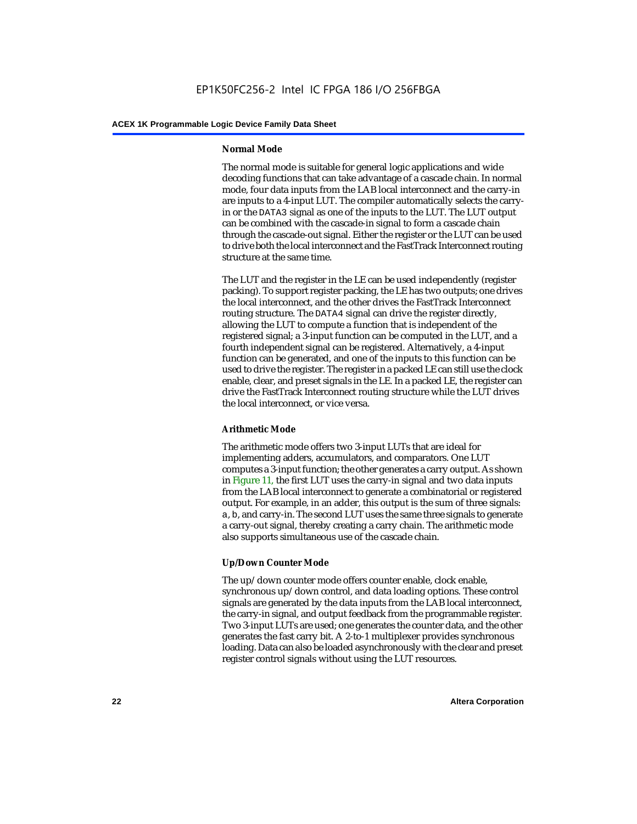### **Normal Mode**

The normal mode is suitable for general logic applications and wide decoding functions that can take advantage of a cascade chain. In normal mode, four data inputs from the LAB local interconnect and the carry-in are inputs to a 4-input LUT. The compiler automatically selects the carryin or the DATA3 signal as one of the inputs to the LUT. The LUT output can be combined with the cascade-in signal to form a cascade chain through the cascade-out signal. Either the register or the LUT can be used to drive both the local interconnect and the FastTrack Interconnect routing structure at the same time.

The LUT and the register in the LE can be used independently (register packing). To support register packing, the LE has two outputs; one drives the local interconnect, and the other drives the FastTrack Interconnect routing structure. The DATA4 signal can drive the register directly, allowing the LUT to compute a function that is independent of the registered signal; a 3-input function can be computed in the LUT, and a fourth independent signal can be registered. Alternatively, a 4-input function can be generated, and one of the inputs to this function can be used to drive the register. The register in a packed LE can still use the clock enable, clear, and preset signals in the LE. In a packed LE, the register can drive the FastTrack Interconnect routing structure while the LUT drives the local interconnect, or vice versa.

### **Arithmetic Mode**

The arithmetic mode offers two 3-input LUTs that are ideal for implementing adders, accumulators, and comparators. One LUT computes a 3-input function; the other generates a carry output. As shown in Figure 11, the first LUT uses the carry-in signal and two data inputs from the LAB local interconnect to generate a combinatorial or registered output. For example, in an adder, this output is the sum of three signals: a, b, and carry-in. The second LUT uses the same three signals to generate a carry-out signal, thereby creating a carry chain. The arithmetic mode also supports simultaneous use of the cascade chain.

### **Up/Down Counter Mode**

The up/down counter mode offers counter enable, clock enable, synchronous up/down control, and data loading options. These control signals are generated by the data inputs from the LAB local interconnect, the carry-in signal, and output feedback from the programmable register. Two 3-input LUTs are used; one generates the counter data, and the other generates the fast carry bit. A 2-to-1 multiplexer provides synchronous loading. Data can also be loaded asynchronously with the clear and preset register control signals without using the LUT resources.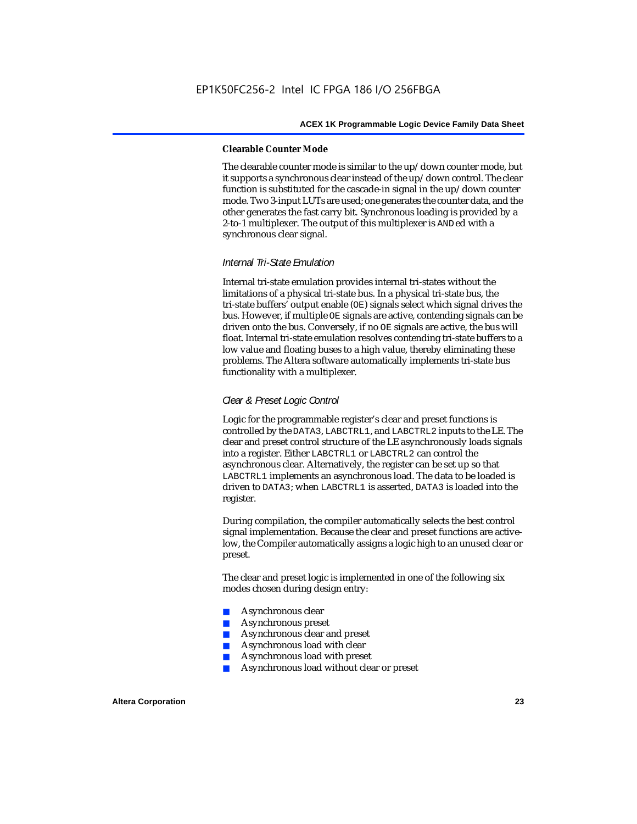### **Clearable Counter Mode**

The clearable counter mode is similar to the up/down counter mode, but it supports a synchronous clear instead of the up/down control. The clear function is substituted for the cascade-in signal in the up/down counter mode. Two 3-input LUTs are used; one generates the counter data, and the other generates the fast carry bit. Synchronous loading is provided by a 2-to-1 multiplexer. The output of this multiplexer is ANDed with a synchronous clear signal.

### *Internal Tri-State Emulation*

Internal tri-state emulation provides internal tri-states without the limitations of a physical tri-state bus. In a physical tri-state bus, the tri-state buffers' output enable (OE) signals select which signal drives the bus. However, if multiple OE signals are active, contending signals can be driven onto the bus. Conversely, if no OE signals are active, the bus will float. Internal tri-state emulation resolves contending tri-state buffers to a low value and floating buses to a high value, thereby eliminating these problems. The Altera software automatically implements tri-state bus functionality with a multiplexer.

### *Clear & Preset Logic Control*

Logic for the programmable register's clear and preset functions is controlled by the DATA3, LABCTRL1, and LABCTRL2 inputs to the LE. The clear and preset control structure of the LE asynchronously loads signals into a register. Either LABCTRL1 or LABCTRL2 can control the asynchronous clear. Alternatively, the register can be set up so that LABCTRL1 implements an asynchronous load. The data to be loaded is driven to DATA3; when LABCTRL1 is asserted, DATA3 is loaded into the register.

During compilation, the compiler automatically selects the best control signal implementation. Because the clear and preset functions are activelow, the Compiler automatically assigns a logic high to an unused clear or preset.

The clear and preset logic is implemented in one of the following six modes chosen during design entry:

- Asynchronous clear
- Asynchronous preset
- Asynchronous clear and preset
- Asynchronous load with clear
- Asynchronous load with preset
- Asynchronous load without clear or preset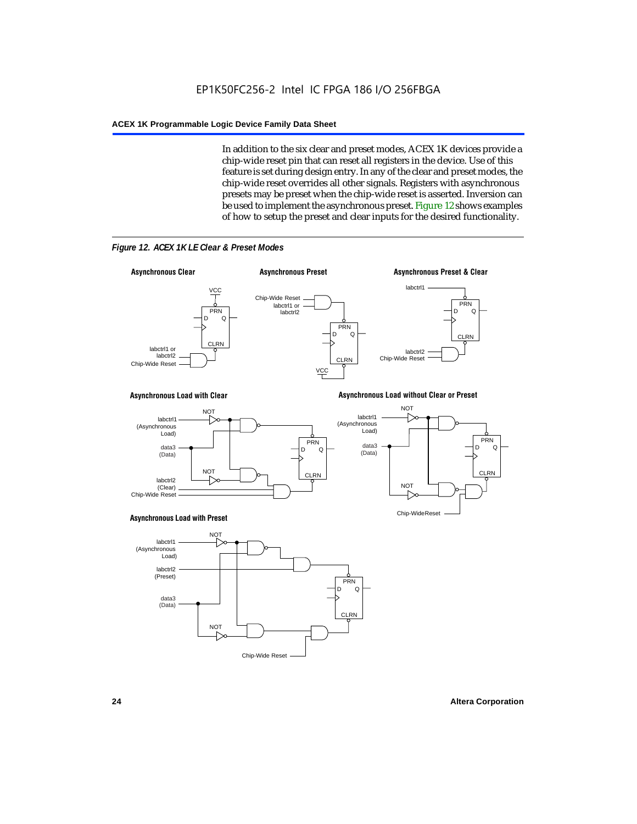In addition to the six clear and preset modes, ACEX 1K devices provide a chip-wide reset pin that can reset all registers in the device. Use of this feature is set during design entry. In any of the clear and preset modes, the chip-wide reset overrides all other signals. Registers with asynchronous presets may be preset when the chip-wide reset is asserted. Inversion can be used to implement the asynchronous preset. Figure 12 shows examples of how to setup the preset and clear inputs for the desired functionality.



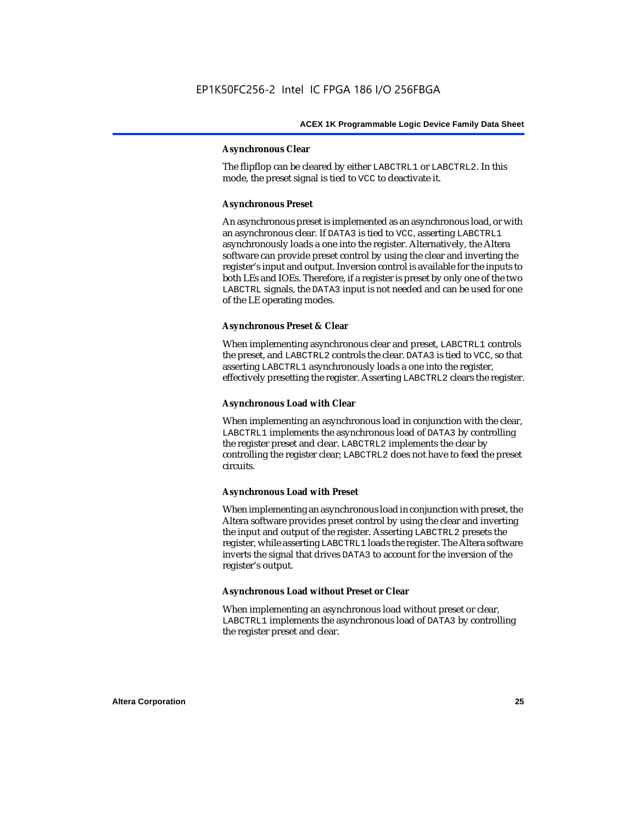### **Asynchronous Clear**

The flipflop can be cleared by either LABCTRL1 or LABCTRL2. In this mode, the preset signal is tied to VCC to deactivate it.

### **Asynchronous Preset**

An asynchronous preset is implemented as an asynchronous load, or with an asynchronous clear. If DATA3 is tied to VCC, asserting LABCTRL1 asynchronously loads a one into the register. Alternatively, the Altera software can provide preset control by using the clear and inverting the register's input and output. Inversion control is available for the inputs to both LEs and IOEs. Therefore, if a register is preset by only one of the two LABCTRL signals, the DATA3 input is not needed and can be used for one of the LE operating modes.

### **Asynchronous Preset & Clear**

When implementing asynchronous clear and preset, LABCTRL1 controls the preset, and LABCTRL2 controls the clear. DATA3 is tied to VCC, so that asserting LABCTRL1 asynchronously loads a one into the register, effectively presetting the register. Asserting LABCTRL2 clears the register.

### **Asynchronous Load with Clear**

When implementing an asynchronous load in conjunction with the clear, LABCTRL1 implements the asynchronous load of DATA3 by controlling the register preset and clear. LABCTRL2 implements the clear by controlling the register clear; LABCTRL2 does not have to feed the preset circuits.

### **Asynchronous Load with Preset**

When implementing an asynchronous load in conjunction with preset, the Altera software provides preset control by using the clear and inverting the input and output of the register. Asserting LABCTRL2 presets the register, while asserting LABCTRL1 loads the register. The Altera software inverts the signal that drives DATA3 to account for the inversion of the register's output.

### **Asynchronous Load without Preset or Clear**

When implementing an asynchronous load without preset or clear, LABCTRL1 implements the asynchronous load of DATA3 by controlling the register preset and clear.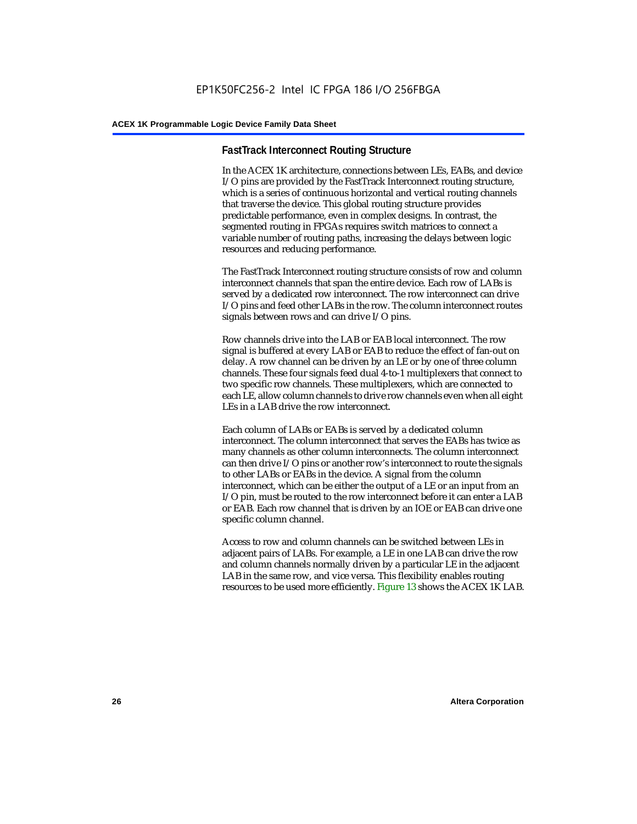### **FastTrack Interconnect Routing Structure**

In the ACEX 1K architecture, connections between LEs, EABs, and device I/O pins are provided by the FastTrack Interconnect routing structure, which is a series of continuous horizontal and vertical routing channels that traverse the device. This global routing structure provides predictable performance, even in complex designs. In contrast, the segmented routing in FPGAs requires switch matrices to connect a variable number of routing paths, increasing the delays between logic resources and reducing performance.

The FastTrack Interconnect routing structure consists of row and column interconnect channels that span the entire device. Each row of LABs is served by a dedicated row interconnect. The row interconnect can drive I/O pins and feed other LABs in the row. The column interconnect routes signals between rows and can drive I/O pins.

Row channels drive into the LAB or EAB local interconnect. The row signal is buffered at every LAB or EAB to reduce the effect of fan-out on delay. A row channel can be driven by an LE or by one of three column channels. These four signals feed dual 4-to-1 multiplexers that connect to two specific row channels. These multiplexers, which are connected to each LE, allow column channels to drive row channels even when all eight LEs in a LAB drive the row interconnect.

Each column of LABs or EABs is served by a dedicated column interconnect. The column interconnect that serves the EABs has twice as many channels as other column interconnects. The column interconnect can then drive I/O pins or another row's interconnect to route the signals to other LABs or EABs in the device. A signal from the column interconnect, which can be either the output of a LE or an input from an I/O pin, must be routed to the row interconnect before it can enter a LAB or EAB. Each row channel that is driven by an IOE or EAB can drive one specific column channel.

Access to row and column channels can be switched between LEs in adjacent pairs of LABs. For example, a LE in one LAB can drive the row and column channels normally driven by a particular LE in the adjacent LAB in the same row, and vice versa. This flexibility enables routing resources to be used more efficiently. Figure 13 shows the ACEX 1K LAB.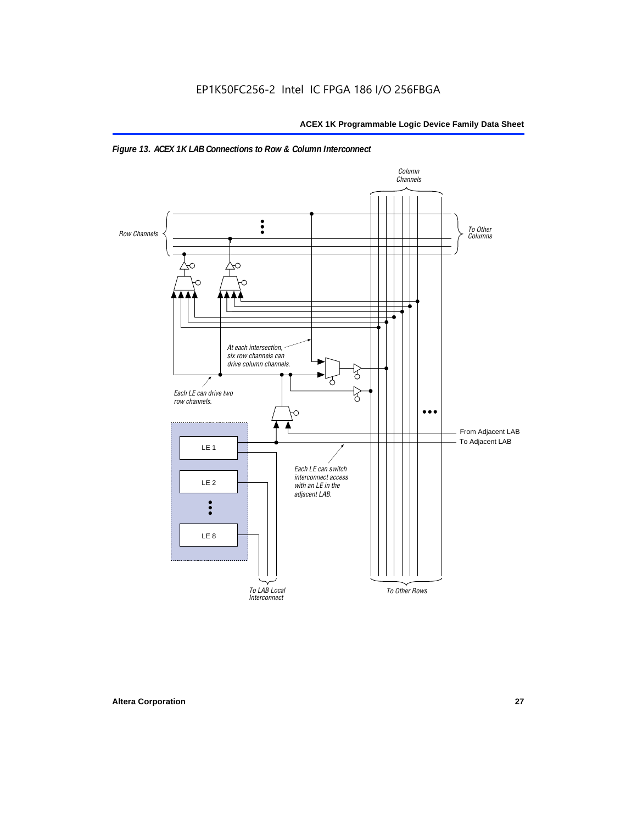

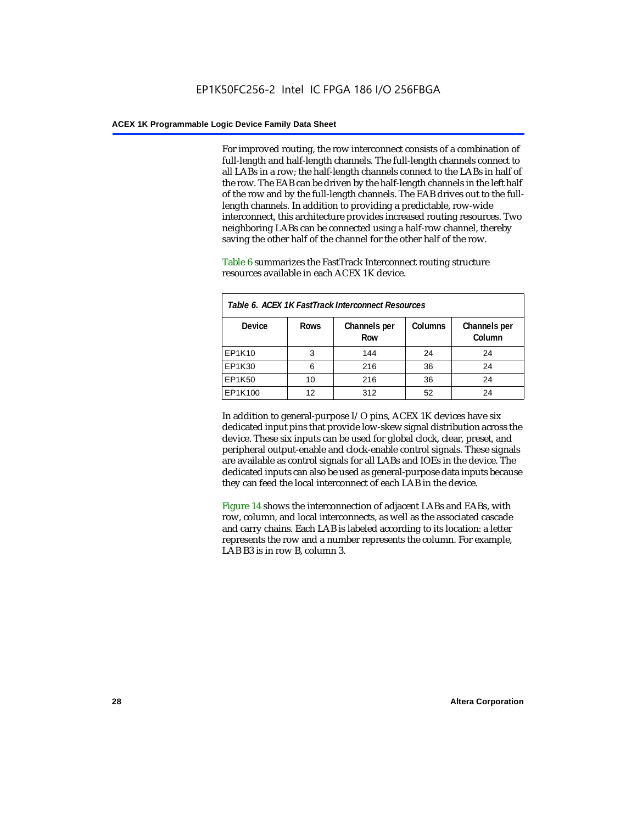For improved routing, the row interconnect consists of a combination of full-length and half-length channels. The full-length channels connect to all LABs in a row; the half-length channels connect to the LABs in half of the row. The EAB can be driven by the half-length channels in the left half of the row and by the full-length channels. The EAB drives out to the fulllength channels. In addition to providing a predictable, row-wide interconnect, this architecture provides increased routing resources. Two neighboring LABs can be connected using a half-row channel, thereby saving the other half of the channel for the other half of the row.

Table 6 summarizes the FastTrack Interconnect routing structure resources available in each ACEX 1K device.

| Table 6. ACEX 1K FastTrack Interconnect Resources |             |                     |                |                        |  |  |
|---------------------------------------------------|-------------|---------------------|----------------|------------------------|--|--|
| <b>Device</b>                                     | <b>Rows</b> | Channels per<br>Row | <b>Columns</b> | Channels per<br>Column |  |  |
| EP1K10                                            | 3           | 144                 | 24             | 24                     |  |  |
| EP1K30                                            | 6           | 216                 | 36             | 24                     |  |  |
| EP1K50                                            | 10          | 216                 | 36             | 24                     |  |  |
| EP1K100                                           | 12          | 312                 | 52             | 24                     |  |  |

In addition to general-purpose I/O pins, ACEX 1K devices have six dedicated input pins that provide low-skew signal distribution across the device. These six inputs can be used for global clock, clear, preset, and peripheral output-enable and clock-enable control signals. These signals are available as control signals for all LABs and IOEs in the device. The dedicated inputs can also be used as general-purpose data inputs because they can feed the local interconnect of each LAB in the device.

Figure 14 shows the interconnection of adjacent LABs and EABs, with row, column, and local interconnects, as well as the associated cascade and carry chains. Each LAB is labeled according to its location: a letter represents the row and a number represents the column. For example, LAB B3 is in row B, column 3.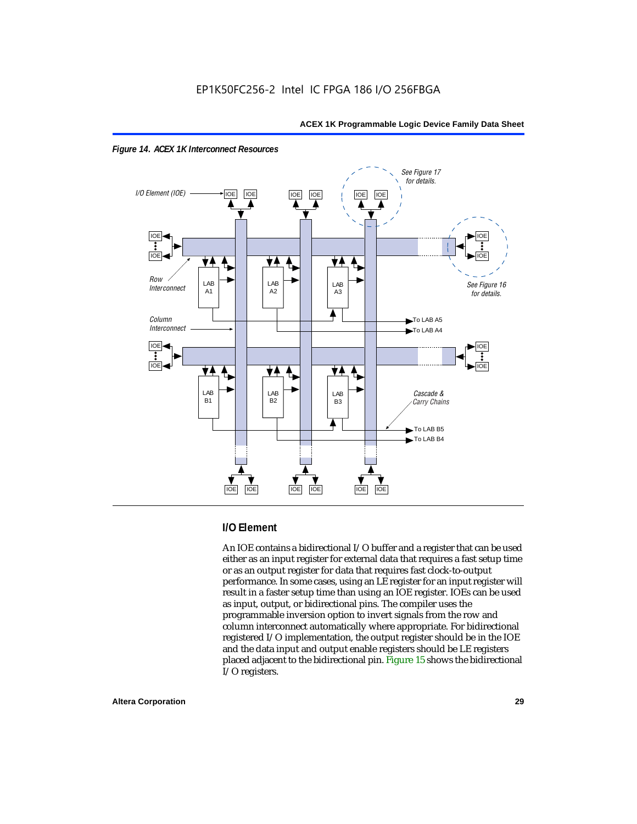



### **I/O Element**

An IOE contains a bidirectional I/O buffer and a register that can be used either as an input register for external data that requires a fast setup time or as an output register for data that requires fast clock-to-output performance. In some cases, using an LE register for an input register will result in a faster setup time than using an IOE register. IOEs can be used as input, output, or bidirectional pins. The compiler uses the programmable inversion option to invert signals from the row and column interconnect automatically where appropriate. For bidirectional registered I/O implementation, the output register should be in the IOE and the data input and output enable registers should be LE registers placed adjacent to the bidirectional pin. Figure 15 shows the bidirectional I/O registers.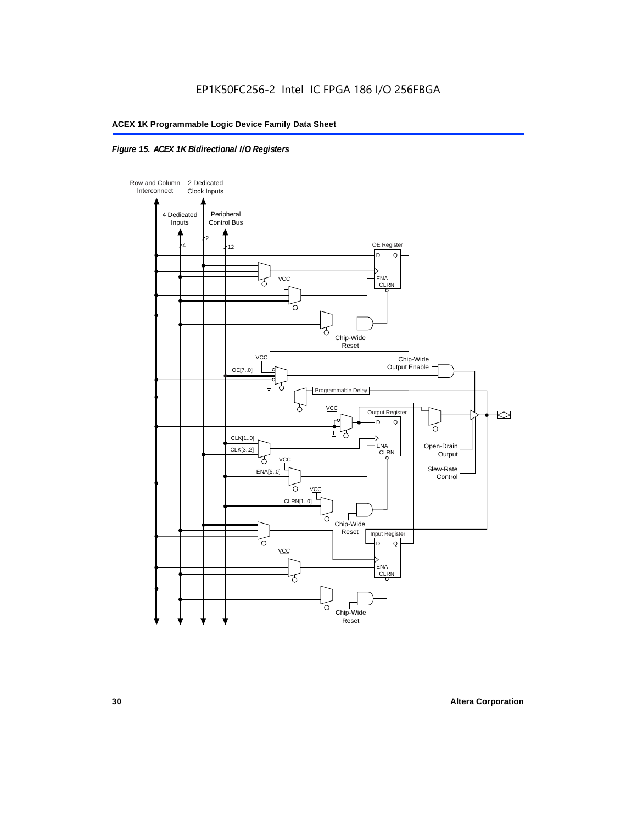### *Figure 15. ACEX 1K Bidirectional I/O Registers*

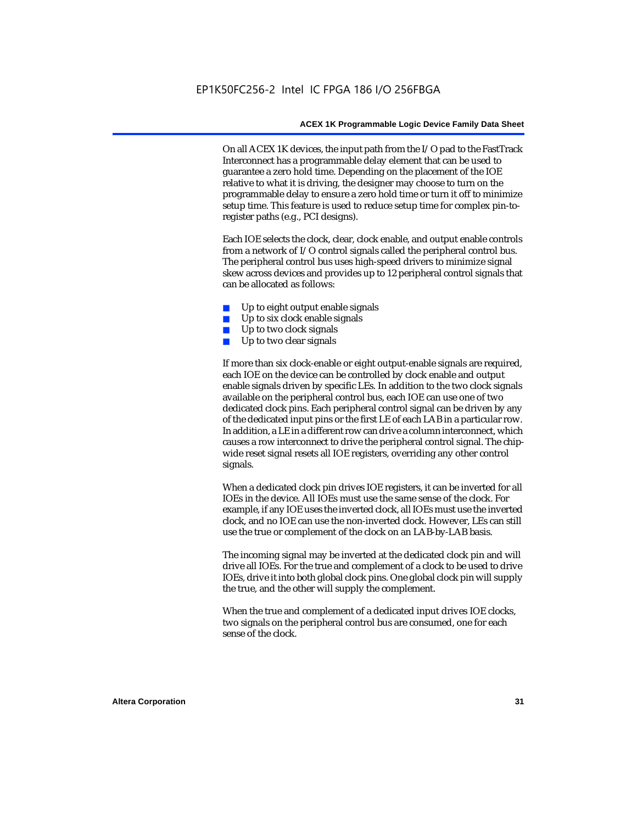On all ACEX 1K devices, the input path from the I/O pad to the FastTrack Interconnect has a programmable delay element that can be used to guarantee a zero hold time. Depending on the placement of the IOE relative to what it is driving, the designer may choose to turn on the programmable delay to ensure a zero hold time or turn it off to minimize setup time. This feature is used to reduce setup time for complex pin-toregister paths (e.g., PCI designs).

Each IOE selects the clock, clear, clock enable, and output enable controls from a network of I/O control signals called the peripheral control bus. The peripheral control bus uses high-speed drivers to minimize signal skew across devices and provides up to 12 peripheral control signals that can be allocated as follows:

- Up to eight output enable signals
- Up to six clock enable signals
- Up to two clock signals
- Up to two clear signals

If more than six clock-enable or eight output-enable signals are required, each IOE on the device can be controlled by clock enable and output enable signals driven by specific LEs. In addition to the two clock signals available on the peripheral control bus, each IOE can use one of two dedicated clock pins. Each peripheral control signal can be driven by any of the dedicated input pins or the first LE of each LAB in a particular row. In addition, a LE in a different row can drive a column interconnect, which causes a row interconnect to drive the peripheral control signal. The chipwide reset signal resets all IOE registers, overriding any other control signals.

When a dedicated clock pin drives IOE registers, it can be inverted for all IOEs in the device. All IOEs must use the same sense of the clock. For example, if any IOE uses the inverted clock, all IOEs must use the inverted clock, and no IOE can use the non-inverted clock. However, LEs can still use the true or complement of the clock on an LAB-by-LAB basis.

The incoming signal may be inverted at the dedicated clock pin and will drive all IOEs. For the true and complement of a clock to be used to drive IOEs, drive it into both global clock pins. One global clock pin will supply the true, and the other will supply the complement.

When the true and complement of a dedicated input drives IOE clocks, two signals on the peripheral control bus are consumed, one for each sense of the clock.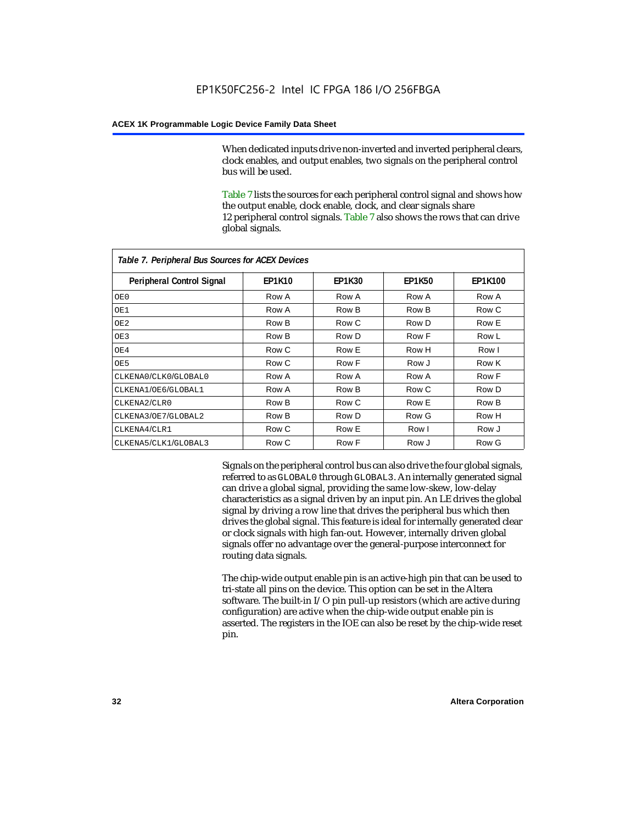When dedicated inputs drive non-inverted and inverted peripheral clears, clock enables, and output enables, two signals on the peripheral control bus will be used.

Table 7 lists the sources for each peripheral control signal and shows how the output enable, clock enable, clock, and clear signals share 12 peripheral control signals. Table 7 also shows the rows that can drive global signals.

| Table 7. Peripheral Bus Sources for ACEX Devices |               |               |               |                |  |  |  |
|--------------------------------------------------|---------------|---------------|---------------|----------------|--|--|--|
| <b>Peripheral Control Signal</b>                 | <b>EP1K10</b> | <b>EP1K30</b> | <b>EP1K50</b> | <b>EP1K100</b> |  |  |  |
| OE0                                              | Row A         | Row A         | Row A         | Row A          |  |  |  |
| OE1                                              | Row A         | Row B         | Row B         | Row C          |  |  |  |
| OE <sub>2</sub>                                  | Row B         | Row C         | Row D         | Row E          |  |  |  |
| OE3                                              | Row B         | Row D         | Row F         | Row L          |  |  |  |
| OE4                                              | Row C         | Row E         | Row H         | Row I          |  |  |  |
| OE5                                              | Row C         | Row F         | Row J         | Row K          |  |  |  |
| CLKENA0/CLK0/GLOBAL0                             | Row A         | Row A         | Row A         | Row F          |  |  |  |
| CLKENA1/OE6/GLOBAL1                              | Row A         | Row B         | Row C         | Row D          |  |  |  |
| CLKENA2/CLR0                                     | Row B         | Row C         | Row E         | Row B          |  |  |  |
| CLKENA3/OE7/GLOBAL2                              | Row B         | Row D         | Row G         | Row H          |  |  |  |
| CLKENA4/CLR1                                     | Row C         | Row E         | Row I         | Row J          |  |  |  |
| CLKENA5/CLK1/GLOBAL3                             | Row C         | Row F         | Row J         | Row G          |  |  |  |

Signals on the peripheral control bus can also drive the four global signals, referred to as GLOBAL0 through GLOBAL3. An internally generated signal can drive a global signal, providing the same low-skew, low-delay characteristics as a signal driven by an input pin. An LE drives the global signal by driving a row line that drives the peripheral bus which then drives the global signal. This feature is ideal for internally generated clear or clock signals with high fan-out. However, internally driven global signals offer no advantage over the general-purpose interconnect for routing data signals.

The chip-wide output enable pin is an active-high pin that can be used to tri-state all pins on the device. This option can be set in the Altera software. The built-in I/O pin pull-up resistors (which are active during configuration) are active when the chip-wide output enable pin is asserted. The registers in the IOE can also be reset by the chip-wide reset pin.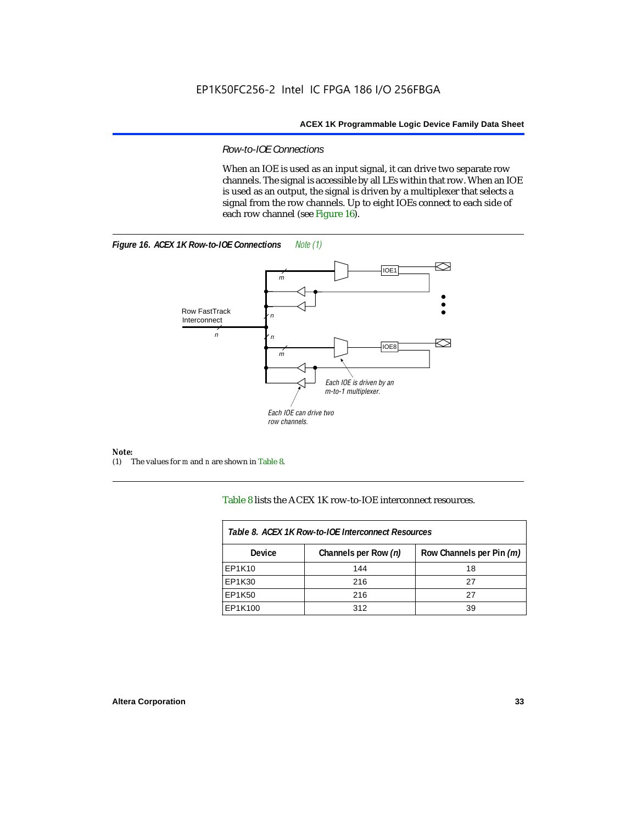### *Row-to-IOE Connections*

When an IOE is used as an input signal, it can drive two separate row channels. The signal is accessible by all LEs within that row. When an IOE is used as an output, the signal is driven by a multiplexer that selects a signal from the row channels. Up to eight IOEs connect to each side of each row channel (see Figure 16).





*Note:*<br>(1) 7 (1) The values for *m* and *n* are shown in Table 8.

Table 8 lists the ACEX 1K row-to-IOE interconnect resources.

| Table 8. ACEX 1K Row-to-IOE Interconnect Resources |                      |                          |  |  |  |
|----------------------------------------------------|----------------------|--------------------------|--|--|--|
| Device                                             | Channels per Row (n) | Row Channels per Pin (m) |  |  |  |
| EP1K10                                             | 144                  | 18                       |  |  |  |
| EP1K30                                             | 216                  | 27                       |  |  |  |
| EP1K50                                             | 216                  | 27                       |  |  |  |
| EP1K100                                            | 312                  | 39                       |  |  |  |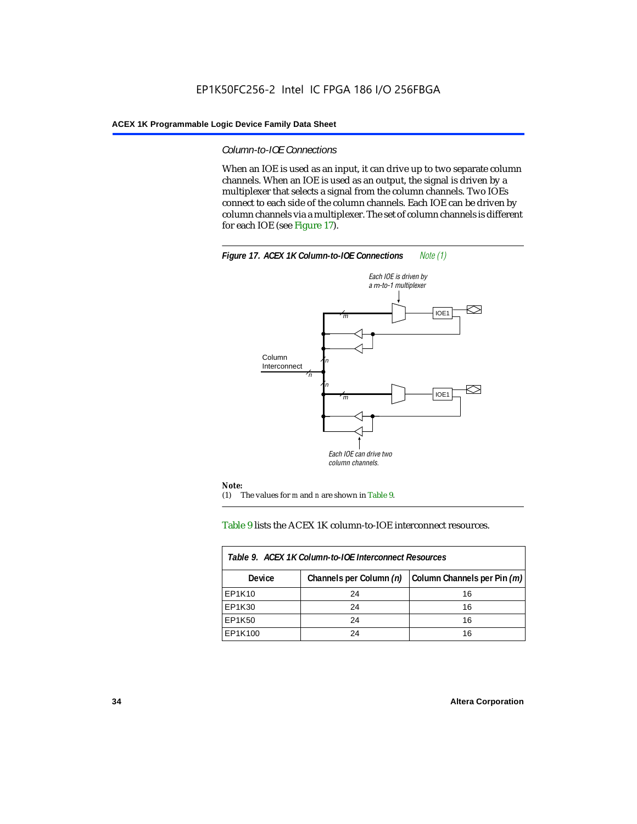### *Column-to-IOE Connections*

When an IOE is used as an input, it can drive up to two separate column channels. When an IOE is used as an output, the signal is driven by a multiplexer that selects a signal from the column channels. Two IOEs connect to each side of the column channels. Each IOE can be driven by column channels via a multiplexer. The set of column channels is different for each IOE (see Figure 17).



### Table 9 lists the ACEX 1K column-to-IOE interconnect resources.

| Table 9. ACEX 1K Column-to-IOE Interconnect Resources |                         |                             |  |  |  |
|-------------------------------------------------------|-------------------------|-----------------------------|--|--|--|
| Device                                                | Channels per Column (n) | Column Channels per Pin (m) |  |  |  |
| EP1K10                                                | 24                      | 16                          |  |  |  |
| EP1K30                                                | 24                      | 16                          |  |  |  |
| EP1K50                                                | 24                      | 16                          |  |  |  |
| EP1K100                                               | 24                      | 16                          |  |  |  |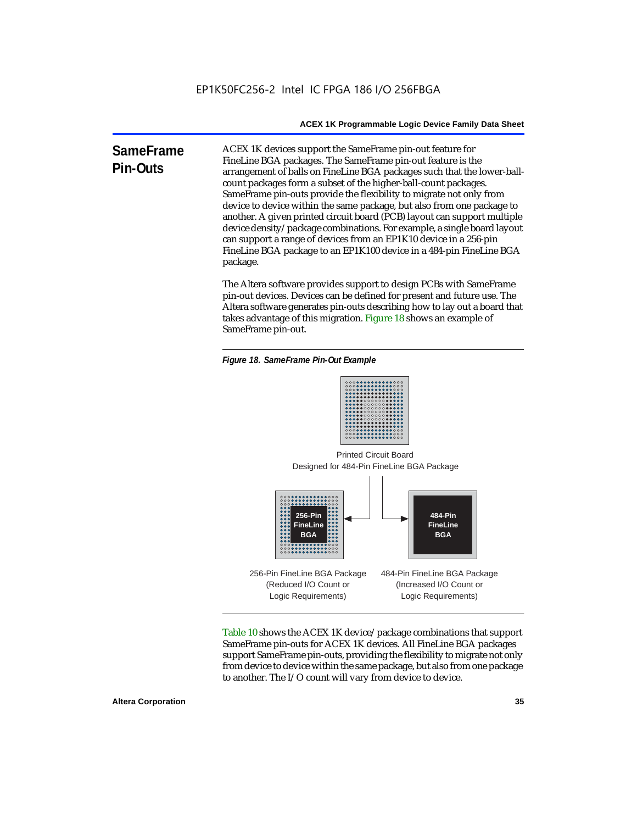**SameFrame Pin-Outs** ACEX 1K devices support the SameFrame pin-out feature for FineLine BGA packages. The SameFrame pin-out feature is the arrangement of balls on FineLine BGA packages such that the lower-ballcount packages form a subset of the higher-ball-count packages. SameFrame pin-outs provide the flexibility to migrate not only from device to device within the same package, but also from one package to another. A given printed circuit board (PCB) layout can support multiple device density/package combinations. For example, a single board layout can support a range of devices from an EP1K10 device in a 256-pin FineLine BGA package to an EP1K100 device in a 484-pin FineLine BGA package.

> The Altera software provides support to design PCBs with SameFrame pin-out devices. Devices can be defined for present and future use. The Altera software generates pin-outs describing how to lay out a board that takes advantage of this migration. Figure 18 shows an example of SameFrame pin-out.

*Figure 18. SameFrame Pin-Out Example*



Designed for 484-Pin FineLine BGA Package Printed Circuit Board



Table 10 shows the ACEX 1K device/package combinations that support SameFrame pin-outs for ACEX 1K devices. All FineLine BGA packages support SameFrame pin-outs, providing the flexibility to migrate not only from device to device within the same package, but also from one package to another. The I/O count will vary from device to device.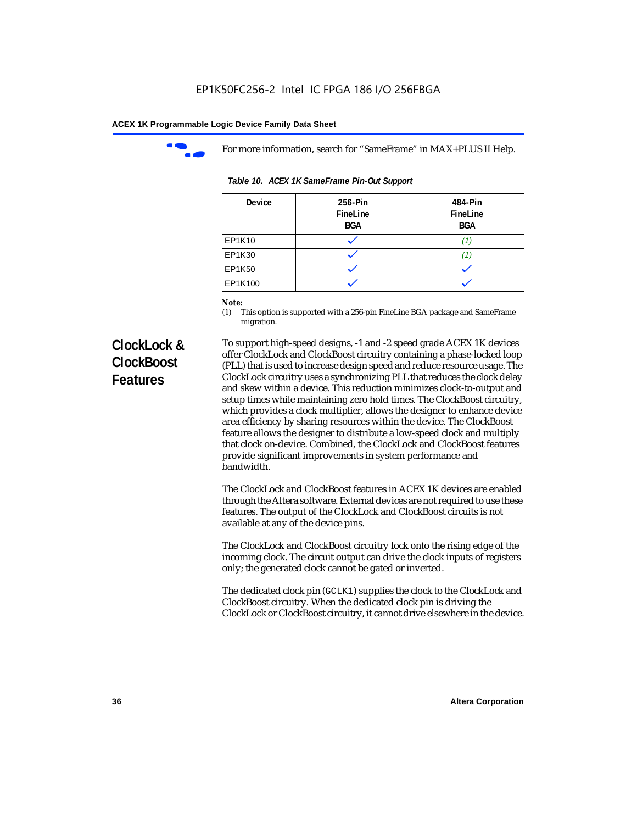

For more information, search for "SameFrame" in MAX+PLUS II Help.

| Table 10. ACEX 1K SameFrame Pin-Out Support |                                   |                                   |  |  |  |
|---------------------------------------------|-----------------------------------|-----------------------------------|--|--|--|
| <b>Device</b>                               | 256-Pin<br>FineLine<br><b>BGA</b> | 484-Pin<br>FineLine<br><b>BGA</b> |  |  |  |
| EP1K10                                      |                                   | (1)                               |  |  |  |
| EP1K30                                      |                                   |                                   |  |  |  |
| EP1K50                                      |                                   |                                   |  |  |  |
| EP1K100                                     |                                   |                                   |  |  |  |

# *Note:*<br>(1) **7**

This option is supported with a 256-pin FineLine BGA package and SameFrame migration.

# **ClockLock & ClockBoost Features**

To support high-speed designs, -1 and -2 speed grade ACEX 1K devices offer ClockLock and ClockBoost circuitry containing a phase-locked loop (PLL) that is used to increase design speed and reduce resource usage. The ClockLock circuitry uses a synchronizing PLL that reduces the clock delay and skew within a device. This reduction minimizes clock-to-output and setup times while maintaining zero hold times. The ClockBoost circuitry, which provides a clock multiplier, allows the designer to enhance device area efficiency by sharing resources within the device. The ClockBoost feature allows the designer to distribute a low-speed clock and multiply that clock on-device. Combined, the ClockLock and ClockBoost features provide significant improvements in system performance and bandwidth.

The ClockLock and ClockBoost features in ACEX 1K devices are enabled through the Altera software. External devices are not required to use these features. The output of the ClockLock and ClockBoost circuits is not available at any of the device pins.

The ClockLock and ClockBoost circuitry lock onto the rising edge of the incoming clock. The circuit output can drive the clock inputs of registers only; the generated clock cannot be gated or inverted.

The dedicated clock pin (GCLK1) supplies the clock to the ClockLock and ClockBoost circuitry. When the dedicated clock pin is driving the ClockLock or ClockBoost circuitry, it cannot drive elsewhere in the device.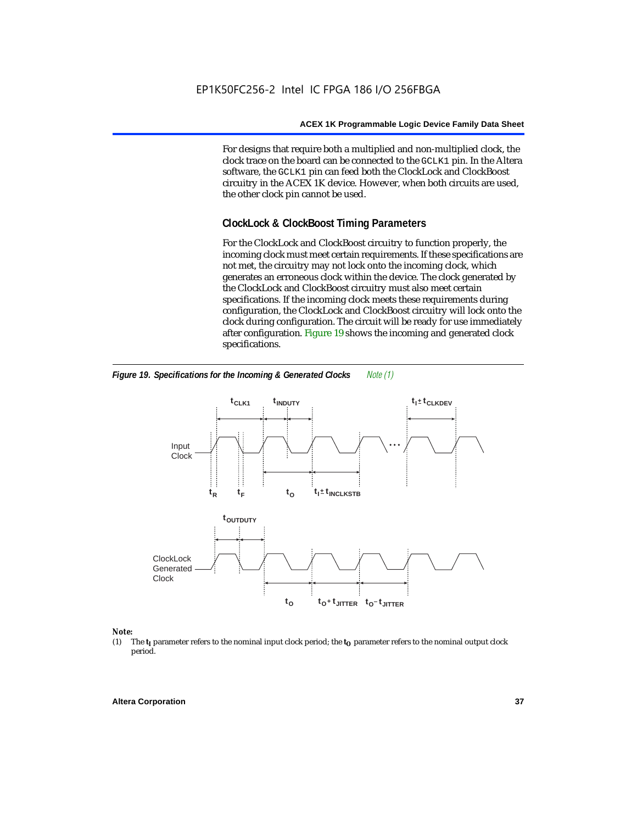For designs that require both a multiplied and non-multiplied clock, the clock trace on the board can be connected to the GCLK1 pin. In the Altera software, the GCLK1 pin can feed both the ClockLock and ClockBoost circuitry in the ACEX 1K device. However, when both circuits are used, the other clock pin cannot be used.

# **ClockLock & ClockBoost Timing Parameters**

For the ClockLock and ClockBoost circuitry to function properly, the incoming clock must meet certain requirements. If these specifications are not met, the circuitry may not lock onto the incoming clock, which generates an erroneous clock within the device. The clock generated by the ClockLock and ClockBoost circuitry must also meet certain specifications. If the incoming clock meets these requirements during configuration, the ClockLock and ClockBoost circuitry will lock onto the clock during configuration. The circuit will be ready for use immediately after configuration. Figure 19 shows the incoming and generated clock specifications.



*Figure 19. Specifications for the Incoming & Generated Clocks Note (1)*

# *Note:*<br>(1) 1

The  $t<sub>I</sub>$  parameter refers to the nominal input clock period; the  $t<sub>O</sub>$  parameter refers to the nominal output clock period.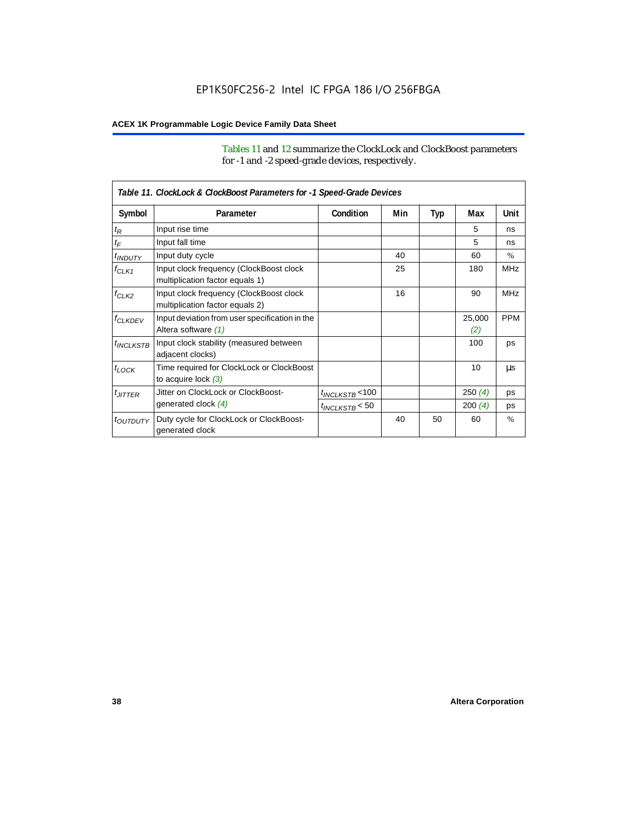Tables 11 and 12 summarize the ClockLock and ClockBoost parameters for -1 and -2 speed-grade devices, respectively.

|                       | Table 11. ClockLock & ClockBoost Parameters for -1 Speed-Grade Devices     |                      |     |     |               |               |
|-----------------------|----------------------------------------------------------------------------|----------------------|-----|-----|---------------|---------------|
| Symbol                | Parameter                                                                  | Condition            | Min | Typ | Max           | Unit          |
| $t_{\mathsf{R}}$      | Input rise time                                                            |                      |     |     | 5             | ns            |
| $t_{\mathsf{F}}$      | Input fall time                                                            |                      |     |     | 5             | ns            |
| <sup>t</sup> INDUTY   | Input duty cycle                                                           |                      | 40  |     | 60            | $\%$          |
| $f_{CLK1}$            | Input clock frequency (ClockBoost clock<br>multiplication factor equals 1) |                      | 25  |     | 180           | <b>MHz</b>    |
| $f_{CLK2}$            | Input clock frequency (ClockBoost clock<br>multiplication factor equals 2) |                      | 16  |     | 90            | <b>MHz</b>    |
| <b><i>fCLKDEV</i></b> | Input deviation from user specification in the<br>Altera software (1)      |                      |     |     | 25,000<br>(2) | <b>PPM</b>    |
| $t_{INCLKSTB}$        | Input clock stability (measured between<br>adjacent clocks)                |                      |     |     | 100           | ps            |
| $t_{LOCK}$            | Time required for ClockLock or ClockBoost<br>to acquire lock $(3)$         |                      |     |     | 10            | μs            |
| $t_{JITTER}$          | Jitter on ClockLock or ClockBoost-                                         | $t_{INCLKSTB}$ < 100 |     |     | 250(4)        | ps            |
|                       | generated clock (4)                                                        | $t_{INCLKSTB}$ < 50  |     |     | 200(4)        | ps            |
| <i>toutputy</i>       | Duty cycle for ClockLock or ClockBoost-<br>generated clock                 |                      | 40  | 50  | 60            | $\frac{0}{0}$ |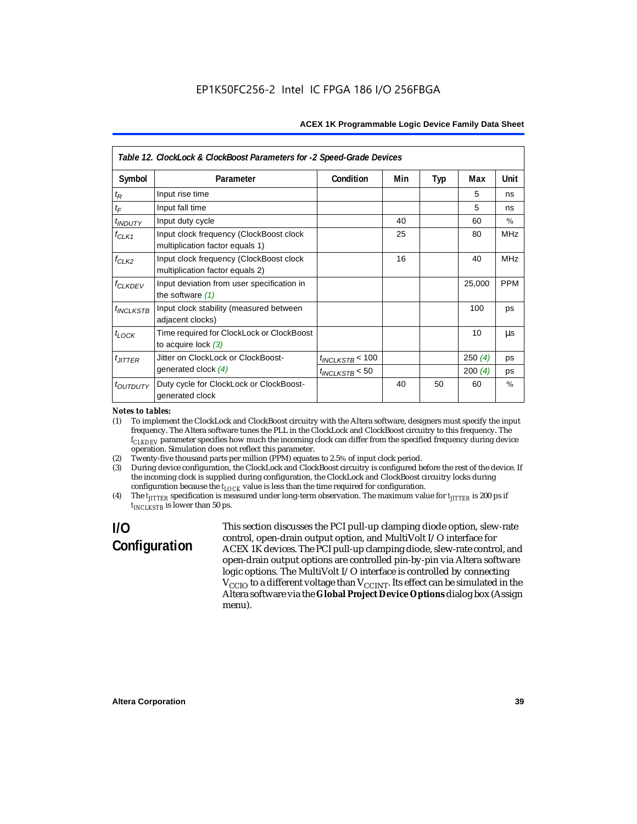| Table 12. ClockLock & ClockBoost Parameters for -2 Speed-Grade Devices |                                                                            |                      |     |     |        |               |
|------------------------------------------------------------------------|----------------------------------------------------------------------------|----------------------|-----|-----|--------|---------------|
| Symbol                                                                 | Parameter                                                                  | Condition            | Min | Typ | Max    | Unit          |
| $t_{R}$                                                                | Input rise time                                                            |                      |     |     | 5      | ns            |
| $t_F$                                                                  | Input fall time                                                            |                      |     |     | 5      | ns            |
| <i>t<sub>INDUTY</sub></i>                                              | Input duty cycle                                                           |                      | 40  |     | 60     | $\frac{0}{0}$ |
| $f_{CLK1}$                                                             | Input clock frequency (ClockBoost clock<br>multiplication factor equals 1) |                      | 25  |     | 80     | <b>MHz</b>    |
| $f_{CLK2}$                                                             | Input clock frequency (ClockBoost clock<br>multiplication factor equals 2) |                      | 16  |     | 40     | <b>MHz</b>    |
| <b>f<sub>CLKDEV</sub></b>                                              | Input deviation from user specification in<br>the software $(1)$           |                      |     |     | 25,000 | <b>PPM</b>    |
| $t_{INCLKSTB}$                                                         | Input clock stability (measured between<br>adjacent clocks)                |                      |     |     | 100    | ps            |
| $t_{LOCK}$                                                             | Time required for ClockLock or ClockBoost<br>to acquire lock $(3)$         |                      |     |     | 10     | μs            |
| $t_{JITTER}$                                                           | Jitter on ClockLock or ClockBoost-                                         | $t_{INCLKSTB}$ < 100 |     |     | 250(4) | ps            |
|                                                                        | generated clock $(4)$                                                      | $t_{INCLKSTB}$ < 50  |     |     | 200(4) | ps            |
| <i>toutputy</i>                                                        | Duty cycle for ClockLock or ClockBoost-<br>generated clock                 |                      | 40  | 50  | 60     | $\frac{0}{0}$ |

#### *Notes to tables:*

(1) To implement the ClockLock and ClockBoost circuitry with the Altera software, designers must specify the input frequency. The Altera software tunes the PLL in the ClockLock and ClockBoost circuitry to this frequency. The *fCLKDEV* parameter specifies how much the incoming clock can differ from the specified frequency during device operation. Simulation does not reflect this parameter.

- (2) Twenty-five thousand parts per million (PPM) equates to 2.5% of input clock period.
- (3) During device configuration, the ClockLock and ClockBoost circuitry is configured before the rest of the device. If the incoming clock is supplied during configuration, the ClockLock and ClockBoost circuitry locks during configuration because the  $t_{LOCK}$  value is less than the time required for configuration.
- (4) The  $t_{\text{ITTTER}}$  specification is measured under long-term observation. The maximum value for  $t_{\text{ITTTER}}$  is 200 ps if  $t_{INCIKSTR}$  is lower than 50 ps.

# **I/O Configuration**

This section discusses the PCI pull-up clamping diode option, slew-rate control, open-drain output option, and MultiVolt I/O interface for ACEX 1K devices. The PCI pull-up clamping diode, slew-rate control, and open-drain output options are controlled pin-by-pin via Altera software logic options. The MultiVolt I/O interface is controlled by connecting  $V_{\text{CCIO}}$  to a different voltage than  $V_{\text{CCINT}}$ . Its effect can be simulated in the Altera software via the **Global Project Device Options** dialog box (Assign menu).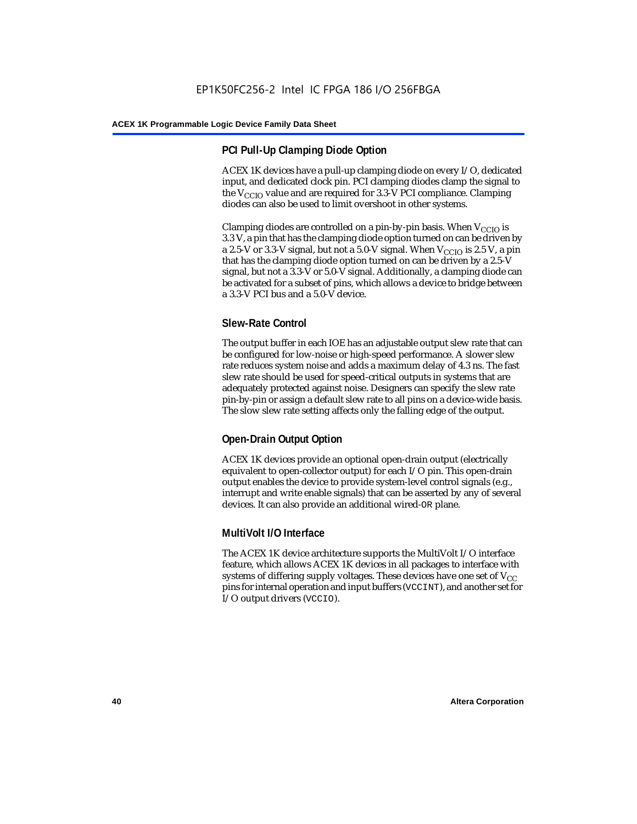# **PCI Pull-Up Clamping Diode Option**

ACEX 1K devices have a pull-up clamping diode on every I/O, dedicated input, and dedicated clock pin. PCI clamping diodes clamp the signal to the  $V_{\text{CCIO}}$  value and are required for 3.3-V PCI compliance. Clamping diodes can also be used to limit overshoot in other systems.

Clamping diodes are controlled on a pin-by-pin basis. When  $V_{CCIO}$  is 3.3 V, a pin that has the clamping diode option turned on can be driven by a 2.5-V or 3.3-V signal, but not a 5.0-V signal. When  $V_{CCIO}$  is 2.5 V, a pin that has the clamping diode option turned on can be driven by a 2.5-V signal, but not a 3.3-V or 5.0-V signal. Additionally, a clamping diode can be activated for a subset of pins, which allows a device to bridge between a 3.3-V PCI bus and a 5.0-V device.

# **Slew-Rate Control**

The output buffer in each IOE has an adjustable output slew rate that can be configured for low-noise or high-speed performance. A slower slew rate reduces system noise and adds a maximum delay of 4.3 ns. The fast slew rate should be used for speed-critical outputs in systems that are adequately protected against noise. Designers can specify the slew rate pin-by-pin or assign a default slew rate to all pins on a device-wide basis. The slow slew rate setting affects only the falling edge of the output.

# **Open-Drain Output Option**

ACEX 1K devices provide an optional open-drain output (electrically equivalent to open-collector output) for each I/O pin. This open-drain output enables the device to provide system-level control signals (e.g., interrupt and write enable signals) that can be asserted by any of several devices. It can also provide an additional wired-OR plane.

# **MultiVolt I/O Interface**

The ACEX 1K device architecture supports the MultiVolt I/O interface feature, which allows ACEX 1K devices in all packages to interface with systems of differing supply voltages. These devices have one set of  $V_{CC}$ pins for internal operation and input buffers (VCCINT), and another set for I/O output drivers (VCCIO).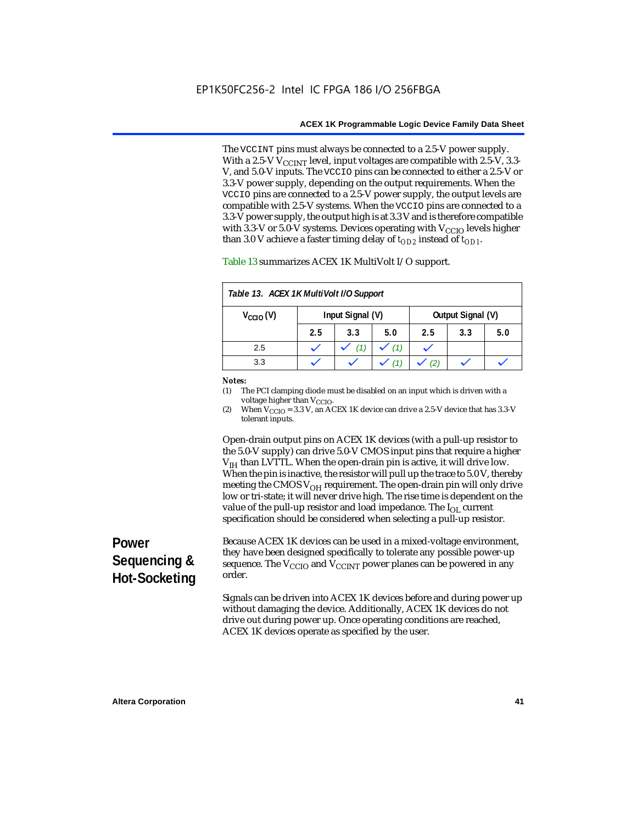The VCCINT pins must always be connected to a 2.5-V power supply. With a 2.5-V  $V_{CCMT}$  level, input voltages are compatible with 2.5-V, 3.3-V, and 5.0-V inputs. The VCCIO pins can be connected to either a 2.5-V or 3.3-V power supply, depending on the output requirements. When the VCCIO pins are connected to a 2.5-V power supply, the output levels are compatible with 2.5-V systems. When the VCCIO pins are connected to a 3.3-V power supply, the output high is at 3.3 V and is therefore compatible with 3.3-V or 5.0-V systems. Devices operating with  $V_{\text{CCIO}}$  levels higher than 3.0 V achieve a faster timing delay of  $t_{OD2}$  instead of  $t_{OD1}$ .

| Table 13. ACEX 1K MultiVolt I/O Support |                                       |     |     |     |     |     |
|-----------------------------------------|---------------------------------------|-----|-----|-----|-----|-----|
| $V_{\text{CCIO}}(V)$                    | Input Signal (V)<br>Output Signal (V) |     |     |     |     |     |
|                                         | 2.5                                   | 3.3 | 5.0 | 2.5 | 3.3 | 5.0 |
| 2.5                                     |                                       |     | (1) |     |     |     |
| 3.3                                     |                                       |     |     |     |     |     |

Table 13 summarizes ACEX 1K MultiVolt I/O support.

#### *Notes:*

(1) The PCI clamping diode must be disabled on an input which is driven with a voltage higher than V<sub>CCIO</sub>.

(2) When  $V_{\text{CCIO}} = 3.3$  V, an ACEX 1K device can drive a 2.5-V device that has 3.3-V tolerant inputs.

Open-drain output pins on ACEX 1K devices (with a pull-up resistor to the 5.0-V supply) can drive 5.0-V CMOS input pins that require a higher  $V<sub>IH</sub>$  than LVTTL. When the open-drain pin is active, it will drive low. When the pin is inactive, the resistor will pull up the trace to 5.0 V, thereby meeting the CMOS  $V_{OH}$  requirement. The open-drain pin will only drive low or tri-state; it will never drive high. The rise time is dependent on the value of the pull-up resistor and load impedance. The  $I_{OL}$  current specification should be considered when selecting a pull-up resistor.

# **Power Sequencing & Hot-Socketing**

Because ACEX 1K devices can be used in a mixed-voltage environment, they have been designed specifically to tolerate any possible power-up sequence. The  $V_{\text{CCIO}}$  and  $V_{\text{CCINT}}$  power planes can be powered in any order.

Signals can be driven into ACEX 1K devices before and during power up without damaging the device. Additionally, ACEX 1K devices do not drive out during power up. Once operating conditions are reached, ACEX 1K devices operate as specified by the user.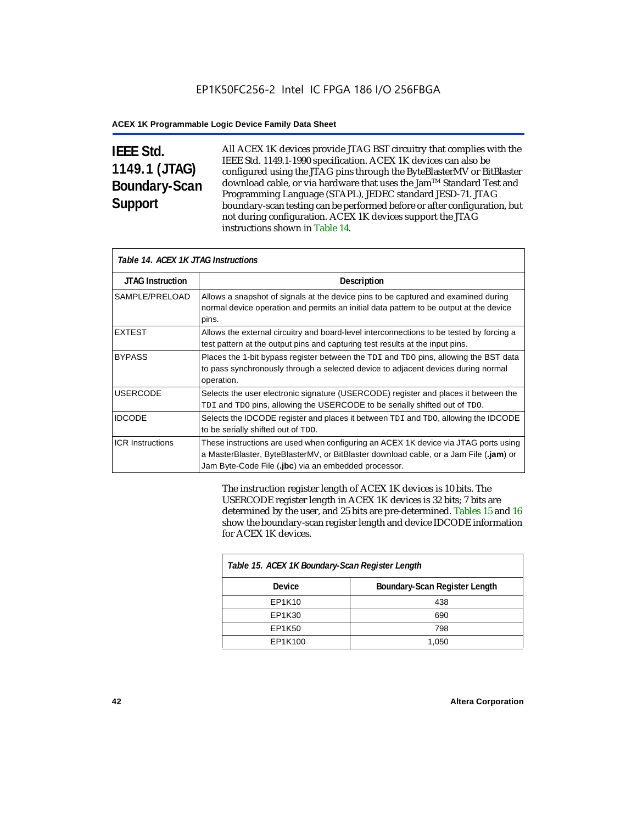# **IEEE Std. 1149.1 (JTAG) Boundary-Scan Support**

All ACEX 1K devices provide JTAG BST circuitry that complies with the IEEE Std. 1149.1-1990 specification. ACEX 1K devices can also be configured using the JTAG pins through the ByteBlasterMV or BitBlaster download cable, or via hardware that uses the Jam™ Standard Test and Programming Language (STAPL), JEDEC standard JESD-71. JTAG boundary-scan testing can be performed before or after configuration, but not during configuration. ACEX 1K devices support the JTAG instructions shown in Table 14.

| Table 14. ACEX 1K JTAG Instructions |                                                                                                                                                                                                                                      |  |  |  |
|-------------------------------------|--------------------------------------------------------------------------------------------------------------------------------------------------------------------------------------------------------------------------------------|--|--|--|
| <b>JTAG Instruction</b>             | <b>Description</b>                                                                                                                                                                                                                   |  |  |  |
| SAMPLE/PRELOAD                      | Allows a snapshot of signals at the device pins to be captured and examined during<br>normal device operation and permits an initial data pattern to be output at the device<br>pins.                                                |  |  |  |
| <b>EXTEST</b>                       | Allows the external circuitry and board-level interconnections to be tested by forcing a<br>test pattern at the output pins and capturing test results at the input pins.                                                            |  |  |  |
| <b>BYPASS</b>                       | Places the 1-bit bypass register between the TDI and TDO pins, allowing the BST data<br>to pass synchronously through a selected device to adjacent devices during normal<br>operation.                                              |  |  |  |
| <b>USERCODE</b>                     | Selects the user electronic signature (USERCODE) register and places it between the<br>TDI and TDO pins, allowing the USERCODE to be serially shifted out of TDO.                                                                    |  |  |  |
| <b>IDCODE</b>                       | Selects the IDCODE register and places it between TDI and TDO, allowing the IDCODE<br>to be serially shifted out of TDO.                                                                                                             |  |  |  |
| <b>ICR Instructions</b>             | These instructions are used when configuring an ACEX 1K device via JTAG ports using<br>a MasterBlaster, ByteBlasterMV, or BitBlaster download cable, or a Jam File (.jam) or<br>Jam Byte-Code File (.jbc) via an embedded processor. |  |  |  |

The instruction register length of ACEX 1K devices is 10 bits. The USERCODE register length in ACEX 1K devices is 32 bits; 7 bits are determined by the user, and 25 bits are pre-determined. Tables 15 and 16 show the boundary-scan register length and device IDCODE information for ACEX 1K devices.

| Table 15. ACEX 1K Boundary-Scan Register Length |                               |  |  |  |
|-------------------------------------------------|-------------------------------|--|--|--|
| Device                                          | Boundary-Scan Register Length |  |  |  |
| EP1K10                                          | 438                           |  |  |  |
| EP1K30                                          | 690                           |  |  |  |
| EP1K50                                          | 798                           |  |  |  |
| EP1K100                                         | 1,050                         |  |  |  |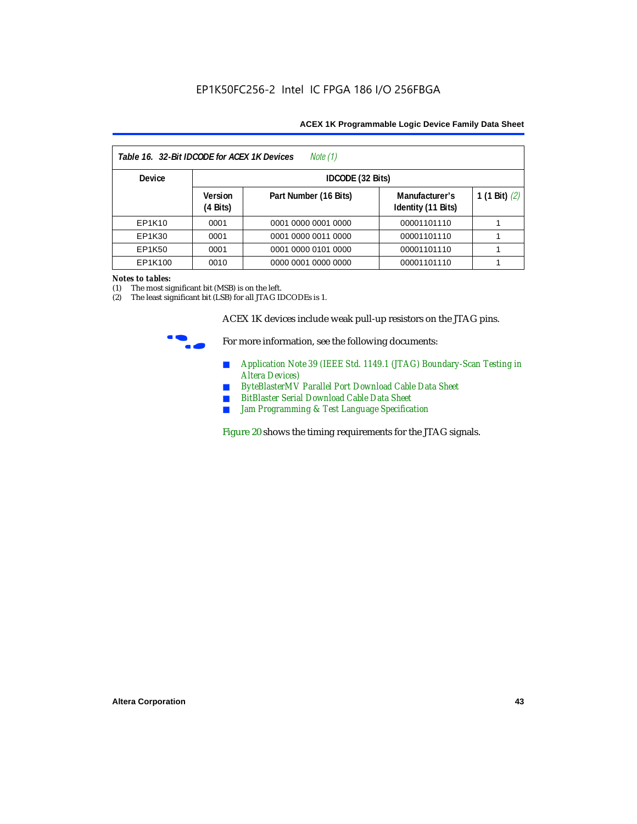| Table 16. 32-Bit IDCODE for ACEX 1K Devices<br>Note (1) |                                      |                       |                                      |                 |  |  |  |
|---------------------------------------------------------|--------------------------------------|-----------------------|--------------------------------------|-----------------|--|--|--|
| <b>Device</b>                                           |                                      | IDCODE (32 Bits)      |                                      |                 |  |  |  |
|                                                         | <b>Version</b><br>$(4 \text{ Bits})$ | Part Number (16 Bits) | Manufacturer's<br>Identity (11 Bits) | 1 (1 Bit) $(2)$ |  |  |  |
| EP1K10                                                  | 0001                                 | 0001 0000 0001 0000   | 00001101110                          |                 |  |  |  |
| EP1K30                                                  | 0001                                 | 0001 0000 0011 0000   | 00001101110                          |                 |  |  |  |
| EP1K50                                                  | 0001                                 | 0001 0000 0101 0000   | 00001101110                          |                 |  |  |  |
| EP1K100                                                 | 0010                                 | 0000 0001 0000 0000   | 00001101110                          |                 |  |  |  |

#### *Notes to tables:*

(1) The most significant bit (MSB) is on the left.

(2) The least significant bit (LSB) for all JTAG IDCODEs is 1.

ACEX 1K devices include weak pull-up resistors on the JTAG pins.



For more information, see the following documents:

- *Application Note 39 (IEEE Std. 1149.1 (JTAG) Boundary-Scan Testing in Altera Devices)*
- *ByteBlasterMV Parallel Port Download Cable Data Sheet*
- *BitBlaster Serial Download Cable Data Sheet*
- *Jam Programming & Test Language Specification*

Figure 20 shows the timing requirements for the JTAG signals.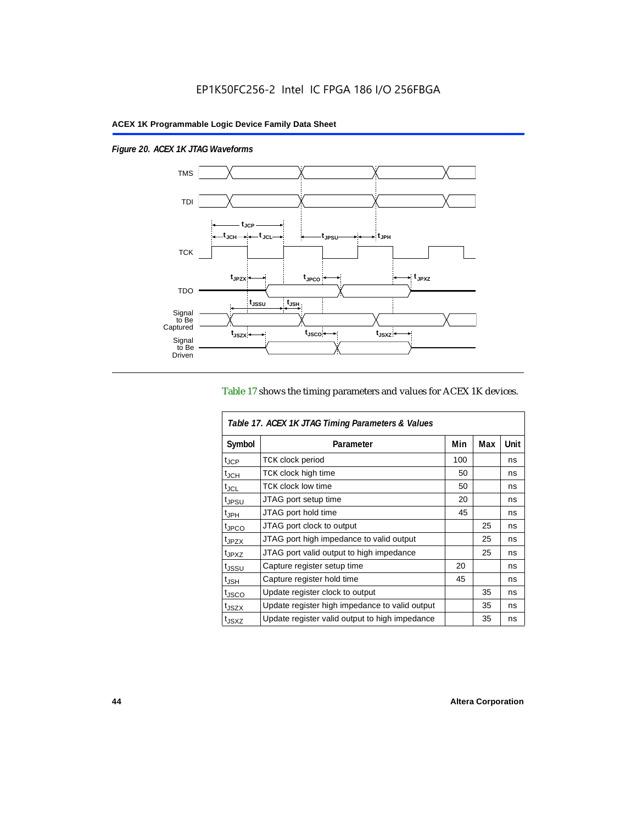$\overline{1}$ 

*Figure 20. ACEX 1K JTAG Waveforms*



### Table 17 shows the timing parameters and values for ACEX 1K devices.

| Table 17. ACEX 1K JTAG Timing Parameters & Values |                                                |     |     |      |  |  |
|---------------------------------------------------|------------------------------------------------|-----|-----|------|--|--|
| Symbol                                            | Parameter                                      | Min | Max | Unit |  |  |
| t <sub>JCP</sub>                                  | <b>TCK clock period</b>                        | 100 |     | ns   |  |  |
| $t_{JCH}$                                         | TCK clock high time                            | 50  |     | ns   |  |  |
| t <sub>JCL</sub>                                  | <b>TCK clock low time</b>                      | 50  |     | ns   |  |  |
| <sup>t</sup> JPSU                                 | JTAG port setup time                           | 20  |     | ns   |  |  |
| $t_{\rm JPH}$                                     | JTAG port hold time                            | 45  |     | ns   |  |  |
| t <sub>JPCO</sub>                                 | JTAG port clock to output                      |     | 25  | ns   |  |  |
| t <sub>JPZX</sub>                                 | JTAG port high impedance to valid output       |     | 25  | ns   |  |  |
| t <sub>JPXZ</sub>                                 | JTAG port valid output to high impedance       |     | 25  | ns   |  |  |
| tjssu                                             | Capture register setup time                    | 20  |     | ns   |  |  |
| $t_{JSH}$                                         | Capture register hold time                     | 45  |     | ns   |  |  |
| t <sub>JSCO</sub>                                 | Update register clock to output                |     | 35  | ns   |  |  |
| t <sub>JSZX</sub>                                 | Update register high impedance to valid output |     | 35  | ns   |  |  |
| t <sub>JSXZ</sub>                                 | Update register valid output to high impedance |     | 35  | ns   |  |  |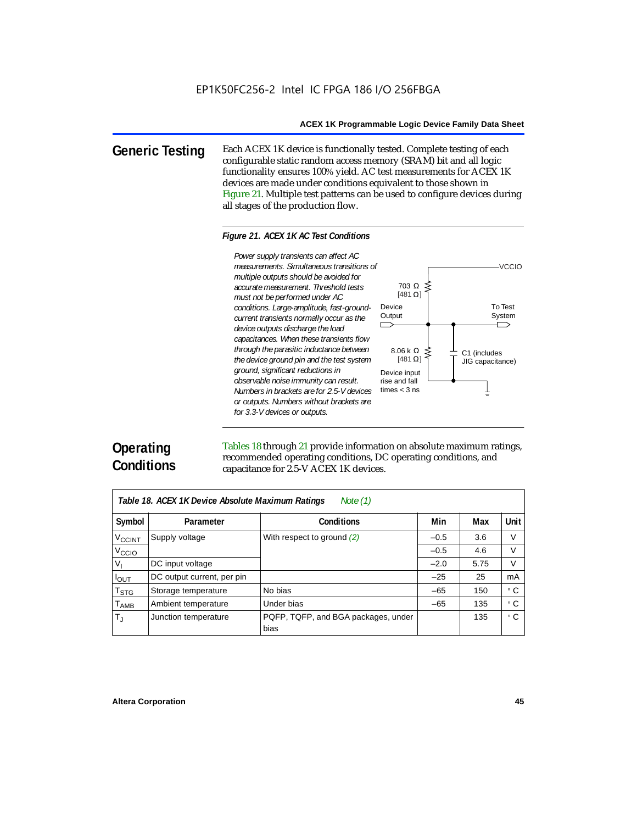**Generic Testing** Each ACEX 1K device is functionally tested. Complete testing of each configurable static random access memory (SRAM) bit and all logic functionality ensures 100% yield. AC test measurements for ACEX 1K devices are made under conditions equivalent to those shown in Figure 21. Multiple test patterns can be used to configure devices during all stages of the production flow.

#### *Figure 21. ACEX 1K AC Test Conditions*



# **Operating Conditions**

Tables 18 through 21 provide information on absolute maximum ratings, recommended operating conditions, DC operating conditions, and capacitance for 2.5-V ACEX 1K devices.

| Note $(1)$<br>Table 18. ACEX 1K Device Absolute Maximum Ratings |                            |                                             |        |      |           |  |  |
|-----------------------------------------------------------------|----------------------------|---------------------------------------------|--------|------|-----------|--|--|
| Symbol                                                          | Parameter                  | Conditions                                  | Min    | Max  | Unit      |  |  |
| <b>V<sub>CCINT</sub></b>                                        | Supply voltage             | With respect to ground $(2)$                | $-0.5$ | 3.6  | V         |  |  |
| V <sub>CCIO</sub>                                               |                            |                                             | $-0.5$ | 4.6  | V         |  |  |
| V,                                                              | DC input voltage           |                                             | $-2.0$ | 5.75 | V         |  |  |
| $I_{OUT}$                                                       | DC output current, per pin |                                             | $-25$  | 25   | mA        |  |  |
| $\mathsf{T}_{\textsf{STG}}$                                     | Storage temperature        | No bias                                     | $-65$  | 150  | ۰c        |  |  |
| $T_{\sf AMB}$                                                   | Ambient temperature        | Under bias                                  | $-65$  | 135  | $\circ$ C |  |  |
| $T_{\rm J}$                                                     | Junction temperature       | PQFP, TQFP, and BGA packages, under<br>bias |        | 135  | ۰c        |  |  |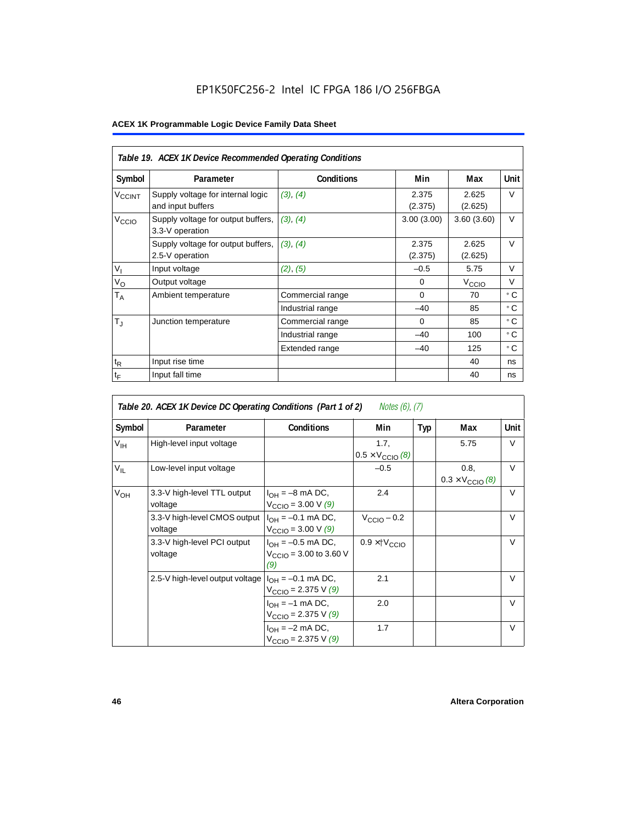# EP1K50FC256-2 Intel IC FPGA 186 I/O 256FBGA

|                             | Table 19. ACEX 1K Device Recommended Operating Conditions |                   |                  |                   |             |  |  |  |
|-----------------------------|-----------------------------------------------------------|-------------------|------------------|-------------------|-------------|--|--|--|
| Symbol                      | Parameter                                                 | <b>Conditions</b> | Min              | Max               | <b>Unit</b> |  |  |  |
| V <sub>CCINT</sub>          | Supply voltage for internal logic<br>and input buffers    | (3), (4)          | 2.375<br>(2.375) | 2.625<br>(2.625)  | V           |  |  |  |
| V <sub>CCIO</sub>           | Supply voltage for output buffers,<br>3.3-V operation     | (3), (4)          | 3.00(3.00)       | 3.60(3.60)        | $\vee$      |  |  |  |
|                             | Supply voltage for output buffers,<br>2.5-V operation     | (3), (4)          | 2.375<br>(2.375) | 2.625<br>(2.625)  | $\vee$      |  |  |  |
| $V_{I}$                     | Input voltage                                             | (2), (5)          | $-0.5$           | 5.75              | V           |  |  |  |
| $V_{\rm O}$                 | Output voltage                                            |                   | $\Omega$         | V <sub>ccio</sub> | V           |  |  |  |
| $\mathsf{T}_\mathsf{A}$     | Ambient temperature                                       | Commercial range  | $\Omega$         | 70                | ۰c          |  |  |  |
|                             |                                                           | Industrial range  | $-40$            | 85                | ۰c          |  |  |  |
| $T_{\rm J}$                 | Junction temperature                                      | Commercial range  | 0                | 85                | ۰c          |  |  |  |
|                             |                                                           | Industrial range  | $-40$            | 100               | ° C         |  |  |  |
|                             |                                                           | Extended range    | $-40$            | 125               | ° C         |  |  |  |
| $\mathfrak{t}_{\mathsf{R}}$ | Input rise time                                           |                   |                  | 40                | ns          |  |  |  |
| $t_{\mathsf{F}}$            | Input fall time                                           |                   |                  | 40                | ns          |  |  |  |

|                 | Table 20. ACEX 1K Device DC Operating Conditions (Part 1 of 2)<br><i>Notes (6), (7)</i> |                                                                     |                                          |     |                                          |        |  |  |  |
|-----------------|-----------------------------------------------------------------------------------------|---------------------------------------------------------------------|------------------------------------------|-----|------------------------------------------|--------|--|--|--|
| Symbol          | Parameter                                                                               | <b>Conditions</b>                                                   | Min                                      | Typ | Max                                      | Unit   |  |  |  |
| $V_{\text{IH}}$ | High-level input voltage                                                                |                                                                     | 1.7.<br>$0.5 \times V_{\text{CCIO}}$ (8) |     | 5.75                                     | V      |  |  |  |
| $V_{IL}$        | Low-level input voltage                                                                 |                                                                     | $-0.5$                                   |     | 0.8,<br>$0.3 \times V_{\text{CCIO}}$ (8) | V      |  |  |  |
| V <sub>OH</sub> | 3.3-V high-level TTL output<br>voltage                                                  | $I_{OH} = -8$ mA DC,<br>$V_{\text{CCIO}} = 3.00 \text{ V } (9)$     | 2.4                                      |     |                                          | V      |  |  |  |
|                 | 3.3-V high-level CMOS output<br>voltage                                                 | $I_{OH} = -0.1$ mA DC,<br>$V_{\text{CCIO}} = 3.00 \text{ V} (9)$    | $V_{CClO}$ – 0.2                         |     |                                          | $\vee$ |  |  |  |
|                 | 3.3-V high-level PCI output<br>voltage                                                  | $I_{OH} = -0.5$ mA DC,<br>$V_{\text{CCIO}} = 3.00$ to 3.60 V<br>(9) | $0.9 \times$ † $V_{\text{CCIO}}$         |     |                                          | $\vee$ |  |  |  |
|                 | 2.5-V high-level output voltage                                                         | $I_{OH} = -0.1$ mA DC,<br>$V_{\text{CCIO}} = 2.375 \text{ V} (9)$   | 2.1                                      |     |                                          | $\vee$ |  |  |  |
|                 |                                                                                         | $I_{OH} = -1$ mA DC,<br>$V_{\text{CCIO}} = 2.375 \text{ V} (9)$     | 2.0                                      |     |                                          | $\vee$ |  |  |  |
|                 |                                                                                         | $I_{OH} = -2$ mA DC,<br>$V_{\text{CCIO}} = 2.375 \text{ V} (9)$     | 1.7                                      |     |                                          | $\vee$ |  |  |  |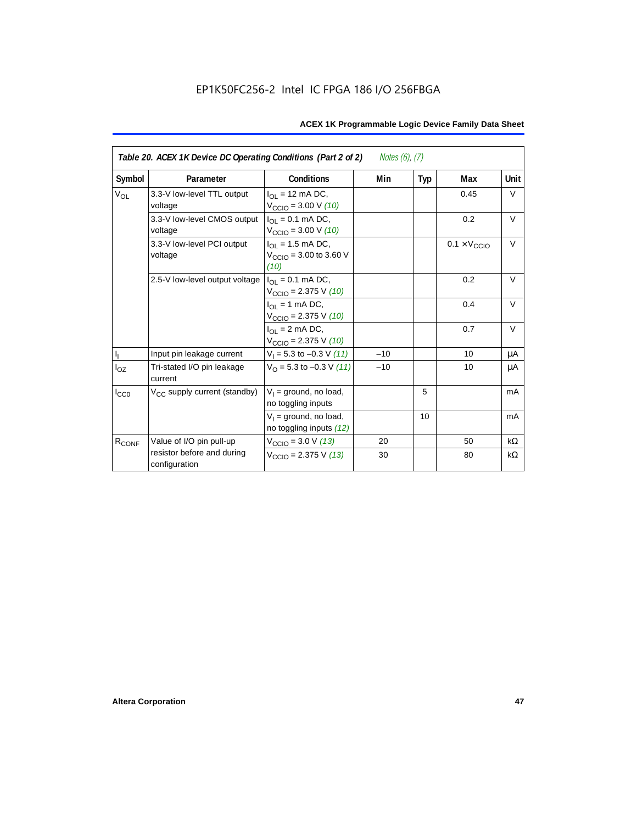| Table 20. ACEX 1K Device DC Operating Conditions (Part 2 of 2)<br><i>Notes (6), (7)</i> |                                             |                                                                         |       |     |                              |           |
|-----------------------------------------------------------------------------------------|---------------------------------------------|-------------------------------------------------------------------------|-------|-----|------------------------------|-----------|
| Symbol                                                                                  | Parameter                                   | <b>Conditions</b>                                                       | Min   | Typ | Max                          | Unit      |
| <b>V<sub>OL</sub></b>                                                                   | 3.3-V low-level TTL output<br>voltage       | $I_{\Omega}$ = 12 mA DC,<br>$V_{\text{CCIO}} = 3.00 \text{ V} (10)$     |       |     | 0.45                         | $\vee$    |
|                                                                                         | 3.3-V low-level CMOS output<br>voltage      | $I_{OL} = 0.1$ mA DC,<br>$V_{\text{CCIO}} = 3.00 \text{ V} (10)$        |       |     | 0.2                          | $\vee$    |
|                                                                                         | 3.3-V low-level PCI output<br>voltage       | $I_{OL}$ = 1.5 mA DC,<br>$V_{\text{CCIO}} = 3.00$ to 3.60 V<br>(10)     |       |     | $0.1 \times V_{\text{CCIO}}$ | $\vee$    |
|                                                                                         | 2.5-V low-level output voltage              | $I_{\Omega I} = 0.1$ mA DC,<br>$V_{\text{CCIO}} = 2.375 \text{ V} (10)$ |       |     | 0.2                          | $\vee$    |
|                                                                                         |                                             | $I_{OL}$ = 1 mA DC,<br>$V_{\text{CCIO}} = 2.375 \text{ V} (10)$         |       |     | 0.4                          | $\vee$    |
|                                                                                         |                                             | $I_{\Omega}$ = 2 mA DC,<br>$V_{\text{CCIO}} = 2.375 \text{ V} (10)$     |       |     | 0.7                          | $\vee$    |
| $\mathsf{I}_\mathrm{I}$                                                                 | Input pin leakage current                   | $V_1 = 5.3$ to $-0.3$ V (11)                                            | $-10$ |     | 10                           | μA        |
| $I_{OZ}$                                                                                | Tri-stated I/O pin leakage<br>current       | $V_{\Omega}$ = 5.3 to -0.3 V (11)                                       | $-10$ |     | 10                           | μA        |
| $I_{CC0}$                                                                               | V <sub>CC</sub> supply current (standby)    | $V_1$ = ground, no load,<br>no toggling inputs                          |       | 5   |                              | mA        |
|                                                                                         |                                             | $V_1$ = ground, no load,<br>no toggling inputs (12)                     |       | 10  |                              | mA        |
| R <sub>CONF</sub>                                                                       | Value of I/O pin pull-up                    | $V_{\text{CCIO}} = 3.0 \text{ V} (13)$                                  | 20    |     | 50                           | $k\Omega$ |
|                                                                                         | resistor before and during<br>configuration | $V_{\text{CCIO}} = 2.375 \text{ V} (13)$                                | 30    |     | 80                           | $k\Omega$ |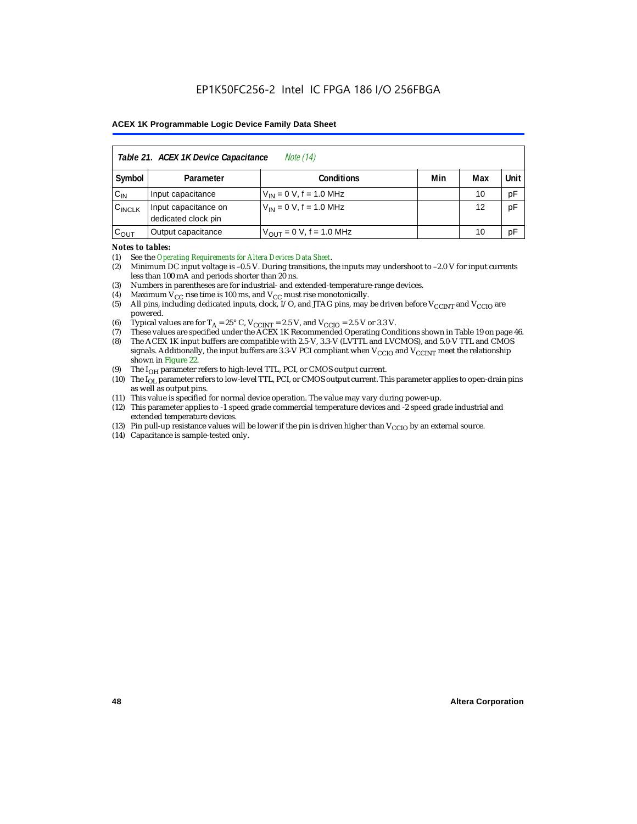| Table 21. ACEX 1K Device Capacitance<br><i>Note</i> (14) |                                                      |                                     |  |    |    |  |  |  |
|----------------------------------------------------------|------------------------------------------------------|-------------------------------------|--|----|----|--|--|--|
| Symbol                                                   | Min<br>Unit<br>Max<br><b>Conditions</b><br>Parameter |                                     |  |    |    |  |  |  |
| $C_{IN}$                                                 | Input capacitance                                    | $V_{IN} = 0 V$ , f = 1.0 MHz        |  | 10 | pF |  |  |  |
| $C_{\text{INCLK}}$                                       | Input capacitance on<br>dedicated clock pin          | $V_{1N} = 0 V$ , f = 1.0 MHz        |  | 12 | pF |  |  |  |
| $C_{OUT}$                                                | Output capacitance                                   | $V_{\text{OUT}} = 0$ V, f = 1.0 MHz |  | 10 | рF |  |  |  |

#### *Notes to tables:*

(1) See the *Operating Requirements for Altera Devices Data Sheet*.

- (2) Minimum DC input voltage is –0.5 V. During transitions, the inputs may undershoot to –2.0 V for input currents less than 100 mA and periods shorter than 20 ns.
- (3) Numbers in parentheses are for industrial- and extended-temperature-range devices.
- (4) Maximum  $V_{CC}$  rise time is 100 ms, and  $V_{CC}$  must rise monotonically.<br>(5) All pins, including dedicated inputs, clock, I/O, and JTAG pins, may
- All pins, including dedicated inputs, clock, I/O, and JTAG pins, may be driven before  $V_{\text{CCINT}}$  and  $V_{\text{CCIO}}$  are powered.
- (6) Typical values are for  $T_A = 25^\circ$  C,  $V_{CClNT} = 2.5$  V, and  $V_{CClO} = 2.5$  V or 3.3 V.<br>(7) These values are specified under the ACEX 1K Recommended Operating Cone
- (7) These values are specified under the ACEX 1K Recommended Operating Conditions shown in Table 19 on page 46.<br>(8) The ACEX 1K input buffers are compatible with 2.5-V. 3.3-V (LVTTL and LVCMOS), and 5.0-V TTL and CMOS
- The ACEX 1K input buffers are compatible with 2.5-V, 3.3-V (LVTTL and LVCMOS), and 5.0-V TTL and CMOS signals. Additionally, the input buffers are 3.3-V PCI compliant when  $V_{CCIO}$  and  $V_{CCINT}$  meet the relationship shown in Figure 22.
- (9) The  $I_{OH}$  parameter refers to high-level TTL, PCI, or CMOS output current.
- (10) The I<sub>OL</sub> parameter refers to low-level TTL, PCI, or CMOS output current. This parameter applies to open-drain pins as well as output pins.
- (11) This value is specified for normal device operation. The value may vary during power-up.
- (12) This parameter applies to -1 speed grade commercial temperature devices and -2 speed grade industrial and extended temperature devices.
- (13) Pin pull-up resistance values will be lower if the pin is driven higher than  $V_{\text{CCIO}}$  by an external source.
- (14) Capacitance is sample-tested only.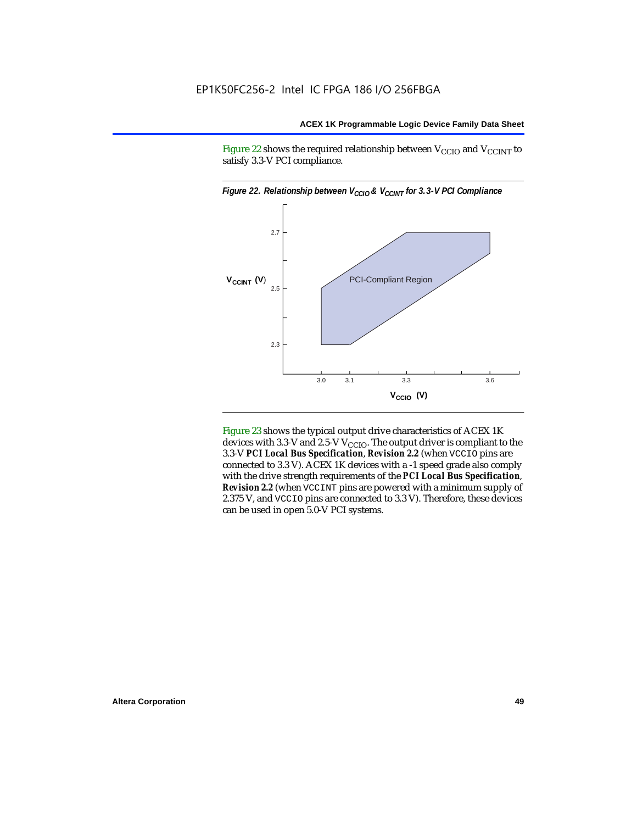Figure 22 shows the required relationship between  $V_{\text{CCIO}}$  and  $V_{\text{CCINT}}$  to satisfy 3.3-V PCI compliance.



Figure 23 shows the typical output drive characteristics of ACEX 1K devices with 3.3-V and 2.5-V  $V_{\text{CCIO}}$ . The output driver is compliant to the 3.3-V *PCI Local Bus Specification*, *Revision 2.2* (when VCCIO pins are connected to 3.3 V). ACEX 1K devices with a -1 speed grade also comply with the drive strength requirements of the *PCI Local Bus Specification*, *Revision 2.2* (when VCCINT pins are powered with a minimum supply of 2.375 V, and VCCIO pins are connected to 3.3 V). Therefore, these devices can be used in open 5.0-V PCI systems.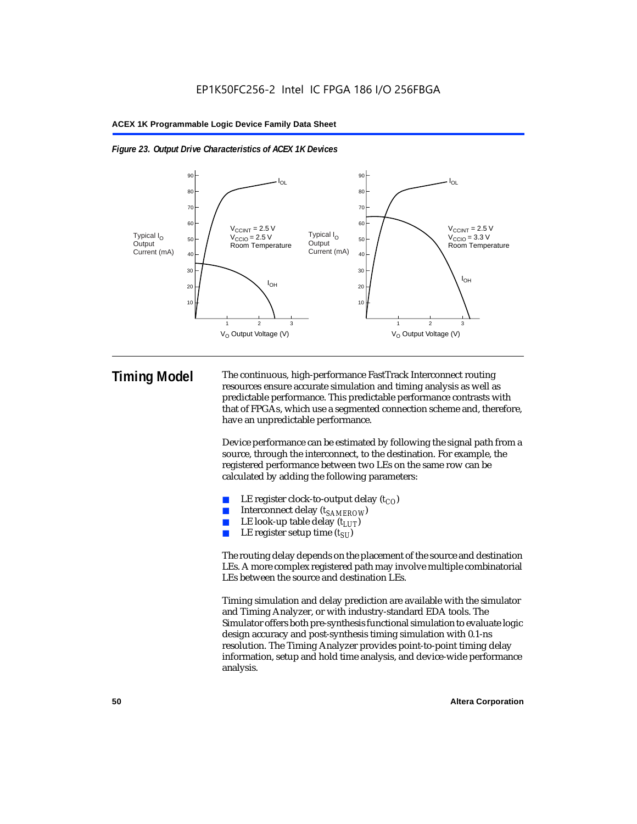



**Timing Model** The continuous, high-performance FastTrack Interconnect routing resources ensure accurate simulation and timing analysis as well as predictable performance. This predictable performance contrasts with that of FPGAs, which use a segmented connection scheme and, therefore, have an unpredictable performance.

> Device performance can be estimated by following the signal path from a source, through the interconnect, to the destination. For example, the registered performance between two LEs on the same row can be calculated by adding the following parameters:

- LE register clock-to-output delay  $(t_{CO})$
- Interconnect delay ( $t_{SAMFROW}$ )
- **■** LE look-up table delay  $(t_{LUT})$ <br>
 LE register setup time  $(t_{SL})$
- LE register setup time  $(t_{SI})$

The routing delay depends on the placement of the source and destination LEs. A more complex registered path may involve multiple combinatorial LEs between the source and destination LEs.

Timing simulation and delay prediction are available with the simulator and Timing Analyzer, or with industry-standard EDA tools. The Simulator offers both pre-synthesis functional simulation to evaluate logic design accuracy and post-synthesis timing simulation with 0.1-ns resolution. The Timing Analyzer provides point-to-point timing delay information, setup and hold time analysis, and device-wide performance analysis.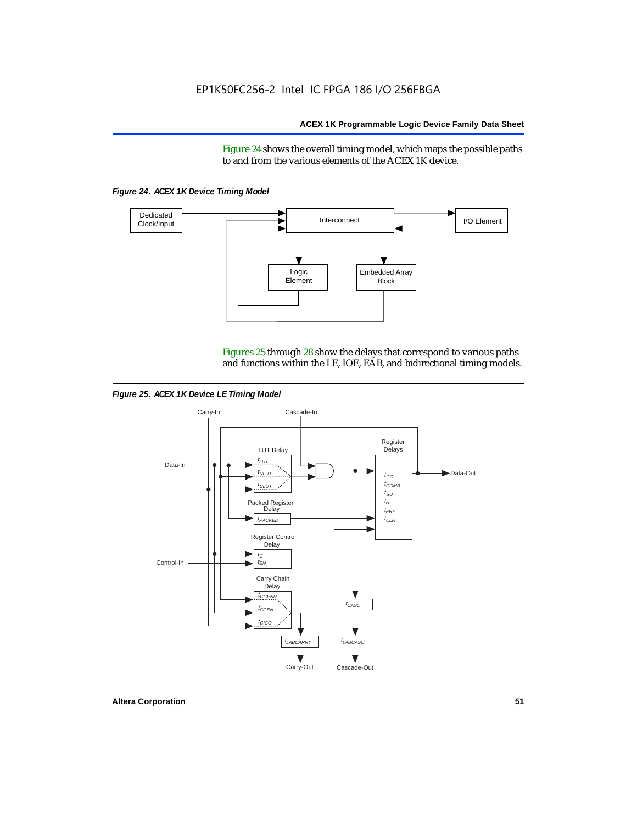Figure 24 shows the overall timing model, which maps the possible paths to and from the various elements of the ACEX 1K device.

*Figure 24. ACEX 1K Device Timing Model*



Figures 25 through 28 show the delays that correspond to various paths and functions within the LE, IOE, EAB, and bidirectional timing models.

*Figure 25. ACEX 1K Device LE Timing Model*

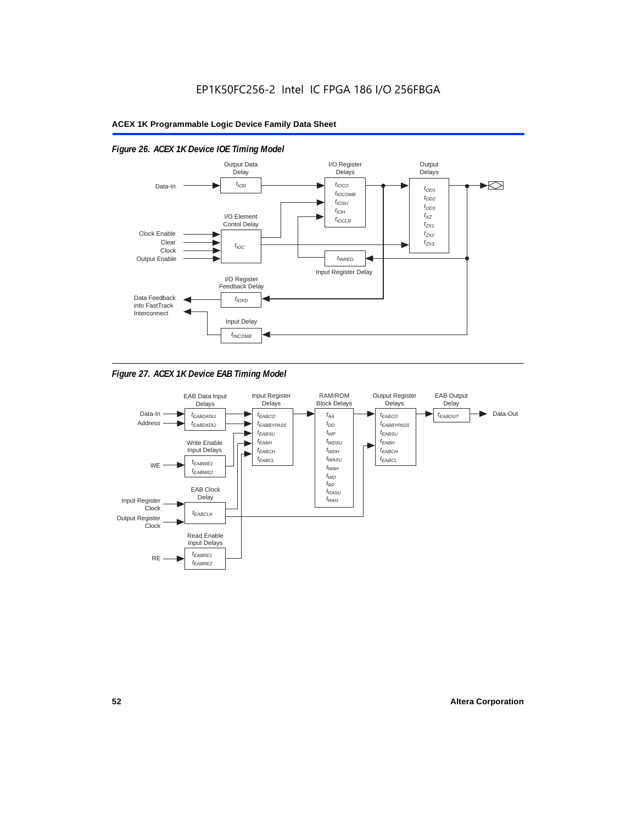

# *Figure 26. ACEX 1K Device IOE Timing Model*

*Figure 27. ACEX 1K Device EAB Timing Model*

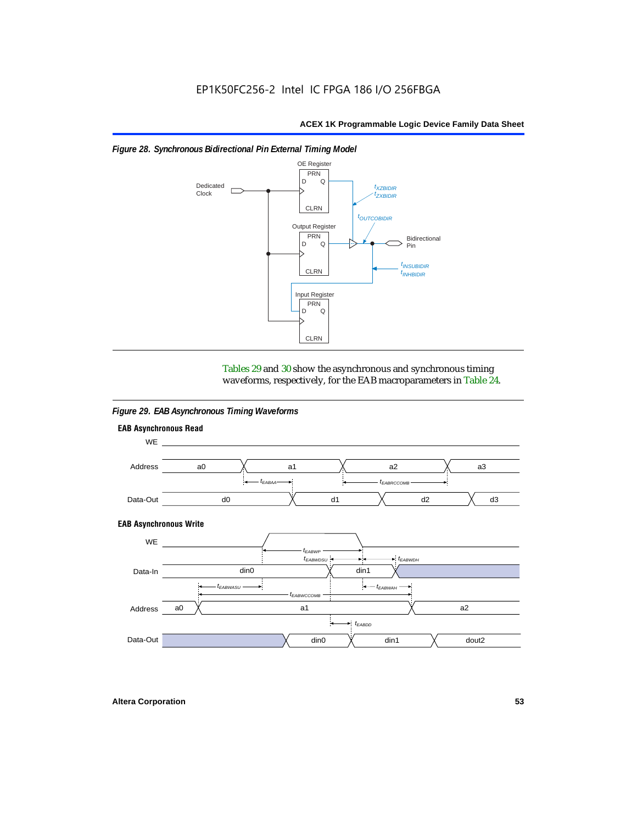

#### *Figure 28. Synchronous Bidirectional Pin External Timing Model*

Tables 29 and 30 show the asynchronous and synchronous timing waveforms, respectively, for the EAB macroparameters in Table 24.

*Figure 29. EAB Asynchronous Timing Waveforms*

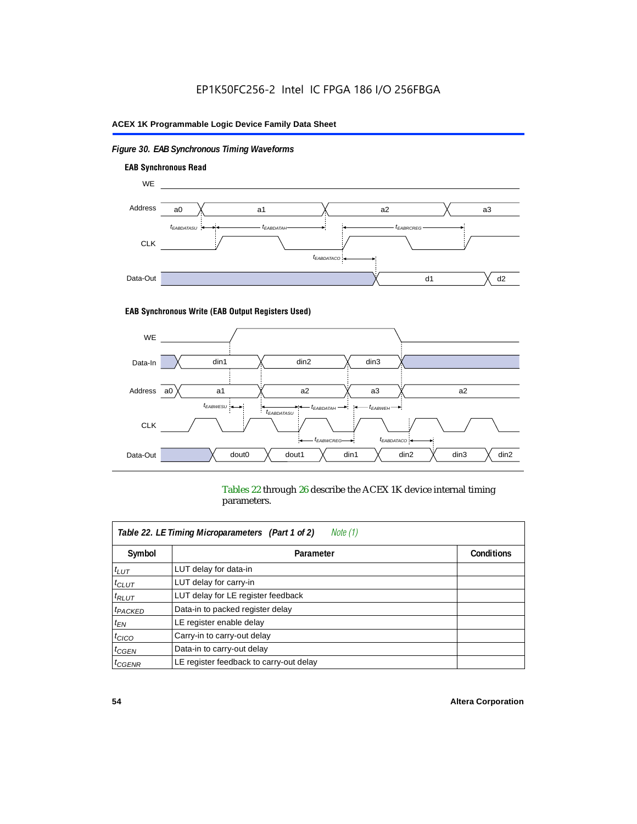# *Figure 30. EAB Synchronous Timing Waveforms*



#### **EAB Synchronous Write (EAB Output Registers Used)**



Tables 22 through 26 describe the ACEX 1K device internal timing parameters.

| Note (1)<br>Table 22. LE Timing Microparameters (Part 1 of 2) |                                         |                   |  |  |  |  |
|---------------------------------------------------------------|-----------------------------------------|-------------------|--|--|--|--|
| Symbol                                                        | Parameter                               | <b>Conditions</b> |  |  |  |  |
| $t_{LUT}$                                                     | LUT delay for data-in                   |                   |  |  |  |  |
| $t_{CLUT}$                                                    | LUT delay for carry-in                  |                   |  |  |  |  |
| $t_{RLUT}$                                                    | LUT delay for LE register feedback      |                   |  |  |  |  |
| <sup>t</sup> PACKED                                           | Data-in to packed register delay        |                   |  |  |  |  |
| $t_{EN}$                                                      | LE register enable delay                |                   |  |  |  |  |
| $t_{CICO}$                                                    | Carry-in to carry-out delay             |                   |  |  |  |  |
| $t_{G\text{E}\text{N}}$                                       | Data-in to carry-out delay              |                   |  |  |  |  |
| ${}^t$ CGENR                                                  | LE register feedback to carry-out delay |                   |  |  |  |  |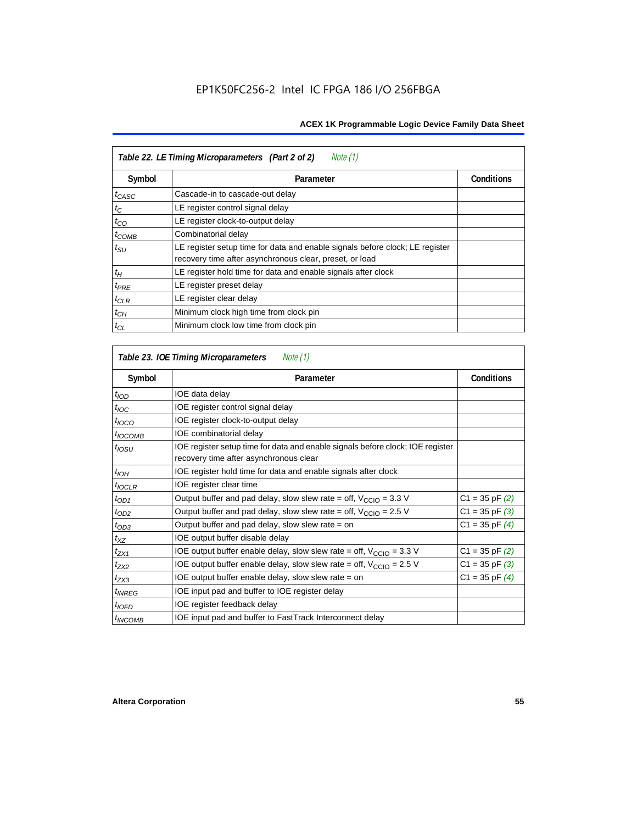| Table 22. LE Timing Microparameters (Part 2 of 2)<br>Note (1) |                                                                                                                                         |                   |  |  |  |  |
|---------------------------------------------------------------|-----------------------------------------------------------------------------------------------------------------------------------------|-------------------|--|--|--|--|
| Symbol                                                        | Parameter                                                                                                                               | <b>Conditions</b> |  |  |  |  |
| $t_{CASC}$                                                    | Cascade-in to cascade-out delay                                                                                                         |                   |  |  |  |  |
| $t_C$                                                         | LE register control signal delay                                                                                                        |                   |  |  |  |  |
| $t_{CO}$                                                      | LE register clock-to-output delay                                                                                                       |                   |  |  |  |  |
| $t_{COMB}$                                                    | Combinatorial delay                                                                                                                     |                   |  |  |  |  |
| $t_{\rm SU}$                                                  | LE register setup time for data and enable signals before clock; LE register<br>recovery time after asynchronous clear, preset, or load |                   |  |  |  |  |
| $t_H$                                                         | LE register hold time for data and enable signals after clock                                                                           |                   |  |  |  |  |
| $t_{PRE}$                                                     | LE register preset delay                                                                                                                |                   |  |  |  |  |
| $t_{CLR}$                                                     | LE register clear delay                                                                                                                 |                   |  |  |  |  |
| $t_{CH}$                                                      | Minimum clock high time from clock pin                                                                                                  |                   |  |  |  |  |
| $t_{CL}$                                                      | Minimum clock low time from clock pin                                                                                                   |                   |  |  |  |  |

| Table 23. IOE Timing Microparameters<br>Note (1) |                                                                                                                          |                    |  |  |  |  |
|--------------------------------------------------|--------------------------------------------------------------------------------------------------------------------------|--------------------|--|--|--|--|
| Symbol                                           | Parameter                                                                                                                | <b>Conditions</b>  |  |  |  |  |
| $t_{\textit{IOD}}$                               | IOE data delay                                                                                                           |                    |  |  |  |  |
| $t_{\text{IOC}}$                                 | IOE register control signal delay                                                                                        |                    |  |  |  |  |
| $t_{\text{IOCO}}$                                | IOE register clock-to-output delay                                                                                       |                    |  |  |  |  |
| $t_{IOCOMB}$                                     | IOE combinatorial delay                                                                                                  |                    |  |  |  |  |
| t <sub>iosu</sub>                                | IOE register setup time for data and enable signals before clock; IOE register<br>recovery time after asynchronous clear |                    |  |  |  |  |
| $t_{IOH}$                                        | IOE register hold time for data and enable signals after clock                                                           |                    |  |  |  |  |
| $t_{IOCLR}$                                      | IOE register clear time                                                                                                  |                    |  |  |  |  |
| $t_{OD1}$                                        | Output buffer and pad delay, slow slew rate = off, $V_{\text{CCIO}} = 3.3 \text{ V}$                                     | $C1 = 35$ pF $(2)$ |  |  |  |  |
| $t_{OD2}$                                        | Output buffer and pad delay, slow slew rate = off, $V_{\text{CCIO}} = 2.5$ V                                             | $C1 = 35$ pF $(3)$ |  |  |  |  |
| $t_{OD3}$                                        | Output buffer and pad delay, slow slew rate = on                                                                         | $C1 = 35$ pF $(4)$ |  |  |  |  |
| $t_{XZ}$                                         | IOE output buffer disable delay                                                                                          |                    |  |  |  |  |
| $t_{ZX1}$                                        | IOE output buffer enable delay, slow slew rate = off, $V_{\text{CCIO}} = 3.3$ V                                          | $C1 = 35$ pF $(2)$ |  |  |  |  |
| t <sub>ZX2</sub>                                 | IOE output buffer enable delay, slow slew rate = off, $V_{\text{CCIO}} = 2.5$ V                                          | $C1 = 35$ pF $(3)$ |  |  |  |  |
| $t_{ZX3}$                                        | IOE output buffer enable delay, slow slew rate $=$ on                                                                    | $C1 = 35$ pF $(4)$ |  |  |  |  |
| <i>t<sub>INREG</sub></i>                         | IOE input pad and buffer to IOE register delay                                                                           |                    |  |  |  |  |
| $t_{IOFD}$                                       | IOE register feedback delay                                                                                              |                    |  |  |  |  |
| <sup>t</sup> INCOMB                              | IOE input pad and buffer to FastTrack Interconnect delay                                                                 |                    |  |  |  |  |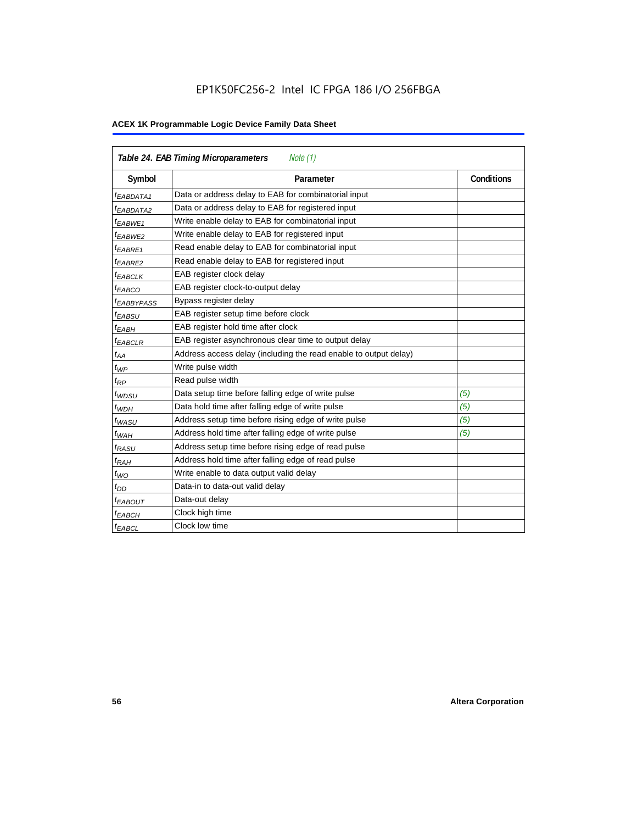# EP1K50FC256-2 Intel IC FPGA 186 I/O 256FBGA

| <b>Table 24. EAB Timing Microparameters</b><br>Note (1) |                                                                  |                   |  |  |  |  |
|---------------------------------------------------------|------------------------------------------------------------------|-------------------|--|--|--|--|
| Symbol                                                  | Parameter                                                        | <b>Conditions</b> |  |  |  |  |
| <sup>t</sup> EABDATA1                                   | Data or address delay to EAB for combinatorial input             |                   |  |  |  |  |
| <sup>t</sup> EABDATA2                                   | Data or address delay to EAB for registered input                |                   |  |  |  |  |
| <sup>t</sup> EABWE1                                     | Write enable delay to EAB for combinatorial input                |                   |  |  |  |  |
| t <sub>EABWE2</sub>                                     | Write enable delay to EAB for registered input                   |                   |  |  |  |  |
| $t_{EABRE1}$                                            | Read enable delay to EAB for combinatorial input                 |                   |  |  |  |  |
| $t_{EABRE2}$                                            | Read enable delay to EAB for registered input                    |                   |  |  |  |  |
| $t_{EABCLK}$                                            | EAB register clock delay                                         |                   |  |  |  |  |
| $t_{EABCO}$                                             | EAB register clock-to-output delay                               |                   |  |  |  |  |
| <sup>t</sup> EABBYPASS                                  | Bypass register delay                                            |                   |  |  |  |  |
| t <sub>EABSU</sub>                                      | EAB register setup time before clock                             |                   |  |  |  |  |
| t <sub>EABH</sub>                                       | EAB register hold time after clock                               |                   |  |  |  |  |
| $t_{EABCLR}$                                            | EAB register asynchronous clear time to output delay             |                   |  |  |  |  |
| $t_{AA}$                                                | Address access delay (including the read enable to output delay) |                   |  |  |  |  |
| $t_{WP}$                                                | Write pulse width                                                |                   |  |  |  |  |
| $t_{RP}$                                                | Read pulse width                                                 |                   |  |  |  |  |
| $t_{WDSU}$                                              | Data setup time before falling edge of write pulse               | (5)               |  |  |  |  |
| $t_{WDH}$                                               | Data hold time after falling edge of write pulse                 | (5)               |  |  |  |  |
| $t_{WASU}$                                              | Address setup time before rising edge of write pulse             | (5)               |  |  |  |  |
| $t_{WAH}$                                               | Address hold time after falling edge of write pulse              | (5)               |  |  |  |  |
| t <sub>RASU</sub>                                       | Address setup time before rising edge of read pulse              |                   |  |  |  |  |
| $t_{RAH}$                                               | Address hold time after falling edge of read pulse               |                   |  |  |  |  |
| $t_{WO}$                                                | Write enable to data output valid delay                          |                   |  |  |  |  |
| $t_{DD}$                                                | Data-in to data-out valid delay                                  |                   |  |  |  |  |
| $t_{EABOUT}$                                            | Data-out delay                                                   |                   |  |  |  |  |
| <sup>t</sup> ЕАВСН                                      | Clock high time                                                  |                   |  |  |  |  |
| <sup>t</sup> EABCL                                      | Clock low time                                                   |                   |  |  |  |  |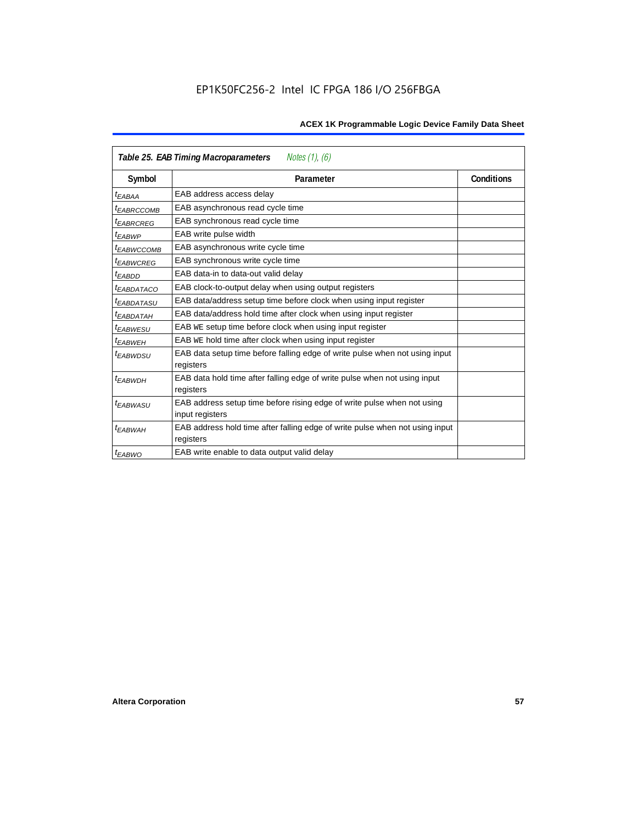| Notes (1), (6)<br>Table 25. EAB Timing Macroparameters |                                                                                           |                   |  |  |  |  |
|--------------------------------------------------------|-------------------------------------------------------------------------------------------|-------------------|--|--|--|--|
| Symbol                                                 | Parameter                                                                                 | <b>Conditions</b> |  |  |  |  |
| t <sub>EABAA</sub>                                     | EAB address access delay                                                                  |                   |  |  |  |  |
| <sup>I</sup> EABRCCOMB                                 | EAB asynchronous read cycle time                                                          |                   |  |  |  |  |
| <sup>t</sup> EABRCREG                                  | EAB synchronous read cycle time                                                           |                   |  |  |  |  |
| t <sub>EABWP</sub>                                     | EAB write pulse width                                                                     |                   |  |  |  |  |
| <sup>t</sup> EABWCCOMB                                 | EAB asynchronous write cycle time                                                         |                   |  |  |  |  |
| <sup>t</sup> EABWCREG                                  | EAB synchronous write cycle time                                                          |                   |  |  |  |  |
| <sup>t</sup> EABDD                                     | EAB data-in to data-out valid delay                                                       |                   |  |  |  |  |
| <sup>t</sup> EABDATACO                                 | EAB clock-to-output delay when using output registers                                     |                   |  |  |  |  |
| <sup>t</sup> EABDATASU                                 | EAB data/address setup time before clock when using input register                        |                   |  |  |  |  |
| <sup>t</sup> EABDATAH                                  | EAB data/address hold time after clock when using input register                          |                   |  |  |  |  |
| <sup>t</sup> EABWESU                                   | EAB WE setup time before clock when using input register                                  |                   |  |  |  |  |
| t <sub>FARWFH</sub>                                    | EAB WE hold time after clock when using input register                                    |                   |  |  |  |  |
| <sup>t</sup> EABWDSU                                   | EAB data setup time before falling edge of write pulse when not using input<br>registers  |                   |  |  |  |  |
| <sup>t</sup> EABWDH                                    | EAB data hold time after falling edge of write pulse when not using input                 |                   |  |  |  |  |
|                                                        | registers                                                                                 |                   |  |  |  |  |
| <i><b>EABWASU</b></i>                                  | EAB address setup time before rising edge of write pulse when not using                   |                   |  |  |  |  |
|                                                        | input registers                                                                           |                   |  |  |  |  |
| <sup>t</sup> EABWAH                                    | EAB address hold time after falling edge of write pulse when not using input<br>registers |                   |  |  |  |  |
| $t_{EABWO}$                                            | EAB write enable to data output valid delay                                               |                   |  |  |  |  |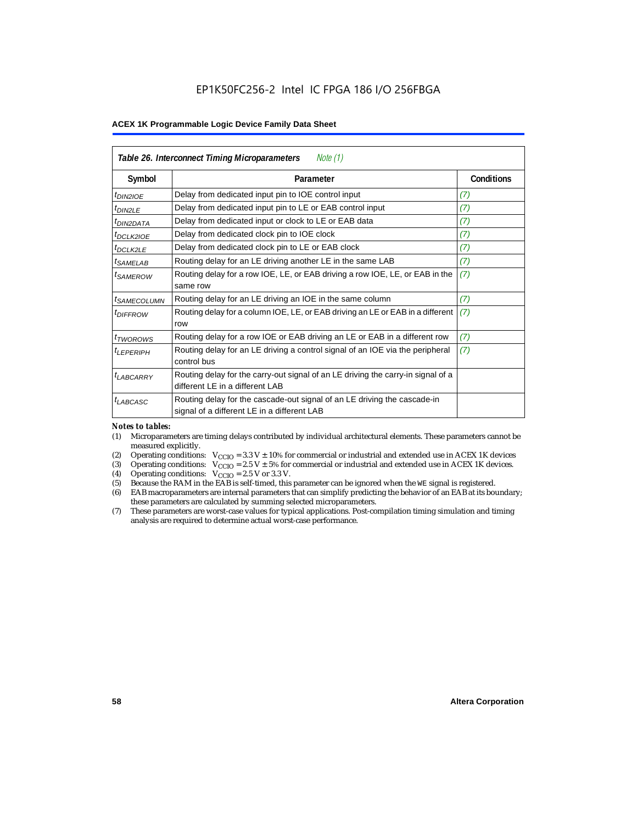| Table 26. Interconnect Timing Microparameters<br>Note $(1)$ |                                                                                                                         |                   |  |  |  |  |
|-------------------------------------------------------------|-------------------------------------------------------------------------------------------------------------------------|-------------------|--|--|--|--|
| Symbol                                                      | Parameter                                                                                                               | <b>Conditions</b> |  |  |  |  |
| $tD$ IN2IOE                                                 | Delay from dedicated input pin to IOE control input                                                                     | (7)               |  |  |  |  |
| $t_{DIN2LE}$                                                | Delay from dedicated input pin to LE or EAB control input                                                               | (7)               |  |  |  |  |
| <sup>t</sup> DIN2DATA                                       | Delay from dedicated input or clock to LE or EAB data                                                                   | (7)               |  |  |  |  |
| $t_{DCLK2IOE}$                                              | Delay from dedicated clock pin to IOE clock                                                                             | (7)               |  |  |  |  |
| $t_{DCLK2LE}$                                               | Delay from dedicated clock pin to LE or EAB clock                                                                       | (7)               |  |  |  |  |
| <sup>t</sup> SAMELAB                                        | Routing delay for an LE driving another LE in the same LAB                                                              | (7)               |  |  |  |  |
| <sup>t</sup> SAMEROW                                        | Routing delay for a row IOE, LE, or EAB driving a row IOE, LE, or EAB in the<br>same row                                | (7)               |  |  |  |  |
| <sup>t</sup> SAMECOLUMN                                     | Routing delay for an LE driving an IOE in the same column                                                               | (7)               |  |  |  |  |
| <i>t<sub>DIFFROW</sub></i>                                  | Routing delay for a column IOE, LE, or EAB driving an LE or EAB in a different<br>row                                   | (7)               |  |  |  |  |
| <i>t</i> <sub>TWOROWS</sub>                                 | Routing delay for a row IOE or EAB driving an LE or EAB in a different row                                              | (7)               |  |  |  |  |
| <sup>t</sup> LEPERIPH                                       | Routing delay for an LE driving a control signal of an IOE via the peripheral<br>control bus                            | (7)               |  |  |  |  |
| $t_{LABCARRY}$                                              | Routing delay for the carry-out signal of an LE driving the carry-in signal of a<br>different LE in a different LAB     |                   |  |  |  |  |
| $t_{LABCASC}$                                               | Routing delay for the cascade-out signal of an LE driving the cascade-in<br>signal of a different LE in a different LAB |                   |  |  |  |  |

#### *Notes to tables:*

- (1) Microparameters are timing delays contributed by individual architectural elements. These parameters cannot be measured explicitly.
- (2) Operating conditions:  $V_{\text{CCIO}} = 3.3 V \pm 10\%$  for commercial or industrial and extended use in ACEX 1K devices (3) Operating conditions:  $V_{\text{CCIO}} = 2.5 V \pm 5\%$  for commercial or industrial and extended use in ACEX 1K
- (3) Operating conditions:  $V_{CCIO} = 2.5 V \pm 5\%$  for commercial or industrial and extended use in ACEX 1K devices.<br>(4) Operating conditions:  $V_{CCIO} = 2.5 V$  or 3.3 V.
- (4) Operating conditions:  $V_{\text{CCIO}} = 2.5 \text{ V or } 3.3 \text{ V.}$ <br>(5) Because the RAM in the EAB is self-timed, this
- (5) Because the RAM in the EAB is self-timed, this parameter can be ignored when the WE signal is registered.<br>(6) EAB macroparameters are internal parameters that can simplify predicting the behavior of an EAB at its bou
- EAB macroparameters are internal parameters that can simplify predicting the behavior of an EAB at its boundary; these parameters are calculated by summing selected microparameters.
- (7) These parameters are worst-case values for typical applications. Post-compilation timing simulation and timing analysis are required to determine actual worst-case performance.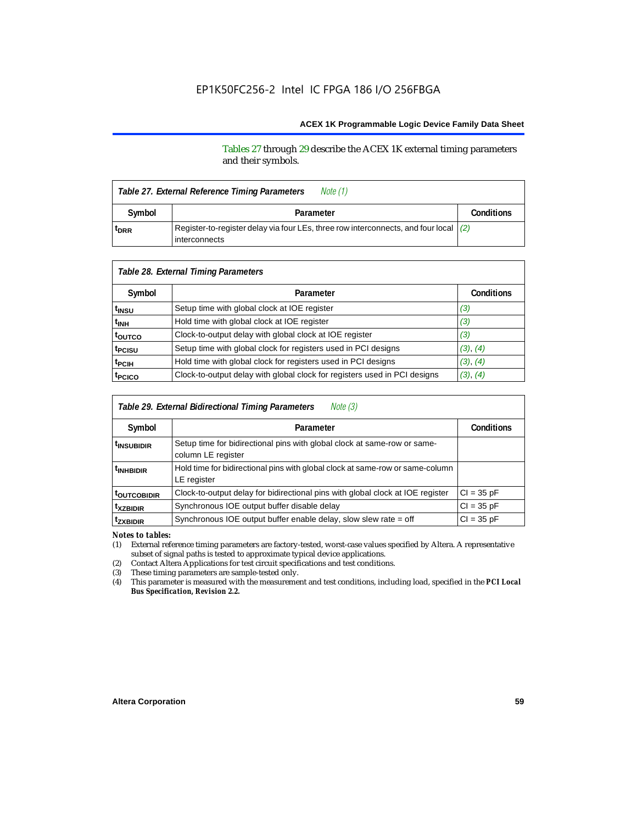Tables 27 through 29 describe the ACEX 1K external timing parameters and their symbols.

| Note (1)<br>Table 27. External Reference Timing Parameters |                                                                                                                  |  |  |  |  |
|------------------------------------------------------------|------------------------------------------------------------------------------------------------------------------|--|--|--|--|
| Symbol                                                     | Parameter                                                                                                        |  |  |  |  |
| <sup>t</sup> DRR                                           | Register-to-register delay via four LEs, three row interconnects, and four local $(2)$<br><b>l</b> interconnects |  |  |  |  |

| Table 28. External Timing Parameters |                                                                           |                   |  |  |  |  |  |
|--------------------------------------|---------------------------------------------------------------------------|-------------------|--|--|--|--|--|
| Symbol                               | Parameter                                                                 | <b>Conditions</b> |  |  |  |  |  |
| t <sub>insu</sub>                    | Setup time with global clock at IOE register                              | (3)               |  |  |  |  |  |
| t <sub>INH</sub>                     | Hold time with global clock at IOE register                               | (3)               |  |  |  |  |  |
| t <sub>outco</sub>                   | Clock-to-output delay with global clock at IOE register                   | (3)               |  |  |  |  |  |
| t <sub>PCISU</sub>                   | Setup time with global clock for registers used in PCI designs            | (3), (4)          |  |  |  |  |  |
| <sup>t</sup> PCIH                    | Hold time with global clock for registers used in PCI designs             | (3), (4)          |  |  |  |  |  |
| t <sub>PCICO</sub>                   | Clock-to-output delay with global clock for registers used in PCI designs | (3), (4)          |  |  |  |  |  |

| Note (3)<br>Table 29. External Bidirectional Timing Parameters |                                                                                                |                   |  |  |  |  |
|----------------------------------------------------------------|------------------------------------------------------------------------------------------------|-------------------|--|--|--|--|
| Symbol                                                         | Parameter                                                                                      | <b>Conditions</b> |  |  |  |  |
| <sup>t</sup> insubidir                                         | Setup time for bidirectional pins with global clock at same-row or same-<br>column LE register |                   |  |  |  |  |
| <sup>t</sup> INHBIDIR                                          | Hold time for bidirectional pins with global clock at same-row or same-column<br>LE register   |                   |  |  |  |  |
| <sup>t</sup> OUTCOBIDIR                                        | Clock-to-output delay for bidirectional pins with global clock at IOE register                 | $Cl = 35 pF$      |  |  |  |  |
| <sup>t</sup> xzbidir                                           | Synchronous IOE output buffer disable delay                                                    | $CI = 35 pF$      |  |  |  |  |
| <sup>t</sup> zxbidir                                           | Synchronous IOE output buffer enable delay, slow slew rate = off                               | $CI = 35$ pF      |  |  |  |  |

*Notes to tables:*

(1) External reference timing parameters are factory-tested, worst-case values specified by Altera. A representative subset of signal paths is tested to approximate typical device applications.

(2) Contact Altera Applications for test circuit specifications and test conditions.

(3) These timing parameters are sample-tested only.

(4) This parameter is measured with the measurement and test conditions, including load, specified in the *PCI Local Bus Specification, Revision 2.2.*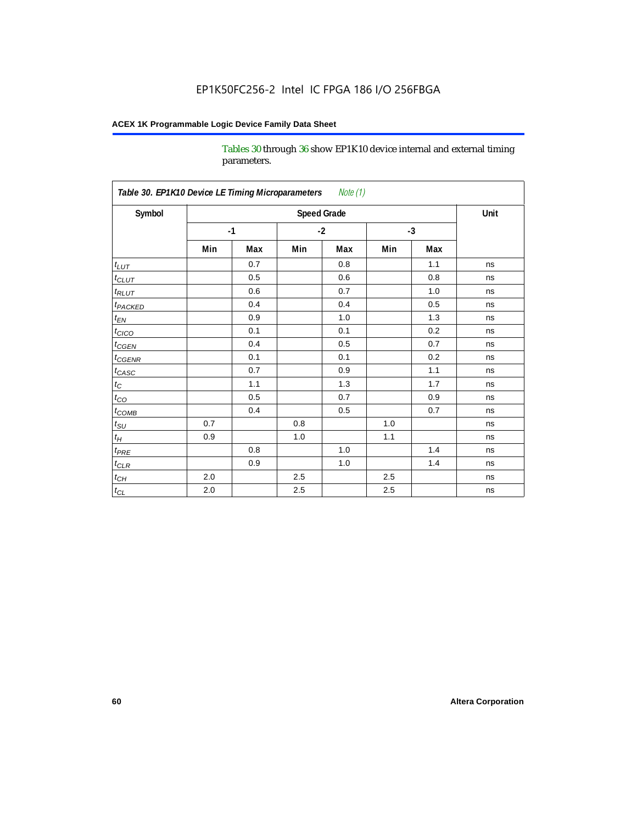Tables 30 through 36 show EP1K10 device internal and external timing parameters.

| Table 30. EP1K10 Device LE Timing Microparameters Note (1) |         |      |      |                    |      |     |      |  |
|------------------------------------------------------------|---------|------|------|--------------------|------|-----|------|--|
| Symbol                                                     |         |      |      | <b>Speed Grade</b> |      |     | Unit |  |
|                                                            |         | $-1$ | $-2$ |                    | $-3$ |     |      |  |
|                                                            | Min     | Max  | Min  | Max                | Min  | Max |      |  |
| $t_{LUT}$                                                  |         | 0.7  |      | 0.8                |      | 1.1 | ns   |  |
| $t_{CLUT}$                                                 |         | 0.5  |      | 0.6                |      | 0.8 | ns   |  |
| $t_{RLUT}$                                                 |         | 0.6  |      | 0.7                |      | 1.0 | ns   |  |
| <b>t</b> <sub>PACKED</sub>                                 |         | 0.4  |      | 0.4                |      | 0.5 | ns   |  |
| $t_{EN}$                                                   |         | 0.9  |      | 1.0                |      | 1.3 | ns   |  |
| $t_{CICO}$                                                 |         | 0.1  |      | 0.1                |      | 0.2 | ns   |  |
| $t_{\text{CGEN}}$                                          |         | 0.4  |      | 0.5                |      | 0.7 | ns   |  |
| $t_{\text{GENR}}$                                          |         | 0.1  |      | 0.1                |      | 0.2 | ns   |  |
| $t_{CASC}$                                                 |         | 0.7  |      | 0.9                |      | 1.1 | ns   |  |
| $t_{\rm C}$                                                |         | 1.1  |      | 1.3                |      | 1.7 | ns   |  |
| $t_{CO}$                                                   |         | 0.5  |      | 0.7                |      | 0.9 | ns   |  |
| $t_{\text{COMB}}$                                          |         | 0.4  |      | 0.5                |      | 0.7 | ns   |  |
| $t_{\rm SU}$                                               | 0.7     |      | 0.8  |                    | 1.0  |     | ns   |  |
| $t_H\,$                                                    | 0.9     |      | 1.0  |                    | 1.1  |     | ns   |  |
| $t_{PRE}$                                                  |         | 0.8  |      | 1.0                |      | 1.4 | ns   |  |
| $t_{CLR}$                                                  |         | 0.9  |      | 1.0                |      | 1.4 | ns   |  |
| $t_{CH}$                                                   | 2.0     |      | 2.5  |                    | 2.5  |     | ns   |  |
| $t_{\rm CL}$                                               | $2.0\,$ |      | 2.5  |                    | 2.5  |     | ns   |  |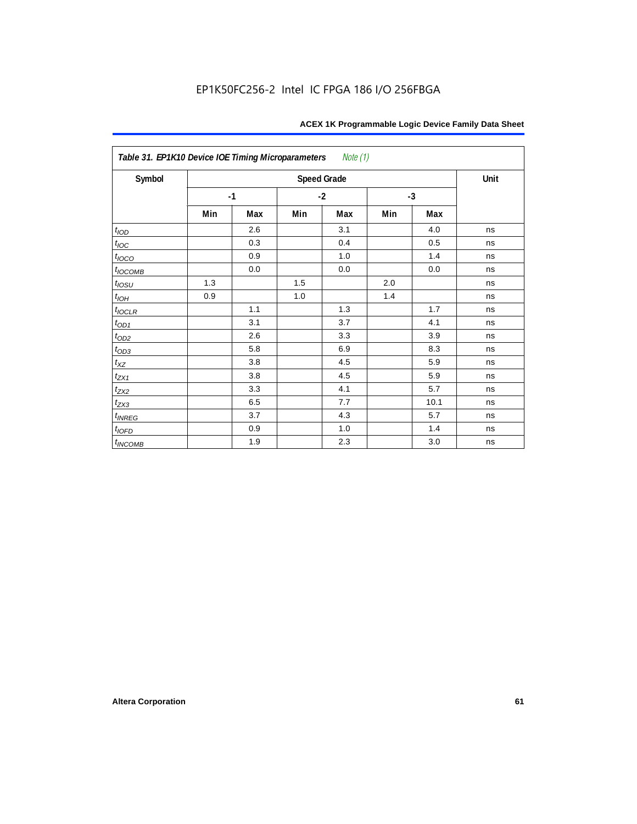| Table 31. EP1K10 Device IOE Timing Microparameters Note (1) |     |      |      |                    |      |      |      |
|-------------------------------------------------------------|-----|------|------|--------------------|------|------|------|
| Symbol                                                      |     |      |      | <b>Speed Grade</b> |      |      | Unit |
|                                                             |     | $-1$ | $-2$ |                    | $-3$ |      |      |
|                                                             | Min | Max  | Min  | Max                | Min  | Max  |      |
| t <sub>IOD</sub>                                            |     | 2.6  |      | 3.1                |      | 4.0  | ns   |
| $t_{\text{loc}}$                                            |     | 0.3  |      | 0.4                |      | 0.5  | ns   |
| $t_{IOCO}$                                                  |     | 0.9  |      | 1.0                |      | 1.4  | ns   |
| $t_{IOCOMB}$                                                |     | 0.0  |      | 0.0                |      | 0.0  | ns   |
| $t_{IOSU}$                                                  | 1.3 |      | 1.5  |                    | 2.0  |      | ns   |
| $t_{IOH}$                                                   | 0.9 |      | 1.0  |                    | 1.4  |      | ns   |
| $t_{IOCLR}$                                                 |     | 1.1  |      | 1.3                |      | 1.7  | ns   |
| $t_{OD1}$                                                   |     | 3.1  |      | 3.7                |      | 4.1  | ns   |
| $t_{OD2}$                                                   |     | 2.6  |      | 3.3                |      | 3.9  | ns   |
| $t_{OD3}$                                                   |     | 5.8  |      | 6.9                |      | 8.3  | ns   |
| $t_{XZ}$                                                    |     | 3.8  |      | 4.5                |      | 5.9  | ns   |
| $t_{ZX1}$                                                   |     | 3.8  |      | 4.5                |      | 5.9  | ns   |
| $t_{ZX2}$                                                   |     | 3.3  |      | 4.1                |      | 5.7  | ns   |
| $t_{ZX3}$                                                   |     | 6.5  |      | 7.7                |      | 10.1 | ns   |
| $t_{INREG}$                                                 |     | 3.7  |      | 4.3                |      | 5.7  | ns   |
| $t_{IOFD}$                                                  |     | 0.9  |      | 1.0                |      | 1.4  | ns   |
| $t_{INCOMB}$                                                |     | 1.9  |      | 2.3                |      | 3.0  | ns   |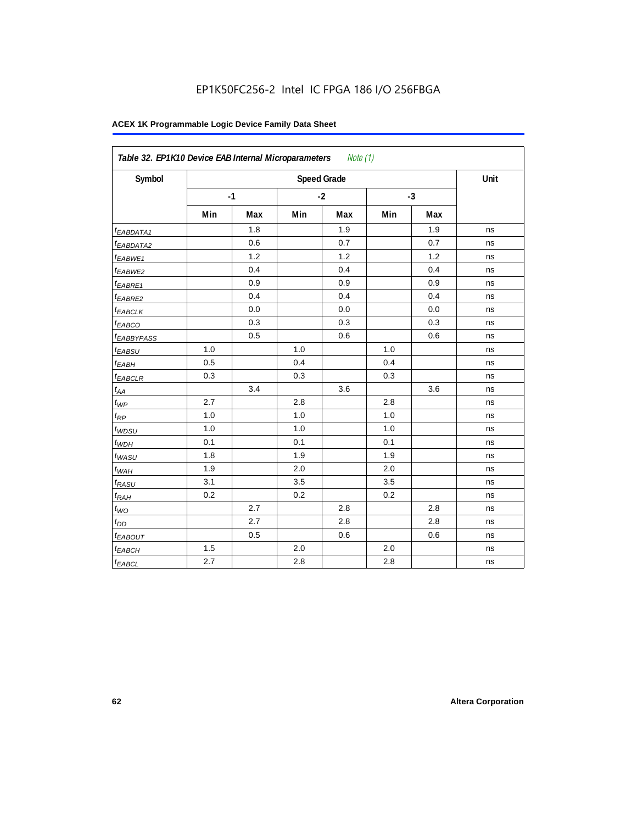| Symbol                  |     |      |     | <b>Speed Grade</b> |     |      | Unit |
|-------------------------|-----|------|-----|--------------------|-----|------|------|
|                         |     | $-1$ |     | $-2$               |     | $-3$ |      |
|                         | Min | Max  | Min | Max                | Min | Max  |      |
| t <sub>EABDATA1</sub>   |     | 1.8  |     | 1.9                |     | 1.9  | ns   |
| <sup>t</sup> EABDATA2   |     | 0.6  |     | 0.7                |     | 0.7  | ns   |
| t <sub>EABWE1</sub>     |     | 1.2  |     | 1.2                |     | 1.2  | ns   |
| <sup>t</sup> EABWE2     |     | 0.4  |     | 0.4                |     | 0.4  | ns   |
| <sup>t</sup> EABRE1     |     | 0.9  |     | 0.9                |     | 0.9  | ns   |
| <sup>t</sup> EABRE2     |     | 0.4  |     | 0.4                |     | 0.4  | ns   |
| <sup>t</sup> EABCLK     |     | 0.0  |     | 0.0                |     | 0.0  | ns   |
| t <sub>EABCO</sub>      |     | 0.3  |     | 0.3                |     | 0.3  | ns   |
| <i><b>EABBYPASS</b></i> |     | 0.5  |     | 0.6                |     | 0.6  | ns   |
| t <sub>EABSU</sub>      | 1.0 |      | 1.0 |                    | 1.0 |      | ns   |
| t <sub>EABH</sub>       | 0.5 |      | 0.4 |                    | 0.4 |      | ns   |
| <sup>t</sup> EABCLR     | 0.3 |      | 0.3 |                    | 0.3 |      | ns   |
| $t_{AA}$                |     | 3.4  |     | 3.6                |     | 3.6  | ns   |
| $t_{\mathit{WP}}$       | 2.7 |      | 2.8 |                    | 2.8 |      | ns   |
| $t_{RP}$                | 1.0 |      | 1.0 |                    | 1.0 |      | ns   |
| $t_{WDSU}$              | 1.0 |      | 1.0 |                    | 1.0 |      | ns   |
| $t_{WDH}$               | 0.1 |      | 0.1 |                    | 0.1 |      | ns   |
| $t_{WASU}$              | 1.8 |      | 1.9 |                    | 1.9 |      | ns   |
| $t_{WAH}$               | 1.9 |      | 2.0 |                    | 2.0 |      | ns   |
| t <sub>RASU</sub>       | 3.1 |      | 3.5 |                    | 3.5 |      | ns   |
| $t_{RAH}$               | 0.2 |      | 0.2 |                    | 0.2 |      | ns   |
| $t_{WQ}$                |     | 2.7  |     | 2.8                |     | 2.8  | ns   |
| $t_{DD}$                |     | 2.7  |     | 2.8                |     | 2.8  | ns   |
| t <sub>EABOUT</sub>     |     | 0.5  |     | 0.6                |     | 0.6  | ns   |
| t <sub>EABCH</sub>      | 1.5 |      | 2.0 |                    | 2.0 |      | ns   |
| $t_{EABCL}$             | 2.7 |      | 2.8 |                    | 2.8 |      | ns   |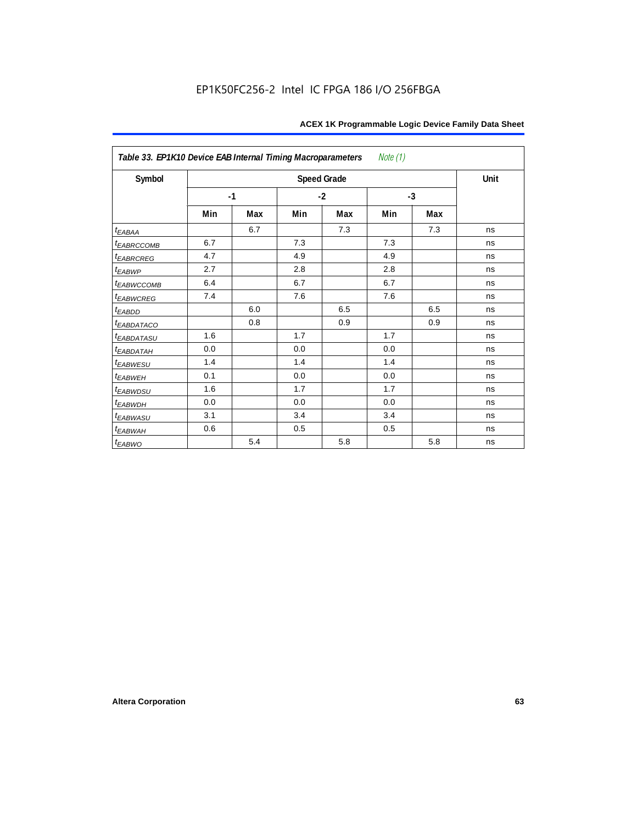| Table 33. EP1K10 Device EAB Internal Timing Macroparameters<br>Note (1) |      |     |      |                    |      |     |      |  |  |  |
|-------------------------------------------------------------------------|------|-----|------|--------------------|------|-----|------|--|--|--|
| Symbol                                                                  |      |     |      | <b>Speed Grade</b> |      |     | Unit |  |  |  |
|                                                                         | $-1$ |     | $-2$ |                    | $-3$ |     |      |  |  |  |
|                                                                         | Min  | Max | Min  | Max                | Min  | Max |      |  |  |  |
| $t_{EABA}$                                                              |      | 6.7 |      | 7.3                |      | 7.3 | ns   |  |  |  |
| <sup>t</sup> EABRCCOMB                                                  | 6.7  |     | 7.3  |                    | 7.3  |     | ns   |  |  |  |
| <i>EABRCREG</i>                                                         | 4.7  |     | 4.9  |                    | 4.9  |     | ns   |  |  |  |
| $t_{EABWP}$                                                             | 2.7  |     | 2.8  |                    | 2.8  |     | ns   |  |  |  |
| <sup>t</sup> EABWCCOMB                                                  | 6.4  |     | 6.7  |                    | 6.7  |     | ns   |  |  |  |
| t <sub>EABWCREG</sub>                                                   | 7.4  |     | 7.6  |                    | 7.6  |     | ns   |  |  |  |
| <sup>t</sup> EABDD                                                      |      | 6.0 |      | 6.5                |      | 6.5 | ns   |  |  |  |
| <b><i>EABDATACO</i></b>                                                 |      | 0.8 |      | 0.9                |      | 0.9 | ns   |  |  |  |
| <i>EABDATASU</i>                                                        | 1.6  |     | 1.7  |                    | 1.7  |     | ns   |  |  |  |
| <sup>t</sup> EABDATAH                                                   | 0.0  |     | 0.0  |                    | 0.0  |     | ns   |  |  |  |
| t <sub>EABWESU</sub>                                                    | 1.4  |     | 1.4  |                    | 1.4  |     | ns   |  |  |  |
| <b>t</b> EABWEH                                                         | 0.1  |     | 0.0  |                    | 0.0  |     | ns   |  |  |  |
| t <sub>EABWDSU</sub>                                                    | 1.6  |     | 1.7  |                    | 1.7  |     | ns   |  |  |  |
| t <sub>EABWDH</sub>                                                     | 0.0  |     | 0.0  |                    | 0.0  |     | ns   |  |  |  |
| t <sub>EABWASU</sub>                                                    | 3.1  |     | 3.4  |                    | 3.4  |     | ns   |  |  |  |
| t <sub>EABWAH</sub>                                                     | 0.6  |     | 0.5  |                    | 0.5  |     | ns   |  |  |  |
| $t_{EABWO}$                                                             |      | 5.4 |      | 5.8                |      | 5.8 | ns   |  |  |  |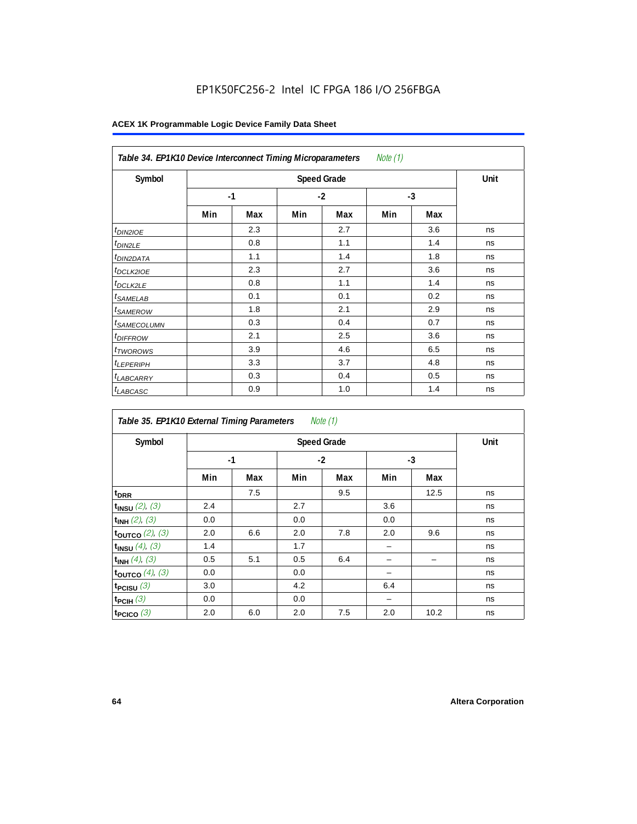| Note $(1)$<br>Table 34. EP1K10 Device Interconnect Timing Microparameters |     |                    |      |     |      |     |    |  |  |  |
|---------------------------------------------------------------------------|-----|--------------------|------|-----|------|-----|----|--|--|--|
| Symbol                                                                    |     | <b>Speed Grade</b> |      |     |      |     |    |  |  |  |
|                                                                           |     | $-1$               | $-2$ |     | $-3$ |     |    |  |  |  |
|                                                                           | Min | Max                | Min  | Max | Min  | Max |    |  |  |  |
| $t_{DINZIOE}$                                                             |     | 2.3                |      | 2.7 |      | 3.6 | ns |  |  |  |
| <sup>t</sup> DIN2LE                                                       |     | 0.8                |      | 1.1 |      | 1.4 | ns |  |  |  |
| <sup>t</sup> DIN2DATA                                                     |     | 1.1                |      | 1.4 |      | 1.8 | ns |  |  |  |
| <sup>t</sup> DCLK2IOE                                                     |     | 2.3                |      | 2.7 |      | 3.6 | ns |  |  |  |
| <sup>t</sup> DCLK2LE                                                      |     | 0.8                |      | 1.1 |      | 1.4 | ns |  |  |  |
| <sup>t</sup> SAMELAB                                                      |     | 0.1                |      | 0.1 |      | 0.2 | ns |  |  |  |
| <sup>t</sup> SAMEROW                                                      |     | 1.8                |      | 2.1 |      | 2.9 | ns |  |  |  |
| <sup>t</sup> SAMECOLUMN                                                   |     | 0.3                |      | 0.4 |      | 0.7 | ns |  |  |  |
| <i>t<sub>DIFFROW</sub></i>                                                |     | 2.1                |      | 2.5 |      | 3.6 | ns |  |  |  |
| <sup>t</sup> TWOROWS                                                      |     | 3.9                |      | 4.6 |      | 6.5 | ns |  |  |  |
| <sup>t</sup> LEPERIPH                                                     |     | 3.3                |      | 3.7 |      | 4.8 | ns |  |  |  |
| <sup>t</sup> LABCARRY                                                     |     | 0.3                |      | 0.4 |      | 0.5 | ns |  |  |  |
| <b>LABCASC</b>                                                            |     | 0.9                |      | 1.0 |      | 1.4 | ns |  |  |  |

|                          | Note $(1)$<br>Table 35. EP1K10 External Timing Parameters |                    |     |      |     |      |    |  |  |  |  |
|--------------------------|-----------------------------------------------------------|--------------------|-----|------|-----|------|----|--|--|--|--|
| Symbol                   |                                                           | <b>Speed Grade</b> |     |      |     |      |    |  |  |  |  |
|                          |                                                           | $-1$               |     | $-2$ |     | $-3$ |    |  |  |  |  |
|                          | Min                                                       | Max                | Min | Max  | Min | Max  |    |  |  |  |  |
| t <sub>DRR</sub>         |                                                           | 7.5                |     | 9.5  |     | 12.5 | ns |  |  |  |  |
| $t_{INSU}$ (2), (3)      | 2.4                                                       |                    | 2.7 |      | 3.6 |      | ns |  |  |  |  |
| $t_{INH}$ (2), (3)       | 0.0                                                       |                    | 0.0 |      | 0.0 |      | ns |  |  |  |  |
| toutco $(2)$ , $(3)$     | 2.0                                                       | 6.6                | 2.0 | 7.8  | 2.0 | 9.6  | ns |  |  |  |  |
| $t_{INSU}$ (4), (3)      | 1.4                                                       |                    | 1.7 |      |     |      | ns |  |  |  |  |
| $t_{INH}$ (4), (3)       | 0.5                                                       | 5.1                | 0.5 | 6.4  |     |      | ns |  |  |  |  |
| toutco $(4)$ , $(3)$     | 0.0                                                       |                    | 0.0 |      |     |      | ns |  |  |  |  |
| t <sub>PCISU</sub> $(3)$ | 3.0                                                       |                    | 4.2 |      | 6.4 |      | ns |  |  |  |  |
| $t_{PCH}(3)$             | 0.0                                                       |                    | 0.0 |      |     |      | ns |  |  |  |  |
| t <sub>PCICO</sub> $(3)$ | 2.0                                                       | 6.0                | 2.0 | 7.5  | 2.0 | 10.2 | ns |  |  |  |  |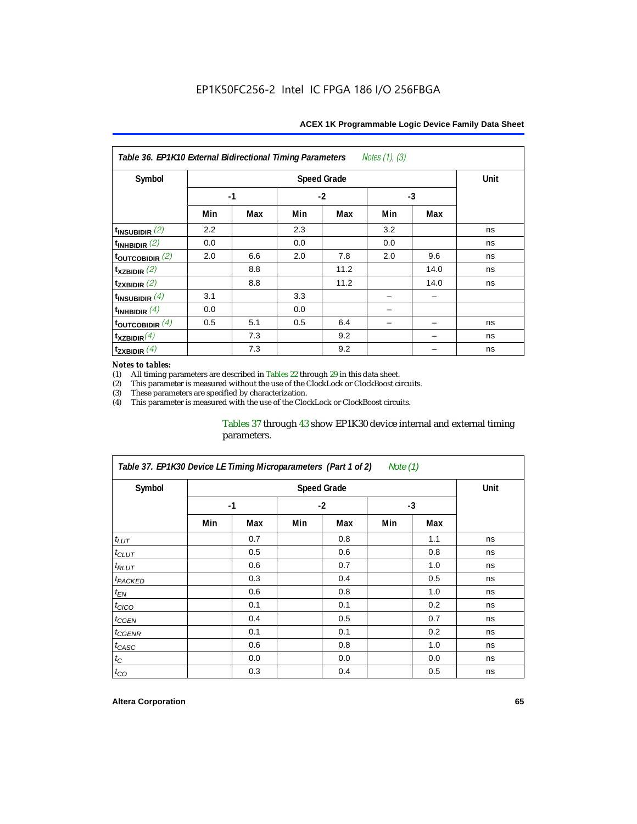| Notes $(1)$ , $(3)$<br>Table 36. EP1K10 External Bidirectional Timing Parameters |      |     |      |                    |      |      |      |  |  |  |
|----------------------------------------------------------------------------------|------|-----|------|--------------------|------|------|------|--|--|--|
| Symbol                                                                           |      |     |      | <b>Speed Grade</b> |      |      | Unit |  |  |  |
|                                                                                  | $-1$ |     | $-2$ |                    | $-3$ |      |      |  |  |  |
|                                                                                  | Min  | Max | Min  | Max                | Min  | Max  |      |  |  |  |
| $t_{\text{INSUBIDIR}}(2)$                                                        | 2.2  |     | 2.3  |                    | 3.2  |      | ns   |  |  |  |
| $t_{INHBIDIR}$ (2)                                                               | 0.0  |     | 0.0  |                    | 0.0  |      | ns   |  |  |  |
| $t_{\text{OUTC}OBIDIR}$ (2)                                                      | 2.0  | 6.6 | 2.0  | 7.8                | 2.0  | 9.6  | ns   |  |  |  |
| $t_{XZBIDIR}$ (2)                                                                |      | 8.8 |      | 11.2               |      | 14.0 | ns   |  |  |  |
| $t_{ZXBIDIR}$ (2)                                                                |      | 8.8 |      | 11.2               |      | 14.0 | ns   |  |  |  |
| $t_{INSUBIDIR}(4)$                                                               | 3.1  |     | 3.3  |                    |      |      |      |  |  |  |
| $t_{INHBIDIR}(4)$                                                                | 0.0  |     | 0.0  |                    |      |      |      |  |  |  |
| $t_{\text{OUTCOBIDIR}}(4)$                                                       | 0.5  | 5.1 | 0.5  | 6.4                |      |      | ns   |  |  |  |
| $t_{XZBIDIR}(4)$                                                                 |      | 7.3 |      | 9.2                |      |      | ns   |  |  |  |
| $t_{\text{ZXBIDIR}}$ (4)                                                         |      | 7.3 |      | 9.2                |      |      | ns   |  |  |  |

#### *Notes to tables:*

(1) All timing parameters are described in Tables  $22$  through  $29$  in this data sheet.<br>(2) This parameter is measured without the use of the ClockLock or ClockBoost cir (2) This parameter is measured without the use of the ClockLock or ClockBoost circuits.

(3) These parameters are specified by characterization. This parameter is measured with the use of the ClockLock or ClockBoost circuits.

### Tables 37 through 43 show EP1K30 device internal and external timing parameters.

| Table 37. EP1K30 Device LE Timing Microparameters (Part 1 of 2)<br>Note $(1)$ |     |      |     |      |      |     |    |  |  |  |
|-------------------------------------------------------------------------------|-----|------|-----|------|------|-----|----|--|--|--|
| Symbol                                                                        |     | Unit |     |      |      |     |    |  |  |  |
|                                                                               |     | $-1$ |     | $-2$ | $-3$ |     |    |  |  |  |
|                                                                               | Min | Max  | Min | Max  | Min  | Max |    |  |  |  |
| $t_{LUT}$                                                                     |     | 0.7  |     | 0.8  |      | 1.1 | ns |  |  |  |
| $t_{CLUT}$                                                                    |     | 0.5  |     | 0.6  |      | 0.8 | ns |  |  |  |
| $t_{RLUT}$                                                                    |     | 0.6  |     | 0.7  |      | 1.0 | ns |  |  |  |
| <sup>t</sup> PACKED                                                           |     | 0.3  |     | 0.4  |      | 0.5 | ns |  |  |  |
| $t_{EN}$                                                                      |     | 0.6  |     | 0.8  |      | 1.0 | ns |  |  |  |
| $t_{CICO}$                                                                    |     | 0.1  |     | 0.1  |      | 0.2 | ns |  |  |  |
| $t_{GEN}$                                                                     |     | 0.4  |     | 0.5  |      | 0.7 | ns |  |  |  |
| t <sub>CGENR</sub>                                                            |     | 0.1  |     | 0.1  |      | 0.2 | ns |  |  |  |
| t <sub>CASC</sub>                                                             |     | 0.6  |     | 0.8  |      | 1.0 | ns |  |  |  |
| $t_C$                                                                         |     | 0.0  |     | 0.0  |      | 0.0 | ns |  |  |  |
| $t_{CO}$                                                                      |     | 0.3  |     | 0.4  |      | 0.5 | ns |  |  |  |

#### **Altera Corporation 65**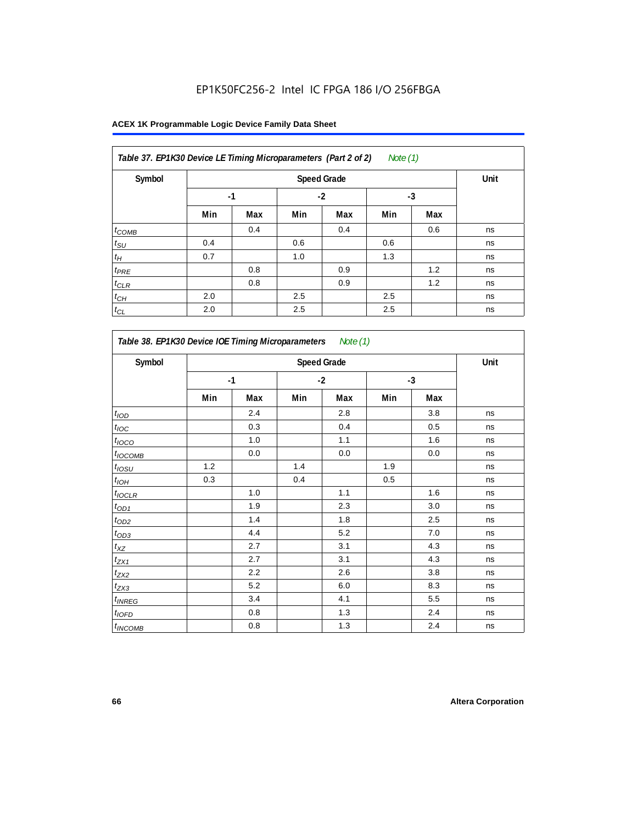| Table 37. EP1K30 Device LE Timing Microparameters (Part 2 of 2)<br>Note $(1)$ |      |      |      |     |      |     |    |  |  |
|-------------------------------------------------------------------------------|------|------|------|-----|------|-----|----|--|--|
| Symbol                                                                        |      | Unit |      |     |      |     |    |  |  |
|                                                                               | $-1$ |      | $-2$ |     | $-3$ |     |    |  |  |
|                                                                               | Min  | Max  | Min  | Max | Min  | Max |    |  |  |
| $t_{COMB}$                                                                    |      | 0.4  |      | 0.4 |      | 0.6 | ns |  |  |
| $t_{\text{SU}}$                                                               | 0.4  |      | 0.6  |     | 0.6  |     | ns |  |  |
| $t_H$                                                                         | 0.7  |      | 1.0  |     | 1.3  |     | ns |  |  |
| $t_{PRE}$                                                                     |      | 0.8  |      | 0.9 |      | 1.2 | ns |  |  |
| $t_{CLR}$                                                                     |      | 0.8  |      | 0.9 |      | 1.2 | ns |  |  |
| $t_{CH}$                                                                      | 2.0  |      | 2.5  |     | 2.5  |     | ns |  |  |
| $t_{CL}$                                                                      | 2.0  |      | 2.5  |     | 2.5  |     | ns |  |  |

| Symbol                |     |      |     | <b>Speed Grade</b> |     |      | Unit |
|-----------------------|-----|------|-----|--------------------|-----|------|------|
|                       |     | $-1$ |     | $-2$               |     | $-3$ |      |
|                       | Min | Max  | Min | Max                | Min | Max  |      |
| t <sub>IOD</sub>      |     | 2.4  |     | 2.8                |     | 3.8  | ns   |
| $t_{\text{IOC}}$      |     | 0.3  |     | 0.4                |     | 0.5  | ns   |
| $t_{IOCO}$            |     | 1.0  |     | 1.1                |     | 1.6  | ns   |
| $t_{IOCOMB}$          |     | 0.0  |     | $0.0\,$            |     | 0.0  | ns   |
| $t_{IOSU}$            | 1.2 |      | 1.4 |                    | 1.9 |      | ns   |
| $t_{IOH}$             | 0.3 |      | 0.4 |                    | 0.5 |      | ns   |
| $t_{IOCLR}$           |     | 1.0  |     | 1.1                |     | 1.6  | ns   |
| $t_{OD1}$             |     | 1.9  |     | 2.3                |     | 3.0  | ns   |
| $t_{OD2}$             |     | 1.4  |     | 1.8                |     | 2.5  | ns   |
| $t_{OD3}$             |     | 4.4  |     | 5.2                |     | 7.0  | ns   |
| $t_{XZ}$              |     | 2.7  |     | 3.1                |     | 4.3  | ns   |
| $t_{\underline{ZX1}}$ |     | 2.7  |     | 3.1                |     | 4.3  | ns   |
| $t_{ZX2}$             |     | 2.2  |     | 2.6                |     | 3.8  | ns   |
| $t_{ZX3}$             |     | 5.2  |     | 6.0                |     | 8.3  | ns   |
| $t_{INREG}$           |     | 3.4  |     | 4.1                |     | 5.5  | ns   |
| $t_{IOFD}$            |     | 0.8  |     | 1.3                |     | 2.4  | ns   |
| $t_{INCOMB}$          |     | 0.8  |     | 1.3                |     | 2.4  | ns   |

٦

 $\mathsf{r}$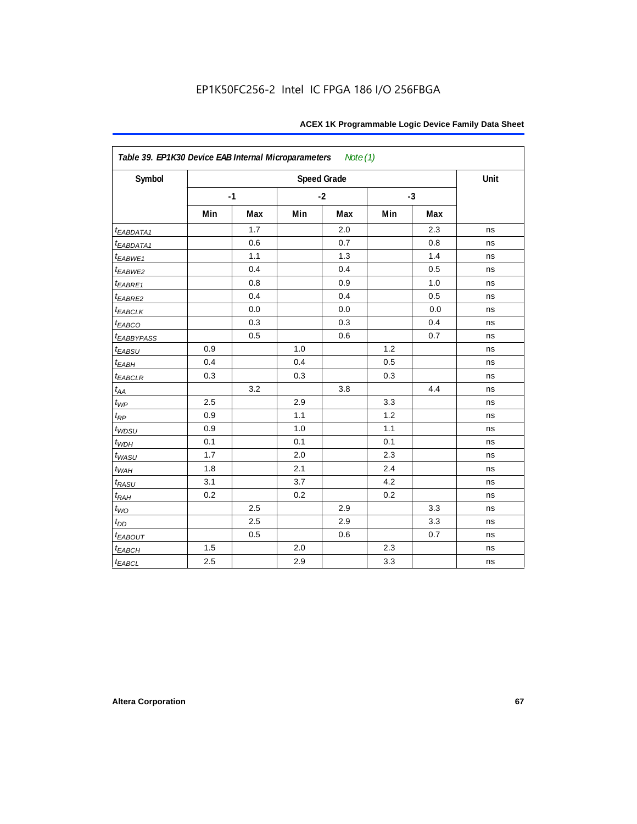| Symbol                 |     |      |     | <b>Speed Grade</b> |     |      | Unit |
|------------------------|-----|------|-----|--------------------|-----|------|------|
|                        |     | $-1$ |     | $-2$               |     | $-3$ |      |
|                        | Min | Max  | Min | Max                | Min | Max  |      |
| t <sub>EABDATA1</sub>  |     | 1.7  |     | 2.0                |     | 2.3  | ns   |
| t <sub>EABDATA1</sub>  |     | 0.6  |     | 0.7                |     | 0.8  | ns   |
| $t_{EABWE1}$           |     | 1.1  |     | 1.3                |     | 1.4  | ns   |
| t <sub>EABWE2</sub>    |     | 0.4  |     | 0.4                |     | 0.5  | ns   |
| $t_{EABRE1}$           |     | 0.8  |     | 0.9                |     | 1.0  | ns   |
| $t_{EABRE2}$           |     | 0.4  |     | 0.4                |     | 0.5  | ns   |
| <b><i>EABCLK</i></b>   |     | 0.0  |     | 0.0                |     | 0.0  | ns   |
| t <sub>EABCO</sub>     |     | 0.3  |     | 0.3                |     | 0.4  | ns   |
| t <sub>EABBYPASS</sub> |     | 0.5  |     | 0.6                |     | 0.7  | ns   |
| t <sub>EABSU</sub>     | 0.9 |      | 1.0 |                    | 1.2 |      | ns   |
| $t_{EABH}$             | 0.4 |      | 0.4 |                    | 0.5 |      | ns   |
| $t_{EABCLR}$           | 0.3 |      | 0.3 |                    | 0.3 |      | ns   |
| $t_{AA}$               |     | 3.2  |     | 3.8                |     | 4.4  | ns   |
| $t_{WP}$               | 2.5 |      | 2.9 |                    | 3.3 |      | ns   |
| $t_{\mathsf{RP}}$      | 0.9 |      | 1.1 |                    | 1.2 |      | ns   |
| $t_{WDSU}$             | 0.9 |      | 1.0 |                    | 1.1 |      | ns   |
| $t_{WDH}$              | 0.1 |      | 0.1 |                    | 0.1 |      | ns   |
| t <sub>WASU</sub>      | 1.7 |      | 2.0 |                    | 2.3 |      | ns   |
| $t_{WAH}$              | 1.8 |      | 2.1 |                    | 2.4 |      | ns   |
| t <sub>RASU</sub>      | 3.1 |      | 3.7 |                    | 4.2 |      | ns   |
| $t_{RAH}$              | 0.2 |      | 0.2 |                    | 0.2 |      | ns   |
| $t_{WO}$               |     | 2.5  |     | 2.9                |     | 3.3  | ns   |
| $t_{DD}$               |     | 2.5  |     | 2.9                |     | 3.3  | ns   |
| <b><i>EABOUT</i></b>   |     | 0.5  |     | 0.6                |     | 0.7  | ns   |
| $t_{EABCH}$            | 1.5 |      | 2.0 |                    | 2.3 |      | ns   |
| $t_{EABCL}$            | 2.5 |      | 2.9 |                    | 3.3 |      | ns   |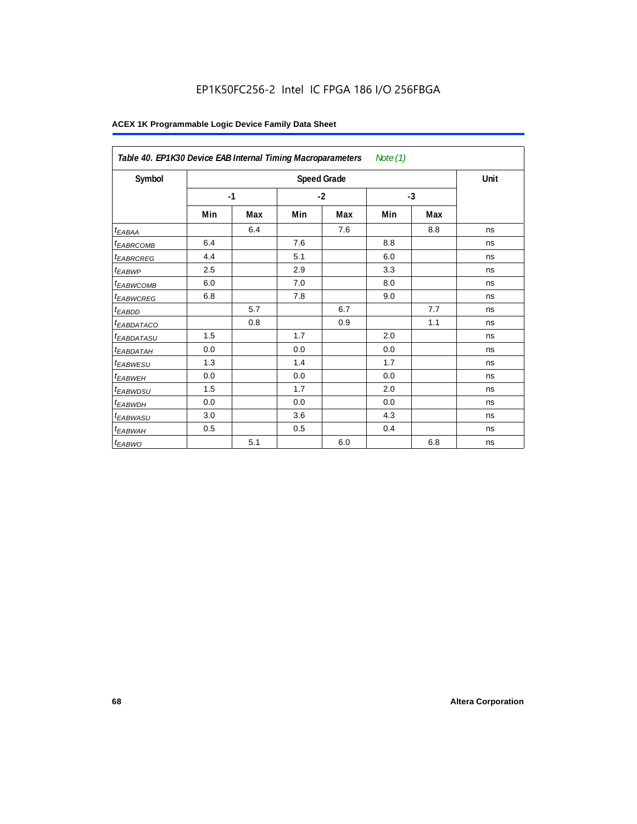|                        | Table 40. EP1K30 Device EAB Internal Timing Macroparameters<br>Note $(1)$ |     |      |                    |      |     |      |  |  |  |
|------------------------|---------------------------------------------------------------------------|-----|------|--------------------|------|-----|------|--|--|--|
| Symbol                 |                                                                           |     |      | <b>Speed Grade</b> |      |     | Unit |  |  |  |
|                        | $-1$                                                                      |     | $-2$ |                    | $-3$ |     |      |  |  |  |
|                        | Min                                                                       | Max | Min  | Max                | Min  | Max |      |  |  |  |
| t <sub>EABAA</sub>     |                                                                           | 6.4 |      | 7.6                |      | 8.8 | ns   |  |  |  |
| <sup>t</sup> EABRCOMB  | 6.4                                                                       |     | 7.6  |                    | 8.8  |     | ns   |  |  |  |
| <sup>t</sup> EABRCREG  | 4.4                                                                       |     | 5.1  |                    | 6.0  |     | ns   |  |  |  |
| t <sub>EABWP</sub>     | 2.5                                                                       |     | 2.9  |                    | 3.3  |     | ns   |  |  |  |
| <sup>t</sup> EABWCOMB  | 6.0                                                                       |     | 7.0  |                    | 8.0  |     | ns   |  |  |  |
| <sup>t</sup> EABWCREG  | 6.8                                                                       |     | 7.8  |                    | 9.0  |     | ns   |  |  |  |
| <sup>t</sup> EABDD     |                                                                           | 5.7 |      | 6.7                |      | 7.7 | ns   |  |  |  |
| <sup>t</sup> EABDATACO |                                                                           | 0.8 |      | 0.9                |      | 1.1 | ns   |  |  |  |
| <sup>t</sup> EABDATASU | 1.5                                                                       |     | 1.7  |                    | 2.0  |     | ns   |  |  |  |
| <sup>t</sup> EABDATAH  | 0.0                                                                       |     | 0.0  |                    | 0.0  |     | ns   |  |  |  |
| <sup>t</sup> EABWESU   | 1.3                                                                       |     | 1.4  |                    | 1.7  |     | ns   |  |  |  |
| <sup>t</sup> EABWEH    | 0.0                                                                       |     | 0.0  |                    | 0.0  |     | ns   |  |  |  |
| <sup>t</sup> EABWDSU   | 1.5                                                                       |     | 1.7  |                    | 2.0  |     | ns   |  |  |  |
| <sup>t</sup> EABWDH    | 0.0                                                                       |     | 0.0  |                    | 0.0  |     | ns   |  |  |  |
| <sup>t</sup> EABWASU   | 3.0                                                                       |     | 3.6  |                    | 4.3  |     | ns   |  |  |  |
| <sup>t</sup> EABWAH    | 0.5                                                                       |     | 0.5  |                    | 0.4  |     | ns   |  |  |  |
| <sup>t</sup> EABWO     |                                                                           | 5.1 |      | 6.0                |      | 6.8 | ns   |  |  |  |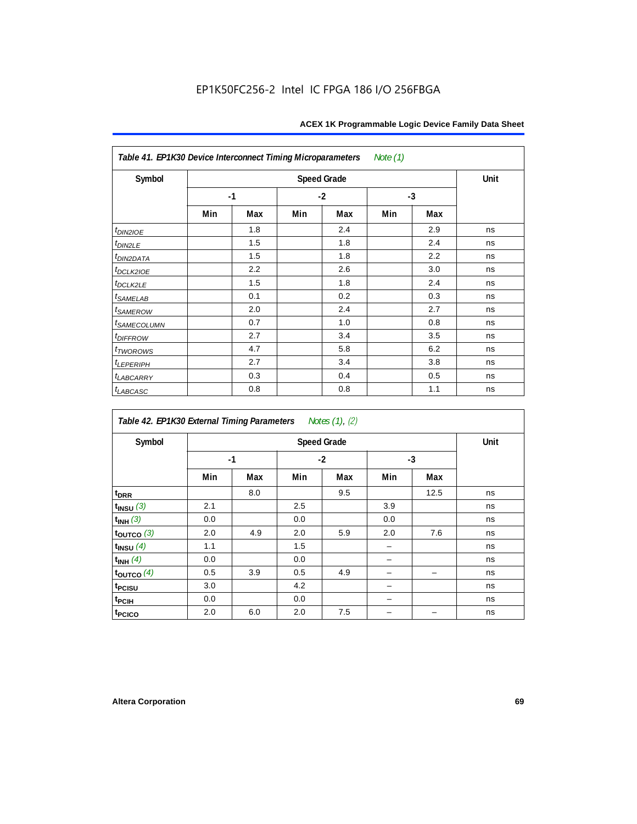| Table 41. EP1K30 Device Interconnect Timing Microparameters<br>Note (1) |     |      |     |                    |     |      |      |  |  |  |
|-------------------------------------------------------------------------|-----|------|-----|--------------------|-----|------|------|--|--|--|
| Symbol                                                                  |     |      |     | <b>Speed Grade</b> |     |      | Unit |  |  |  |
|                                                                         |     | $-1$ |     | $-2$               |     | $-3$ |      |  |  |  |
|                                                                         | Min | Max  | Min | Max                | Min | Max  |      |  |  |  |
| $t_{DIN2IOE}$                                                           |     | 1.8  |     | 2.4                |     | 2.9  | ns   |  |  |  |
| $t_{DIN2LE}$                                                            |     | 1.5  |     | 1.8                |     | 2.4  | ns   |  |  |  |
| t <sub>DIN2DATA</sub>                                                   |     | 1.5  |     | 1.8                |     | 2.2  | ns   |  |  |  |
| $t$ <sub>DCLK2IOE</sub>                                                 |     | 2.2  |     | 2.6                |     | 3.0  | ns   |  |  |  |
| $t_{DCLK2LE}$                                                           |     | 1.5  |     | 1.8                |     | 2.4  | ns   |  |  |  |
| $t_{SAMELAB}$                                                           |     | 0.1  |     | 0.2                |     | 0.3  | ns   |  |  |  |
| <i>t</i> <sub>SAMEROW</sub>                                             |     | 2.0  |     | 2.4                |     | 2.7  | ns   |  |  |  |
| <i>t<sub>SAMECOLUMN</sub></i>                                           |     | 0.7  |     | 1.0                |     | 0.8  | ns   |  |  |  |
| $t$ DIFFROW                                                             |     | 2.7  |     | 3.4                |     | 3.5  | ns   |  |  |  |
| $t_{TWOROMS}$                                                           |     | 4.7  |     | 5.8                |     | 6.2  | ns   |  |  |  |
| t <sub>LEPERIPH</sub>                                                   |     | 2.7  |     | 3.4                |     | 3.8  | ns   |  |  |  |
| <b><i>LABCARRY</i></b>                                                  |     | 0.3  |     | 0.4                |     | 0.5  | ns   |  |  |  |
| $t_{LABCASC}$                                                           |     | 0.8  |     | 0.8                |     | 1.1  | ns   |  |  |  |

| Table 42. EP1K30 External Timing Parameters Notes (1), (2) |                    |     |      |     |      |      |    |  |
|------------------------------------------------------------|--------------------|-----|------|-----|------|------|----|--|
| Symbol                                                     | <b>Speed Grade</b> |     |      |     |      |      |    |  |
|                                                            | $-1$               |     | $-2$ |     | $-3$ |      |    |  |
|                                                            | Min                | Max | Min  | Max | Min  | Max  |    |  |
| t <sub>DRR</sub>                                           |                    | 8.0 |      | 9.5 |      | 12.5 | ns |  |
| $t_{INSU}$ (3)                                             | 2.1                |     | 2.5  |     | 3.9  |      | ns |  |
| $t_{INH}$ (3)                                              | 0.0                |     | 0.0  |     | 0.0  |      | ns |  |
| $t_{OUTCO}$ (3)                                            | 2.0                | 4.9 | 2.0  | 5.9 | 2.0  | 7.6  | ns |  |
| $t_{INSU}$ $(4)$                                           | 1.1                |     | 1.5  |     |      |      | ns |  |
| $t_{INH}$ (4)                                              | 0.0                |     | 0.0  |     |      |      | ns |  |
| $t_{\text{OUTCO}}(4)$                                      | 0.5                | 3.9 | 0.5  | 4.9 |      |      | ns |  |
| t <sub>PCISU</sub>                                         | 3.0                |     | 4.2  |     |      |      | ns |  |
| t <sub>PCIH</sub>                                          | 0.0                |     | 0.0  |     |      |      | ns |  |
| t <sub>PCICO</sub>                                         | 2.0                | 6.0 | 2.0  | 7.5 |      |      | ns |  |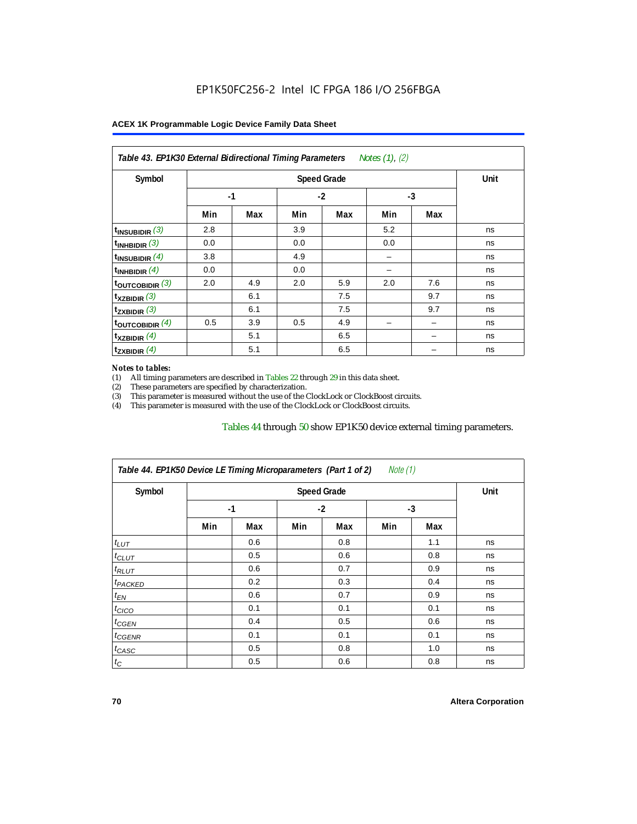| Table 43. EP1K30 External Bidirectional Timing Parameters Notes (1), (2) |      |      |      |     |      |     |    |  |
|--------------------------------------------------------------------------|------|------|------|-----|------|-----|----|--|
| Symbol                                                                   |      | Unit |      |     |      |     |    |  |
|                                                                          | $-1$ |      | $-2$ |     | $-3$ |     |    |  |
|                                                                          | Min  | Max  | Min  | Max | Min  | Max |    |  |
| $t_{\text{INSUBIDIR}}(3)$                                                | 2.8  |      | 3.9  |     | 5.2  |     | ns |  |
| $t_{INHBIDIR}$ (3)                                                       | 0.0  |      | 0.0  |     | 0.0  |     | ns |  |
| $t_{INSUBIDIR}(4)$                                                       | 3.8  |      | 4.9  |     |      |     | ns |  |
| $t_{INHBIDIR}$ (4)                                                       | 0.0  |      | 0.0  |     |      |     | ns |  |
| $t_{\text{OUTCOBIDIR}}$ (3)                                              | 2.0  | 4.9  | 2.0  | 5.9 | 2.0  | 7.6 | ns |  |
| $t_{XZBIDIR}$ (3)                                                        |      | 6.1  |      | 7.5 |      | 9.7 | ns |  |
| $t_{ZXBIDIR}$ (3)                                                        |      | 6.1  |      | 7.5 |      | 9.7 | ns |  |
| toutcobidir $(4)$                                                        | 0.5  | 3.9  | 0.5  | 4.9 |      |     | ns |  |
| $t_{XZBIDIR}$ (4)                                                        |      | 5.1  |      | 6.5 |      |     | ns |  |
| $t_{ZXBIDIR}$ (4)                                                        |      | 5.1  |      | 6.5 |      |     | ns |  |

#### *Notes to tables:*

(1) All timing parameters are described in Tables 22 through  $29$  in this data sheet.<br>(2) These parameters are specified by characterization.

(2) These parameters are specified by characterization.<br>
(3) This parameter is measured without the use of the C This parameter is measured without the use of the ClockLock or ClockBoost circuits.

(4) This parameter is measured with the use of the ClockLock or ClockBoost circuits.

#### Tables 44 through 50 show EP1K50 device external timing parameters.

| Symbol               |      | <b>Speed Grade</b> |      |     |     |     |    |  |
|----------------------|------|--------------------|------|-----|-----|-----|----|--|
|                      | $-1$ |                    | $-2$ |     | -3  |     |    |  |
|                      | Min  | Max                | Min  | Max | Min | Max |    |  |
| $t_{LUT}$            |      | 0.6                |      | 0.8 |     | 1.1 | ns |  |
| $t_{CLUT}$           |      | 0.5                |      | 0.6 |     | 0.8 | ns |  |
| $t_{RLUT}$           |      | 0.6                |      | 0.7 |     | 0.9 | ns |  |
| <sup>t</sup> PACKED  |      | 0.2                |      | 0.3 |     | 0.4 | ns |  |
| $t_{EN}$             |      | 0.6                |      | 0.7 |     | 0.9 | ns |  |
| $t_{CICO}$           |      | 0.1                |      | 0.1 |     | 0.1 | ns |  |
| $t_{\overline{GED}}$ |      | 0.4                |      | 0.5 |     | 0.6 | ns |  |
| $t_{GENR}$           |      | 0.1                |      | 0.1 |     | 0.1 | ns |  |
| $t_{CASC}$           |      | 0.5                |      | 0.8 |     | 1.0 | ns |  |
| $t_C$                |      | 0.5                |      | 0.6 |     | 0.8 | ns |  |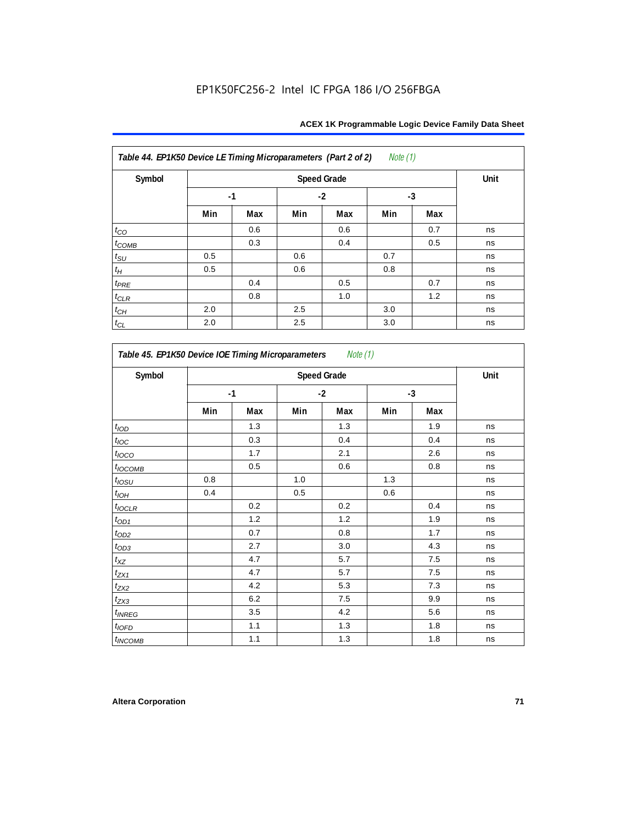| Table 44. EP1K50 Device LE Timing Microparameters (Part 2 of 2)<br><i>Note</i> $(1)$ |      |      |      |     |      |     |    |
|--------------------------------------------------------------------------------------|------|------|------|-----|------|-----|----|
| Symbol                                                                               |      | Unit |      |     |      |     |    |
|                                                                                      | $-1$ |      | $-2$ |     | $-3$ |     |    |
|                                                                                      | Min  | Max  | Min  | Max | Min  | Max |    |
| $t_{CO}$                                                                             |      | 0.6  |      | 0.6 |      | 0.7 | ns |
| $t_{COMB}$                                                                           |      | 0.3  |      | 0.4 |      | 0.5 | ns |
| $t_{\rm SU}$                                                                         | 0.5  |      | 0.6  |     | 0.7  |     | ns |
| $t_{\!H}$                                                                            | 0.5  |      | 0.6  |     | 0.8  |     | ns |
| $t_{PRE}$                                                                            |      | 0.4  |      | 0.5 |      | 0.7 | ns |
| $t_{CLR}$                                                                            |      | 0.8  |      | 1.0 |      | 1.2 | ns |
| $t_{\mathbb{C} H}$                                                                   | 2.0  |      | 2.5  |     | 3.0  |     | ns |
| $t_{CL}$                                                                             | 2.0  |      | 2.5  |     | 3.0  |     | ns |

*Table 45. EP1K50 Device IOE Timing Microparameters Note (1)* Symbol **Constanting Speed Grade** Constanting Speed Grade Constanting Speed Grade Constanting Speed Constanting O **-1 -2 -3 Min Max Min Max Min Max**  $t_{\mathsf{IOD}}$  | | 1.3 | | 1.3 | | 1.9 | ns  $t_{\mathit{loc}}$  | | 0.3 | | 0.4 | | 0.4 | ns *t<sub>l</sub>oco* | | 1.7 | | 2.1 | | 2.6 | ns  $t_{\textit{OCOMB}}$  | 0.5 | 0.6 | 0.8 | ns  $t_{\mathit{OSU}}$  | 0.8 | | 1.0 | | 1.3 | | | ns tIOH 0.4 0.5 0.6 ns  $t_{\sf{IOCLR}}$  | | 0.2 | | 0.2 | | 0.4 | ns  $t_{OD1}$  | 1.2 | 1.2 | 1.2 | 1.9 | ns tOD2 0.7 0.8 1.7 ns  $t_{OD3}$  | 2.7 | 3.0 | 4.3 | ns  $t_{XZ}$  | 4.7 | 5.7 | 7.5 | ns  $t_{\text{ZX1}}$  | 4.7 | 5.7 | 7.5 | ns  $t_{\rm{ZX2}}$  1 4.2  $\pm$  5.3  $\pm$  7.3  $\pm$  ns  $t_{\rm{ZX3}}$  1  $\pm$  6.2  $\pm$  7.5  $\pm$  9.9 ns  $t_{INREG}$   $\begin{array}{|c|c|c|c|c|c|} \hline \end{array}$   $\begin{array}{|c|c|c|c|c|c|} \hline \end{array}$  4.2 | 5.6 | ns  $t_{\sf 10FD}$  | 1.1 | 1.3 | 1.8 | ns  $t_{INCOMB}$  | 1.1 | 1.3 | 1.8 | ns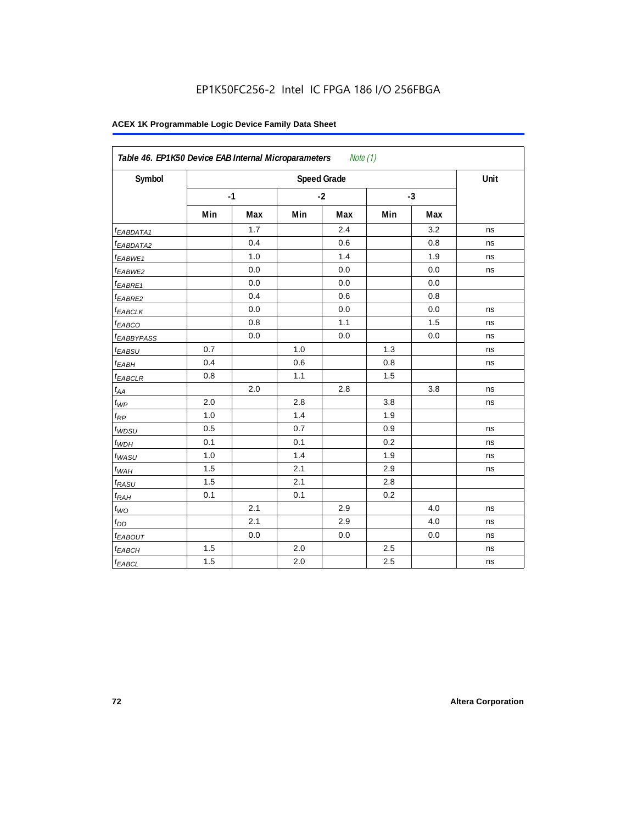| Symbol                  |     |      |     | <b>Speed Grade</b> |     |      | Unit |
|-------------------------|-----|------|-----|--------------------|-----|------|------|
|                         |     | $-1$ |     | $-2$               |     | $-3$ |      |
|                         | Min | Max  | Min | Max                | Min | Max  |      |
| <sup>t</sup> EABDATA1   |     | 1.7  |     | 2.4                |     | 3.2  | ns   |
| <sup>t</sup> EABDATA2   |     | 0.4  |     | 0.6                |     | 0.8  | ns   |
| t <sub>EABWE1</sub>     |     | 1.0  |     | 1.4                |     | 1.9  | ns   |
| <sup>t</sup> EABWE2     |     | 0.0  |     | 0.0                |     | 0.0  | ns   |
| <sup>t</sup> EABRE1     |     | 0.0  |     | 0.0                |     | 0.0  |      |
| <sup>t</sup> EABRE2     |     | 0.4  |     | 0.6                |     | 0.8  |      |
| <sup>t</sup> EABCLK     |     | 0.0  |     | 0.0                |     | 0.0  | ns   |
| t <sub>EABCO</sub>      |     | 0.8  |     | 1.1                |     | 1.5  | ns   |
| <i><b>EABBYPASS</b></i> |     | 0.0  |     | 0.0                |     | 0.0  | ns   |
| t <sub>EABSU</sub>      | 0.7 |      | 1.0 |                    | 1.3 |      | ns   |
| t <sub>EABH</sub>       | 0.4 |      | 0.6 |                    | 0.8 |      | ns   |
| <sup>t</sup> EABCLR     | 0.8 |      | 1.1 |                    | 1.5 |      |      |
| $t_{AA}$                |     | 2.0  |     | 2.8                |     | 3.8  | ns   |
| $t_{\mathit{WP}}$       | 2.0 |      | 2.8 |                    | 3.8 |      | ns   |
| $t_{RP}$                | 1.0 |      | 1.4 |                    | 1.9 |      |      |
| $t_{WDSU}$              | 0.5 |      | 0.7 |                    | 0.9 |      | ns   |
| $t_{WDH}$               | 0.1 |      | 0.1 |                    | 0.2 |      | ns   |
| $t_{WASU}$              | 1.0 |      | 1.4 |                    | 1.9 |      | ns   |
| $t_{WAH}$               | 1.5 |      | 2.1 |                    | 2.9 |      | ns   |
| t <sub>RASU</sub>       | 1.5 |      | 2.1 |                    | 2.8 |      |      |
| $t_{RAH}$               | 0.1 |      | 0.1 |                    | 0.2 |      |      |
| $t_{WO}$                |     | 2.1  |     | 2.9                |     | 4.0  | ns   |
| $t_{DD}$                |     | 2.1  |     | 2.9                |     | 4.0  | ns   |
| t <sub>EABOUT</sub>     |     | 0.0  |     | 0.0                |     | 0.0  | ns   |
| t <sub>EABCH</sub>      | 1.5 |      | 2.0 |                    | 2.5 |      | ns   |
| $t_{EABCL}$             | 1.5 |      | 2.0 |                    | 2.5 |      | ns   |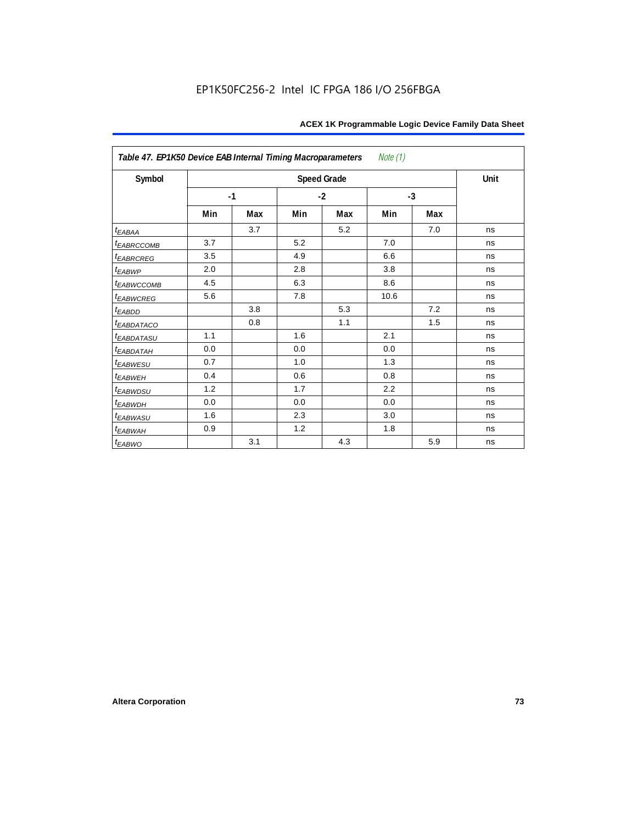| Table 47. EP1K50 Device EAB Internal Timing Macroparameters<br>Note (1) |      |     |      |                    |      |     |      |  |  |  |  |
|-------------------------------------------------------------------------|------|-----|------|--------------------|------|-----|------|--|--|--|--|
| Symbol                                                                  |      |     |      | <b>Speed Grade</b> |      |     | Unit |  |  |  |  |
|                                                                         | $-1$ |     | $-2$ |                    | $-3$ |     |      |  |  |  |  |
|                                                                         | Min  | Max | Min  | Max                | Min  | Max |      |  |  |  |  |
| $t_{EABA}$                                                              |      | 3.7 |      | 5.2                |      | 7.0 | ns   |  |  |  |  |
| <b><i>EABRCCOMB</i></b>                                                 | 3.7  |     | 5.2  |                    | 7.0  |     | ns   |  |  |  |  |
| t <sub>EABRCREG</sub>                                                   | 3.5  |     | 4.9  |                    | 6.6  |     | ns   |  |  |  |  |
| $t_{EABWP}$                                                             | 2.0  |     | 2.8  |                    | 3.8  |     | ns   |  |  |  |  |
| <sup>t</sup> EABWCCOMB                                                  | 4.5  |     | 6.3  |                    | 8.6  |     | ns   |  |  |  |  |
| t <sub>EABWCREG</sub>                                                   | 5.6  |     | 7.8  |                    | 10.6 |     | ns   |  |  |  |  |
| t <sub>EABDD</sub>                                                      |      | 3.8 |      | 5.3                |      | 7.2 | ns   |  |  |  |  |
| <b><i>EABDATACO</i></b>                                                 |      | 0.8 |      | 1.1                |      | 1.5 | ns   |  |  |  |  |
| <i>EABDATASU</i>                                                        | 1.1  |     | 1.6  |                    | 2.1  |     | ns   |  |  |  |  |
| <sup>t</sup> EABDATAH                                                   | 0.0  |     | 0.0  |                    | 0.0  |     | ns   |  |  |  |  |
| t <sub>EABWESU</sub>                                                    | 0.7  |     | 1.0  |                    | 1.3  |     | ns   |  |  |  |  |
| <sup>t</sup> EABWEH                                                     | 0.4  |     | 0.6  |                    | 0.8  |     | ns   |  |  |  |  |
| t <sub>EABWDSU</sub>                                                    | 1.2  |     | 1.7  |                    | 2.2  |     | ns   |  |  |  |  |
| <sup>t</sup> EABWDH                                                     | 0.0  |     | 0.0  |                    | 0.0  |     | ns   |  |  |  |  |
| t <sub>EABWASU</sub>                                                    | 1.6  |     | 2.3  |                    | 3.0  |     | ns   |  |  |  |  |
| t <sub>ЕАВWАН</sub>                                                     | 0.9  |     | 1.2  |                    | 1.8  |     | ns   |  |  |  |  |
| $t_{EABWO}$                                                             |      | 3.1 |      | 4.3                |      | 5.9 | ns   |  |  |  |  |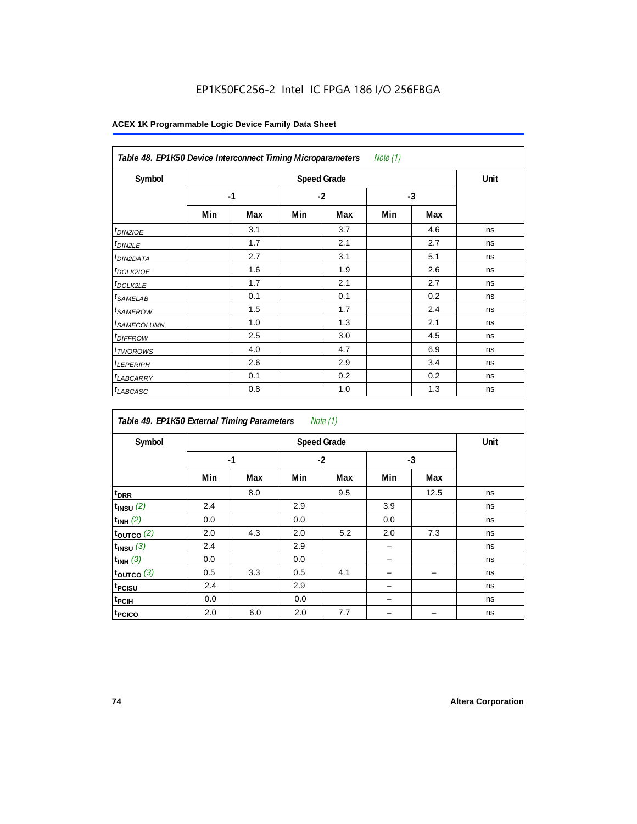| Note $(1)$<br>Table 48. EP1K50 Device Interconnect Timing Microparameters |     |      |      |     |      |     |    |  |  |  |
|---------------------------------------------------------------------------|-----|------|------|-----|------|-----|----|--|--|--|
| Symbol                                                                    |     | Unit |      |     |      |     |    |  |  |  |
|                                                                           |     | $-1$ | $-2$ |     | $-3$ |     |    |  |  |  |
|                                                                           | Min | Max  | Min  | Max | Min  | Max |    |  |  |  |
| $t_{DINZIOE}$                                                             |     | 3.1  |      | 3.7 |      | 4.6 | ns |  |  |  |
| <sup>t</sup> DIN2LE                                                       |     | 1.7  |      | 2.1 |      | 2.7 | ns |  |  |  |
| <sup>t</sup> DIN2DATA                                                     |     | 2.7  |      | 3.1 |      | 5.1 | ns |  |  |  |
| <sup>t</sup> DCLK2IOE                                                     |     | 1.6  |      | 1.9 |      | 2.6 | ns |  |  |  |
| <sup>t</sup> DCLK2LE                                                      |     | 1.7  |      | 2.1 |      | 2.7 | ns |  |  |  |
| <sup>t</sup> SAMELAB                                                      |     | 0.1  |      | 0.1 |      | 0.2 | ns |  |  |  |
| <sup>t</sup> SAMEROW                                                      |     | 1.5  |      | 1.7 |      | 2.4 | ns |  |  |  |
| <sup>t</sup> SAMECOLUMN                                                   |     | 1.0  |      | 1.3 |      | 2.1 | ns |  |  |  |
| <i>t<sub>DIFFROW</sub></i>                                                |     | 2.5  |      | 3.0 |      | 4.5 | ns |  |  |  |
| <sup>t</sup> TWOROWS                                                      |     | 4.0  |      | 4.7 |      | 6.9 | ns |  |  |  |
| <sup>t</sup> LEPERIPH                                                     |     | 2.6  |      | 2.9 |      | 3.4 | ns |  |  |  |
| <sup>t</sup> LABCARRY                                                     |     | 0.1  |      | 0.2 |      | 0.2 | ns |  |  |  |
| <b>LABCASC</b>                                                            |     | 0.8  |      | 1.0 |      | 1.3 | ns |  |  |  |

| Note $(1)$<br>Table 49. EP1K50 External Timing Parameters |      |      |     |      |     |      |    |  |  |  |  |
|-----------------------------------------------------------|------|------|-----|------|-----|------|----|--|--|--|--|
| Symbol                                                    |      | Unit |     |      |     |      |    |  |  |  |  |
|                                                           | $-1$ |      |     | $-2$ |     | $-3$ |    |  |  |  |  |
|                                                           | Min  | Max  | Min | Max  | Min | Max  |    |  |  |  |  |
| t <sub>DRR</sub>                                          |      | 8.0  |     | 9.5  |     | 12.5 | ns |  |  |  |  |
| $t_{INSU}$ (2)                                            | 2.4  |      | 2.9 |      | 3.9 |      | ns |  |  |  |  |
| $t_{INH}$ (2)                                             | 0.0  |      | 0.0 |      | 0.0 |      | ns |  |  |  |  |
| $t_{OUTCO}$ (2)                                           | 2.0  | 4.3  | 2.0 | 5.2  | 2.0 | 7.3  | ns |  |  |  |  |
| $t_{INSU}$ (3)                                            | 2.4  |      | 2.9 |      |     |      | ns |  |  |  |  |
| $t_{INH}$ (3)                                             | 0.0  |      | 0.0 |      |     |      | ns |  |  |  |  |
| $t_{OUTCO}$ (3)                                           | 0.5  | 3.3  | 0.5 | 4.1  |     | -    | ns |  |  |  |  |
| t <sub>PCISU</sub>                                        | 2.4  |      | 2.9 |      |     |      | ns |  |  |  |  |
| t <sub>PCIH</sub>                                         | 0.0  |      | 0.0 |      |     |      | ns |  |  |  |  |
| t <sub>PCICO</sub>                                        | 2.0  | 6.0  | 2.0 | 7.7  |     |      | ns |  |  |  |  |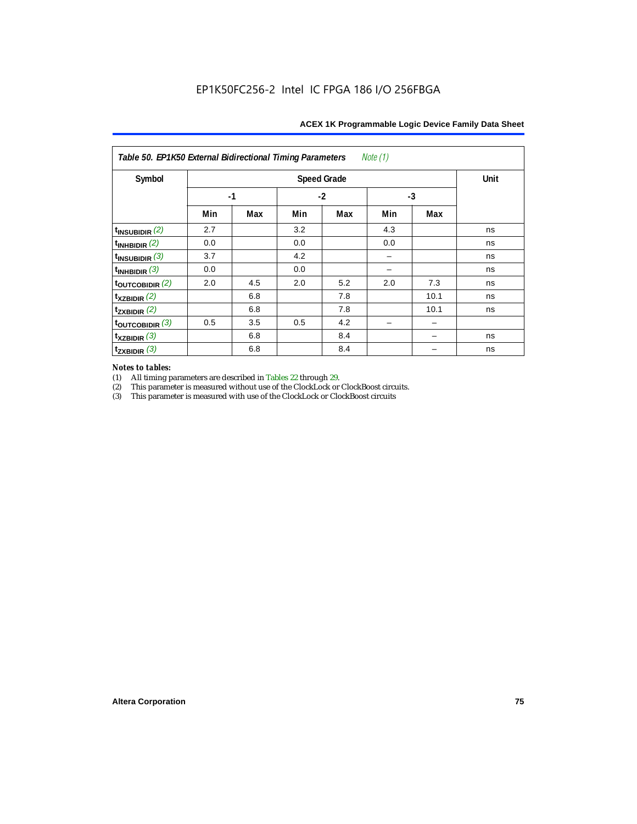| Note (1)<br>Table 50. EP1K50 External Bidirectional Timing Parameters |     |      |     |                    |      |      |      |  |  |  |
|-----------------------------------------------------------------------|-----|------|-----|--------------------|------|------|------|--|--|--|
| Symbol                                                                |     |      |     | <b>Speed Grade</b> |      |      | Unit |  |  |  |
|                                                                       |     | $-1$ |     | $-2$               | $-3$ |      |      |  |  |  |
|                                                                       | Min | Max  | Min | Max                | Min  | Max  |      |  |  |  |
| $t_{\text{INSUBIDIR}}(2)$                                             | 2.7 |      | 3.2 |                    | 4.3  |      | ns   |  |  |  |
| $t_{INHBIDIR}$ (2)                                                    | 0.0 |      | 0.0 |                    | 0.0  |      | ns   |  |  |  |
| $t_{INSUBIDIR}$ (3)                                                   | 3.7 |      | 4.2 |                    |      |      | ns   |  |  |  |
| $t_{INHBIDIR}$ (3)                                                    | 0.0 |      | 0.0 |                    |      |      | ns   |  |  |  |
| toutcobidir $(2)$                                                     | 2.0 | 4.5  | 2.0 | 5.2                | 2.0  | 7.3  | ns   |  |  |  |
| $t_{XZBIDIR}$ (2)                                                     |     | 6.8  |     | 7.8                |      | 10.1 | ns   |  |  |  |
| $t_{ZXBIDIR}$ (2)                                                     |     | 6.8  |     | 7.8                |      | 10.1 | ns   |  |  |  |
| $t_{\text{OUTCOBIDIR}}$ (3)                                           | 0.5 | 3.5  | 0.5 | 4.2                |      |      |      |  |  |  |
| $t_{XZBIDIR}$ (3)                                                     |     | 6.8  |     | 8.4                |      |      | ns   |  |  |  |
| $t_{ZXBIDIR}$ (3)                                                     |     | 6.8  |     | 8.4                |      |      | ns   |  |  |  |

# *Notes to tables:*

(1) All timing parameters are described in Tables 22 through 29.<br>
(2) This parameter is measured without use of the ClockLock or

(2) This parameter is measured without use of the ClockLock or ClockBoost circuits.<br>
(3) This parameter is measured with use of the ClockLock or ClockBoost circuits

This parameter is measured with use of the ClockLock or ClockBoost circuits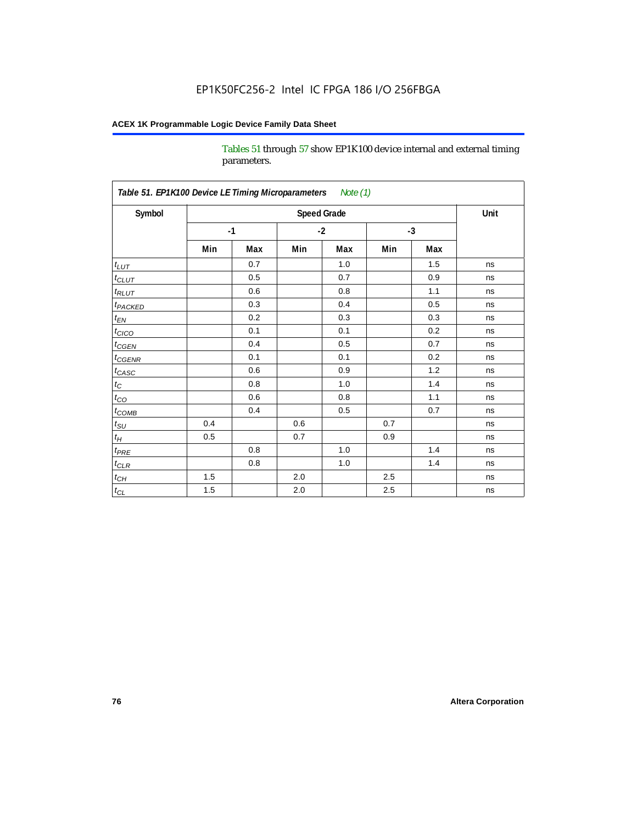Tables 51 through 57 show EP1K100 device internal and external timing parameters.

| Table 51. EP1K100 Device LE Timing Microparameters Note (1) |     |      |         |                    |     |      |      |
|-------------------------------------------------------------|-----|------|---------|--------------------|-----|------|------|
| Symbol                                                      |     |      |         | <b>Speed Grade</b> |     |      | Unit |
|                                                             |     | $-1$ |         | $-2$               |     | $-3$ |      |
|                                                             | Min | Max  | Min     | Max                | Min | Max  |      |
| $t_{LUT}$                                                   |     | 0.7  |         | 1.0                |     | 1.5  | ns   |
| $t_{CLUT}$                                                  |     | 0.5  |         | 0.7                |     | 0.9  | ns   |
| $t_{RLUT}$                                                  |     | 0.6  |         | 0.8                |     | 1.1  | ns   |
| <b>t</b> <sub>PACKED</sub>                                  |     | 0.3  |         | 0.4                |     | 0.5  | ns   |
| $t_{EN}$                                                    |     | 0.2  |         | 0.3                |     | 0.3  | ns   |
| $t_{CICO}$                                                  |     | 0.1  |         | 0.1                |     | 0.2  | ns   |
| $t_{\text{CGEN}}$                                           |     | 0.4  |         | 0.5                |     | 0.7  | ns   |
| $t_{GENR}$                                                  |     | 0.1  |         | 0.1                |     | 0.2  | ns   |
| $t_{CASC}$                                                  |     | 0.6  |         | 0.9                |     | 1.2  | ns   |
| $t_{\rm C}$                                                 |     | 0.8  |         | 1.0                |     | 1.4  | ns   |
| $t_{CO}$                                                    |     | 0.6  |         | 0.8                |     | 1.1  | ns   |
| $t$ <sub>COMB</sub>                                         |     | 0.4  |         | 0.5                |     | 0.7  | ns   |
| $t_{\rm SU}$                                                | 0.4 |      | 0.6     |                    | 0.7 |      | ns   |
| $t_H\,$                                                     | 0.5 |      | 0.7     |                    | 0.9 |      | ns   |
| $t_{PRE}$                                                   |     | 0.8  |         | 1.0                |     | 1.4  | ns   |
| $t_{CLR}$                                                   |     | 0.8  |         | 1.0                |     | 1.4  | ns   |
| $t_{CH}$                                                    | 1.5 |      | 2.0     |                    | 2.5 |      | ns   |
| $t_{CL}$                                                    | 1.5 |      | $2.0\,$ |                    | 2.5 |      | ns   |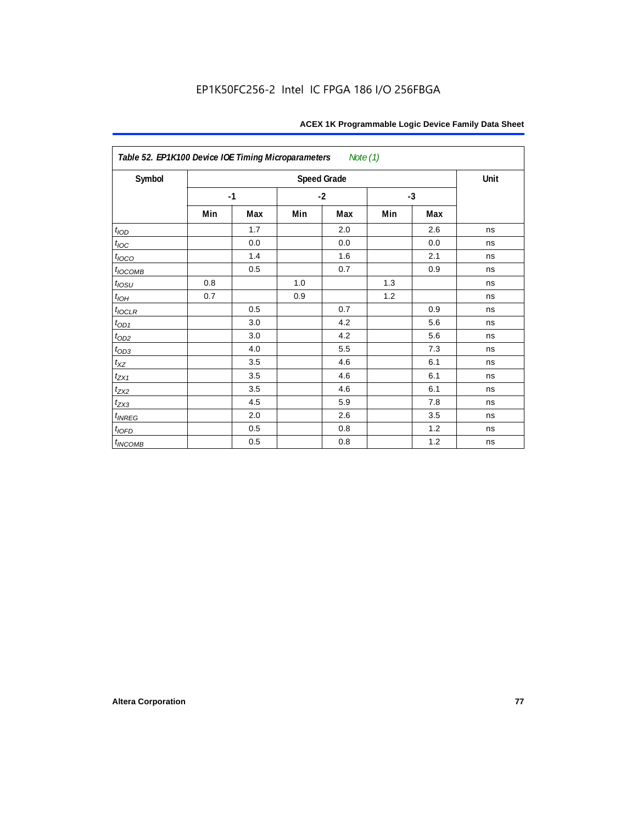| Table 52. EP1K100 Device IOE Timing Microparameters<br>Note (1) |      |     |      |                    |      |     |      |  |  |  |
|-----------------------------------------------------------------|------|-----|------|--------------------|------|-----|------|--|--|--|
| Symbol                                                          |      |     |      | <b>Speed Grade</b> |      |     | Unit |  |  |  |
|                                                                 | $-1$ |     | $-2$ |                    | $-3$ |     |      |  |  |  |
|                                                                 | Min  | Max | Min  | Max                | Min  | Max |      |  |  |  |
| t <sub>IOD</sub>                                                |      | 1.7 |      | 2.0                |      | 2.6 | ns   |  |  |  |
| $t_{\text{loc}}$                                                |      | 0.0 |      | 0.0                |      | 0.0 | ns   |  |  |  |
| $t_{IOCO}$                                                      |      | 1.4 |      | 1.6                |      | 2.1 | ns   |  |  |  |
| $t_{IOCOMB}$                                                    |      | 0.5 |      | 0.7                |      | 0.9 | ns   |  |  |  |
| $t_{IOSU}$                                                      | 0.8  |     | 1.0  |                    | 1.3  |     | ns   |  |  |  |
| $t_{IOH}$                                                       | 0.7  |     | 0.9  |                    | 1.2  |     | ns   |  |  |  |
| $t_{IOCLR}$                                                     |      | 0.5 |      | 0.7                |      | 0.9 | ns   |  |  |  |
| $t_{OD1}$                                                       |      | 3.0 |      | 4.2                |      | 5.6 | ns   |  |  |  |
| $t_{OD2}$                                                       |      | 3.0 |      | 4.2                |      | 5.6 | ns   |  |  |  |
| $t_{OD3}$                                                       |      | 4.0 |      | 5.5                |      | 7.3 | ns   |  |  |  |
| $t_{XZ}$                                                        |      | 3.5 |      | 4.6                |      | 6.1 | ns   |  |  |  |
| $t_{ZX1}$                                                       |      | 3.5 |      | 4.6                |      | 6.1 | ns   |  |  |  |
| $t_{ZX2}$                                                       |      | 3.5 |      | 4.6                |      | 6.1 | ns   |  |  |  |
| $t_{ZX3}$                                                       |      | 4.5 |      | 5.9                |      | 7.8 | ns   |  |  |  |
| $t_{INREG}$                                                     |      | 2.0 |      | 2.6                |      | 3.5 | ns   |  |  |  |
| $t_{IOFD}$                                                      |      | 0.5 |      | 0.8                |      | 1.2 | ns   |  |  |  |
| $t_{INCOMB}$                                                    |      | 0.5 |      | 0.8                |      | 1.2 | ns   |  |  |  |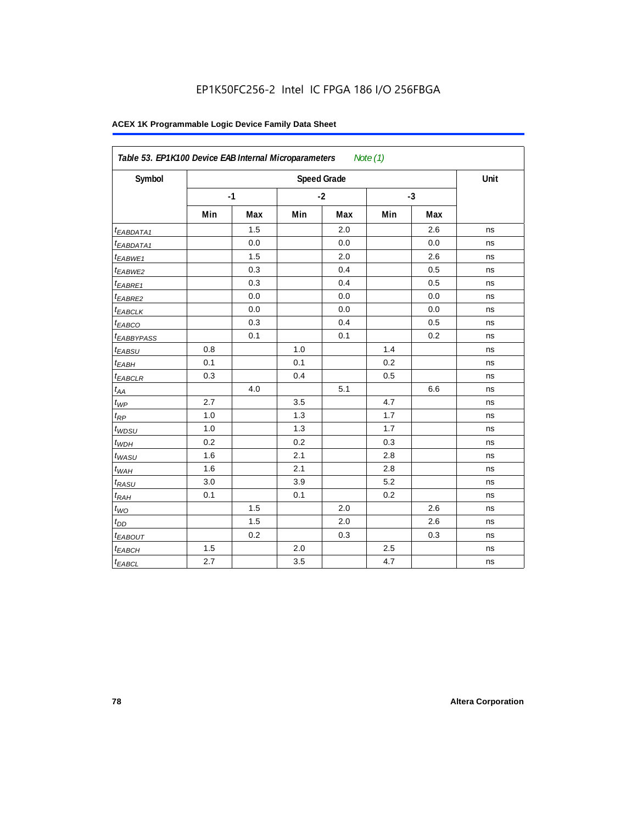| Symbol                 |     |      |     | <b>Speed Grade</b> |     |      | Unit |
|------------------------|-----|------|-----|--------------------|-----|------|------|
|                        |     | $-1$ |     | $-2$               |     | $-3$ |      |
|                        | Min | Max  | Min | Max                | Min | Max  |      |
| <sup>t</sup> EABDATA1  |     | 1.5  |     | 2.0                |     | 2.6  | ns   |
| <sup>t</sup> EABDATA1  |     | 0.0  |     | 0.0                |     | 0.0  | ns   |
| t <sub>EABWE1</sub>    |     | 1.5  |     | 2.0                |     | 2.6  | ns   |
| t <sub>EABWE2</sub>    |     | 0.3  |     | 0.4                |     | 0.5  | ns   |
| <sup>t</sup> EABRE1    |     | 0.3  |     | 0.4                |     | 0.5  | ns   |
| t <sub>EABRE2</sub>    |     | 0.0  |     | 0.0                |     | 0.0  | ns   |
| t <sub>EABCLK</sub>    |     | 0.0  |     | 0.0                |     | 0.0  | ns   |
| $t_{EABCO}$            |     | 0.3  |     | 0.4                |     | 0.5  | ns   |
| <sup>t</sup> EABBYPASS |     | 0.1  |     | 0.1                |     | 0.2  | ns   |
| t <sub>EABSU</sub>     | 0.8 |      | 1.0 |                    | 1.4 |      | ns   |
| t <sub>EABH</sub>      | 0.1 |      | 0.1 |                    | 0.2 |      | ns   |
| $t_{EABCLR}$           | 0.3 |      | 0.4 |                    | 0.5 |      | ns   |
| $t_{AA}$               |     | 4.0  |     | 5.1                |     | 6.6  | ns   |
| $t_{\mathit{WP}}$      | 2.7 |      | 3.5 |                    | 4.7 |      | ns   |
| $t_{RP}$               | 1.0 |      | 1.3 |                    | 1.7 |      | ns   |
| $t_{WDSU}$             | 1.0 |      | 1.3 |                    | 1.7 |      | ns   |
| $t_{WDH}$              | 0.2 |      | 0.2 |                    | 0.3 |      | ns   |
| $t_{WASU}$             | 1.6 |      | 2.1 |                    | 2.8 |      | ns   |
| $t_{WAH}$              | 1.6 |      | 2.1 |                    | 2.8 |      | ns   |
| $t_{RASU}$             | 3.0 |      | 3.9 |                    | 5.2 |      | ns   |
| $t_{RAH}$              | 0.1 |      | 0.1 |                    | 0.2 |      | ns   |
| $t_{WO}$               |     | 1.5  |     | 2.0                |     | 2.6  | ns   |
| $t_{DD}$               |     | 1.5  |     | 2.0                |     | 2.6  | ns   |
| <b><i>EABOUT</i></b>   |     | 0.2  |     | 0.3                |     | 0.3  | ns   |
| $t_{EABCH}$            | 1.5 |      | 2.0 |                    | 2.5 |      | ns   |
| $t_{EABCL}$            | 2.7 |      | 3.5 |                    | 4.7 |      | ns   |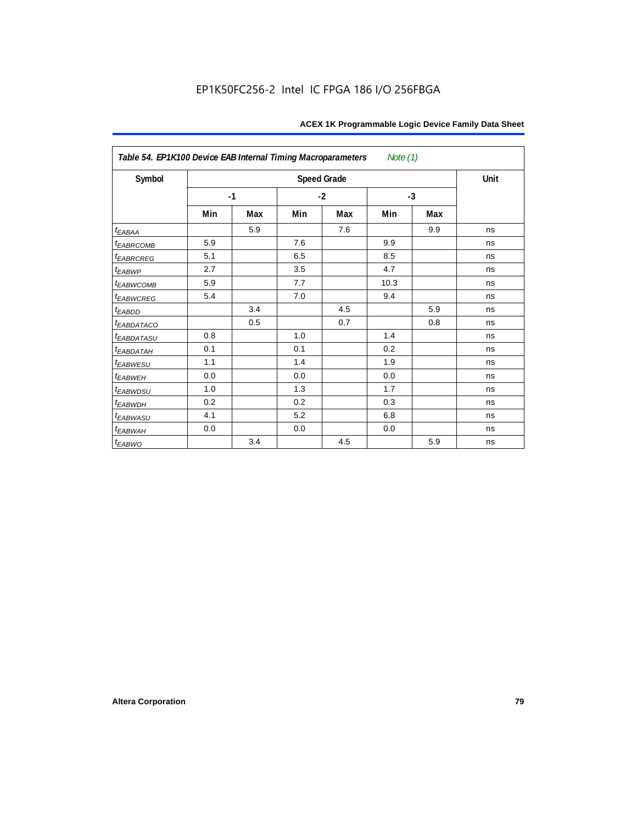| Table 54. EP1K100 Device EAB Internal Timing Macroparameters<br>Note $(1)$ |     |      |     |                    |      |      |      |  |  |  |
|----------------------------------------------------------------------------|-----|------|-----|--------------------|------|------|------|--|--|--|
| Symbol                                                                     |     |      |     | <b>Speed Grade</b> |      |      | Unit |  |  |  |
|                                                                            |     | $-1$ |     | $-2$               |      | $-3$ |      |  |  |  |
|                                                                            | Min | Max  | Min | Max                | Min  | Max  |      |  |  |  |
| $t_{EABA}$                                                                 |     | 5.9  |     | 7.6                |      | 9.9  | ns   |  |  |  |
| <sup>t</sup> EABRCOMB                                                      | 5.9 |      | 7.6 |                    | 9.9  |      | ns   |  |  |  |
| <i>EABRCREG</i>                                                            | 5.1 |      | 6.5 |                    | 8.5  |      | ns   |  |  |  |
| $t_{EABWP}$                                                                | 2.7 |      | 3.5 |                    | 4.7  |      | ns   |  |  |  |
| <sup>t</sup> ЕАВWСОМВ                                                      | 5.9 |      | 7.7 |                    | 10.3 |      | ns   |  |  |  |
| t <sub>EABWCREG</sub>                                                      | 5.4 |      | 7.0 |                    | 9.4  |      | ns   |  |  |  |
| $t_{EABDD}$                                                                |     | 3.4  |     | 4.5                |      | 5.9  | ns   |  |  |  |
| <i>EABDATACO</i>                                                           |     | 0.5  |     | 0.7                |      | 0.8  | ns   |  |  |  |
| t <sub>eabdatasu</sub>                                                     | 0.8 |      | 1.0 |                    | 1.4  |      | ns   |  |  |  |
| <sup>t</sup> EABDATAH                                                      | 0.1 |      | 0.1 |                    | 0.2  |      | ns   |  |  |  |
| t <sub>EABWESU</sub>                                                       | 1.1 |      | 1.4 |                    | 1.9  |      | ns   |  |  |  |
| t <sub>EABWEH</sub>                                                        | 0.0 |      | 0.0 |                    | 0.0  |      | ns   |  |  |  |
| t <sub>EABWDSU</sub>                                                       | 1.0 |      | 1.3 |                    | 1.7  |      | ns   |  |  |  |
| <sup>t</sup> EABWDH                                                        | 0.2 |      | 0.2 |                    | 0.3  |      | ns   |  |  |  |
| <sup>t</sup> EABWASU                                                       | 4.1 |      | 5.2 |                    | 6.8  |      | ns   |  |  |  |
| t <sub>EABWAH</sub>                                                        | 0.0 |      | 0.0 |                    | 0.0  |      | ns   |  |  |  |
| $t_{EABWO}$                                                                |     | 3.4  |     | 4.5                |      | 5.9  | ns   |  |  |  |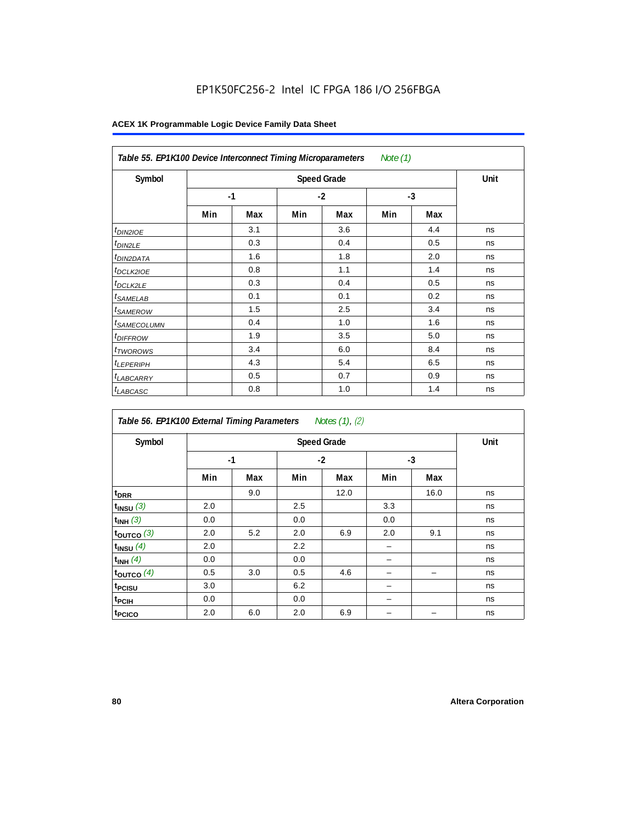| Table 55. EP1K100 Device Interconnect Timing Microparameters<br>Note (1) |      |                    |      |     |      |     |    |  |  |  |
|--------------------------------------------------------------------------|------|--------------------|------|-----|------|-----|----|--|--|--|
| Symbol                                                                   |      | <b>Speed Grade</b> |      |     |      |     |    |  |  |  |
|                                                                          | $-1$ |                    | $-2$ |     | $-3$ |     |    |  |  |  |
|                                                                          | Min  | Max                | Min  | Max | Min  | Max |    |  |  |  |
| <i>t<sub>DIN2IOE</sub></i>                                               |      | 3.1                |      | 3.6 |      | 4.4 | ns |  |  |  |
| <sup>t</sup> DIN2LE                                                      |      | 0.3                |      | 0.4 |      | 0.5 | ns |  |  |  |
| <sup>t</sup> DIN2DATA                                                    |      | 1.6                |      | 1.8 |      | 2.0 | ns |  |  |  |
| <sup>t</sup> DCLK2IOE                                                    |      | 0.8                |      | 1.1 |      | 1.4 | ns |  |  |  |
| <sup>t</sup> DCLK2LE                                                     |      | 0.3                |      | 0.4 |      | 0.5 | ns |  |  |  |
| <sup>t</sup> SAMELAB                                                     |      | 0.1                |      | 0.1 |      | 0.2 | ns |  |  |  |
| <sup>t</sup> SAMEROW                                                     |      | 1.5                |      | 2.5 |      | 3.4 | ns |  |  |  |
| <sup>t</sup> SAMECOLUMN                                                  |      | 0.4                |      | 1.0 |      | 1.6 | ns |  |  |  |
| <i>t<sub>DIFFROW</sub></i>                                               |      | 1.9                |      | 3.5 |      | 5.0 | ns |  |  |  |
| <sup>t</sup> TWOROWS                                                     |      | 3.4                |      | 6.0 |      | 8.4 | ns |  |  |  |
| <sup>t</sup> LEPERIPH                                                    |      | 4.3                |      | 5.4 |      | 6.5 | ns |  |  |  |
| <sup>t</sup> LABCARRY                                                    |      | 0.5                |      | 0.7 |      | 0.9 | ns |  |  |  |
| <sup>t</sup> LABCASC                                                     |      | 0.8                |      | 1.0 |      | 1.4 | ns |  |  |  |

| Table 56. EP1K100 External Timing Parameters Notes (1), (2) |     |      |     |                    |      |      |      |  |  |  |  |
|-------------------------------------------------------------|-----|------|-----|--------------------|------|------|------|--|--|--|--|
| Symbol                                                      |     |      |     | <b>Speed Grade</b> |      |      | Unit |  |  |  |  |
|                                                             |     | $-1$ |     | $-2$               | $-3$ |      |      |  |  |  |  |
|                                                             | Min | Max  | Min | Max                | Min  | Max  |      |  |  |  |  |
| t <sub>DRR</sub>                                            |     | 9.0  |     | 12.0               |      | 16.0 | ns   |  |  |  |  |
| $t_{INSU}$ (3)                                              | 2.0 |      | 2.5 |                    | 3.3  |      | ns   |  |  |  |  |
| $t_{INH}$ (3)                                               | 0.0 |      | 0.0 |                    | 0.0  |      | ns   |  |  |  |  |
| $t_{OUTCO}$ (3)                                             | 2.0 | 5.2  | 2.0 | 6.9                | 2.0  | 9.1  | ns   |  |  |  |  |
| $t_{INSU}$ (4)                                              | 2.0 |      | 2.2 |                    |      |      | ns   |  |  |  |  |
| $t_{INH}$ (4)                                               | 0.0 |      | 0.0 |                    |      |      | ns   |  |  |  |  |
| toutco $(4)$                                                | 0.5 | 3.0  | 0.5 | 4.6                |      |      | ns   |  |  |  |  |
| t <sub>PCISU</sub>                                          | 3.0 |      | 6.2 |                    |      |      | ns   |  |  |  |  |
| t <sub>PCIH</sub>                                           | 0.0 |      | 0.0 |                    | -    |      | ns   |  |  |  |  |
| t <sub>PCICO</sub>                                          | 2.0 | 6.0  | 2.0 | 6.9                |      |      | ns   |  |  |  |  |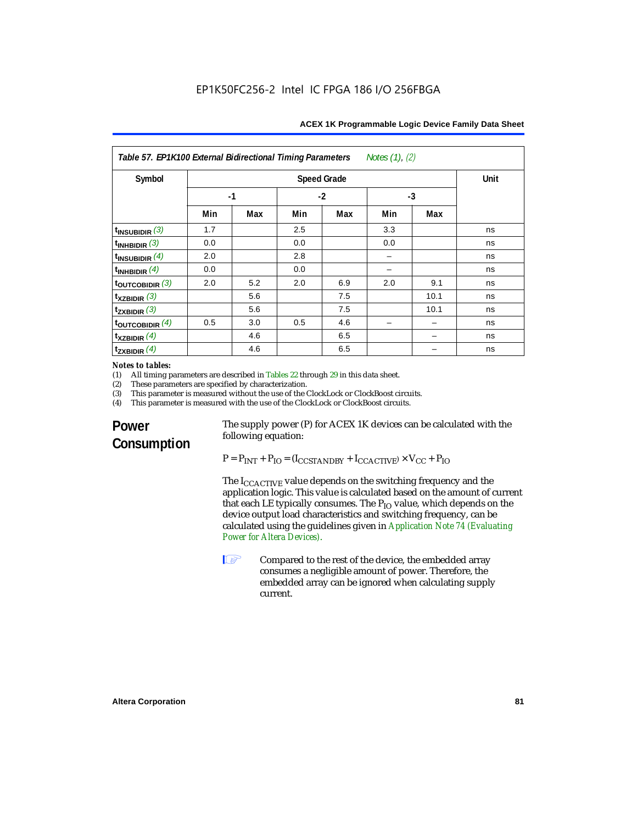| Notes $(1)$ , $(2)$<br>Table 57. EP1K100 External Bidirectional Timing Parameters |                    |     |      |     |      |      |    |
|-----------------------------------------------------------------------------------|--------------------|-----|------|-----|------|------|----|
| Symbol                                                                            | <b>Speed Grade</b> |     |      |     |      | Unit |    |
|                                                                                   | $-1$               |     | $-2$ |     | $-3$ |      |    |
|                                                                                   | Min                | Max | Min  | Max | Min  | Max  |    |
| $t_{INSUBIDIR}$ (3)                                                               | 1.7                |     | 2.5  |     | 3.3  |      | ns |
| $t_{INHBIDIR}$ (3)                                                                | 0.0                |     | 0.0  |     | 0.0  |      | ns |
| $t_{INSUBIDIR}$ (4)                                                               | 2.0                |     | 2.8  |     |      |      | ns |
| $t_{INHBIDIR}$ (4)                                                                | 0.0                |     | 0.0  |     |      |      | ns |
| $t_{\text{OUTCOBIDIR}}(3)$                                                        | 2.0                | 5.2 | 2.0  | 6.9 | 2.0  | 9.1  | ns |
| $\mathsf{t}_{\mathsf{XZBIDIR}}$ (3)                                               |                    | 5.6 |      | 7.5 |      | 10.1 | ns |
| $t_{ZXBIDIR}$ (3)                                                                 |                    | 5.6 |      | 7.5 |      | 10.1 | ns |
| $t_{\text{OUTC}OBIDIR}$ (4)                                                       | 0.5                | 3.0 | 0.5  | 4.6 |      |      | ns |
| $t_{XZBIDIR}$ (4)                                                                 |                    | 4.6 |      | 6.5 |      |      | ns |
| $t_{ZXBIDIR}$ (4)                                                                 |                    | 4.6 |      | 6.5 |      |      | ns |

## *Notes to tables:*<br>(1) All timing p

(1) All timing parameters are described in Tables 22 through  $29$  in this data sheet.<br>(2) These parameters are specified by characterization.

(2) These parameters are specified by characterization.<br>(3) This parameter is measured without the use of the C

(3) This parameter is measured without the use of the ClockLock or ClockBoost circuits.<br>(4) This parameter is measured with the use of the ClockLock or ClockBoost circuits.

This parameter is measured with the use of the ClockLock or ClockBoost circuits.

## **Power Consumption**

The supply power (P) for ACEX 1K devices can be calculated with the following equation:

 $P = P_{INT} + P_{IO} = (I_{CCSTANDBY} + I_{CCACTIVE}) \times V_{CC} + P_{IO}$ 

The I<sub>CCACTIVE</sub> value depends on the switching frequency and the application logic. This value is calculated based on the amount of current that each LE typically consumes. The  $P_{IO}$  value, which depends on the device output load characteristics and switching frequency, can be calculated using the guidelines given in *Application Note 74 (Evaluating Power for Altera Devices)*.

**1 Compared to the rest of the device, the embedded array** consumes a negligible amount of power. Therefore, the embedded array can be ignored when calculating supply current.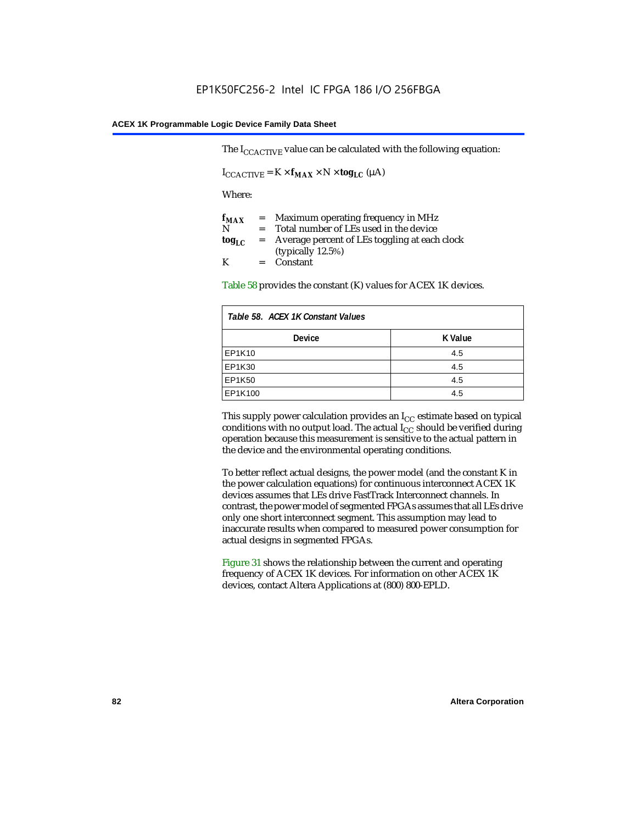The  $I_{CCACTIVE}$  value can be calculated with the following equation:

 $I_{\text{CCACTIVE}} = K \times f_{\text{MAX}} \times N \times \text{tog}_{\text{LC}} (\mu A)$ 

Where:

| $f_{MAX}$  | $=$     | Maximum operating frequency in MHz            |
|------------|---------|-----------------------------------------------|
| N          | $=$ $-$ | Total number of LEs used in the device        |
| $log_{LC}$ | $=$     | Average percent of LEs toggling at each clock |
|            |         | (typically $12.5\%$ )                         |
| K          |         | $=$ Constant                                  |

Table 58 provides the constant (K) values for ACEX 1K devices.

| Table 58. ACEX 1K Constant Values |         |  |
|-----------------------------------|---------|--|
| <b>Device</b>                     | K Value |  |
| EP1K10                            | 4.5     |  |
| EP1K30                            | 4.5     |  |
| EP1K50                            | 4.5     |  |
| EP1K100                           | 4.5     |  |

This supply power calculation provides an  $I_{CC}$  estimate based on typical conditions with no output load. The actual  $I_{CC}$  should be verified during operation because this measurement is sensitive to the actual pattern in the device and the environmental operating conditions.

To better reflect actual designs, the power model (and the constant K in the power calculation equations) for continuous interconnect ACEX 1K devices assumes that LEs drive FastTrack Interconnect channels. In contrast, the power model of segmented FPGAs assumes that all LEs drive only one short interconnect segment. This assumption may lead to inaccurate results when compared to measured power consumption for actual designs in segmented FPGAs.

Figure 31 shows the relationship between the current and operating frequency of ACEX 1K devices. For information on other ACEX 1K devices, contact Altera Applications at (800) 800-EPLD.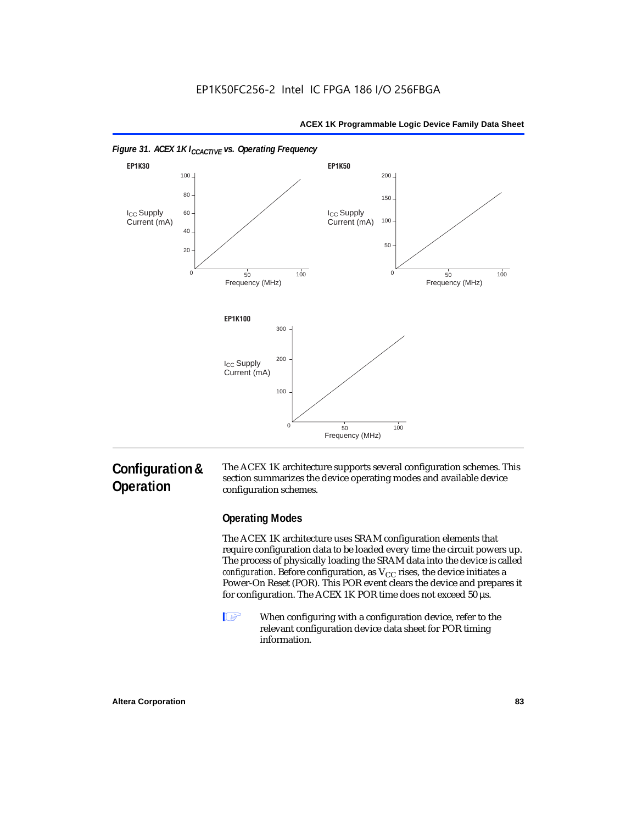



#### *Figure 31. ACEX 1K I<sub>CCACTIVE</sub> vs. Operating Frequency*

## **Configuration & Operation**

The ACEX 1K architecture supports several configuration schemes. This section summarizes the device operating modes and available device configuration schemes.

#### **Operating Modes**

The ACEX 1K architecture uses SRAM configuration elements that require configuration data to be loaded every time the circuit powers up. The process of physically loading the SRAM data into the device is called *configuration*. Before configuration, as  $V_{CC}$  rises, the device initiates a Power-On Reset (POR). This POR event clears the device and prepares it for configuration. The ACEX 1K POR time does not exceed 50 µs.

**1** When configuring with a configuration device, refer to the relevant configuration device data sheet for POR timing information.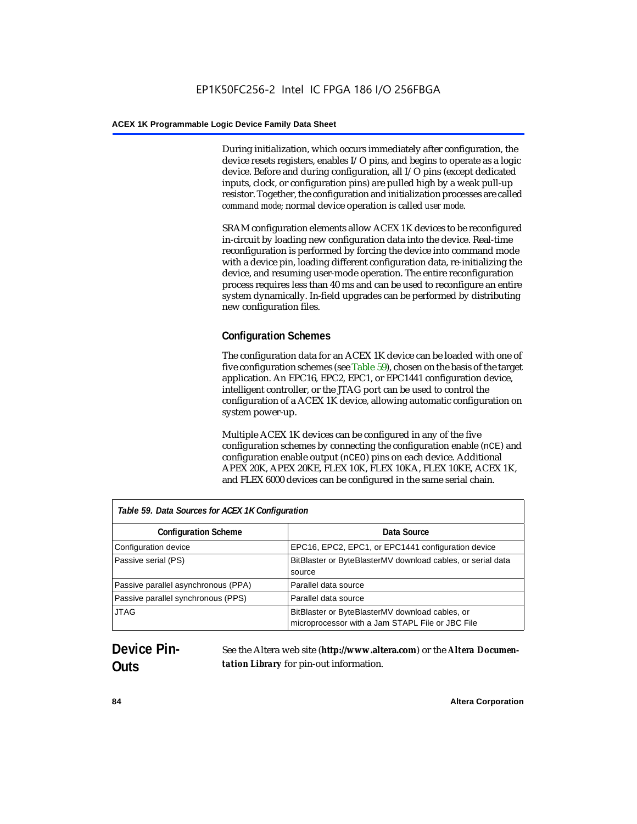During initialization, which occurs immediately after configuration, the device resets registers, enables I/O pins, and begins to operate as a logic device. Before and during configuration, all I/O pins (except dedicated inputs, clock, or configuration pins) are pulled high by a weak pull-up resistor. Together, the configuration and initialization processes are called *command mode*; normal device operation is called *user mode*.

SRAM configuration elements allow ACEX 1K devices to be reconfigured in-circuit by loading new configuration data into the device. Real-time reconfiguration is performed by forcing the device into command mode with a device pin, loading different configuration data, re-initializing the device, and resuming user-mode operation. The entire reconfiguration process requires less than 40 ms and can be used to reconfigure an entire system dynamically. In-field upgrades can be performed by distributing new configuration files.

## **Configuration Schemes**

The configuration data for an ACEX 1K device can be loaded with one of five configuration schemes (see Table 59), chosen on the basis of the target application. An EPC16, EPC2, EPC1, or EPC1441 configuration device, intelligent controller, or the JTAG port can be used to control the configuration of a ACEX 1K device, allowing automatic configuration on system power-up.

Multiple ACEX 1K devices can be configured in any of the five configuration schemes by connecting the configuration enable (nCE) and configuration enable output (nCEO) pins on each device. Additional APEX 20K, APEX 20KE, FLEX 10K, FLEX 10KA, FLEX 10KE, ACEX 1K, and FLEX 6000 devices can be configured in the same serial chain.

| Table 59. Data Sources for ACEX 1K Configuration |                                                                                                     |  |
|--------------------------------------------------|-----------------------------------------------------------------------------------------------------|--|
| <b>Configuration Scheme</b>                      | Data Source                                                                                         |  |
| Configuration device                             | EPC16, EPC2, EPC1, or EPC1441 configuration device                                                  |  |
| Passive serial (PS)                              | BitBlaster or ByteBlasterMV download cables, or serial data<br>source                               |  |
| Passive parallel asynchronous (PPA)              | Parallel data source                                                                                |  |
| Passive parallel synchronous (PPS)               | Parallel data source                                                                                |  |
| <b>JTAG</b>                                      | BitBlaster or ByteBlasterMV download cables, or<br>microprocessor with a Jam STAPL File or JBC File |  |

## **Device Pin-Outs**

See the Altera web site (**http://www.altera.com**) or the *Altera Documentation Library* for pin-out information.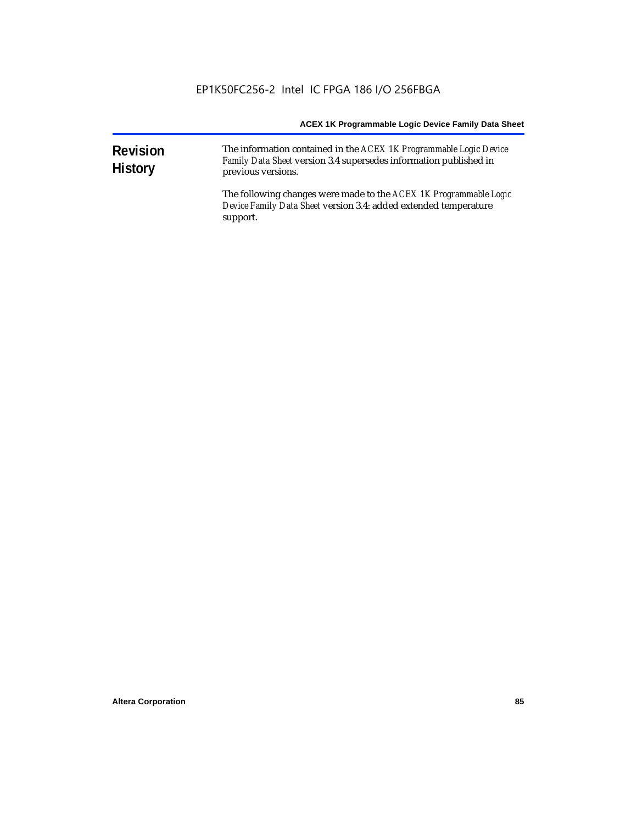| <b>Revision</b><br><b>History</b> | The information contained in the ACEX 1K Programmable Logic Device<br>Family Data Sheet version 3.4 supersedes information published in<br>previous versions. |  |  |
|-----------------------------------|---------------------------------------------------------------------------------------------------------------------------------------------------------------|--|--|
|                                   | The following changes were made to the ACEX 1K Programmable Logic<br>Device Family Data Sheet version 3.4: added extended temperature<br>support.             |  |  |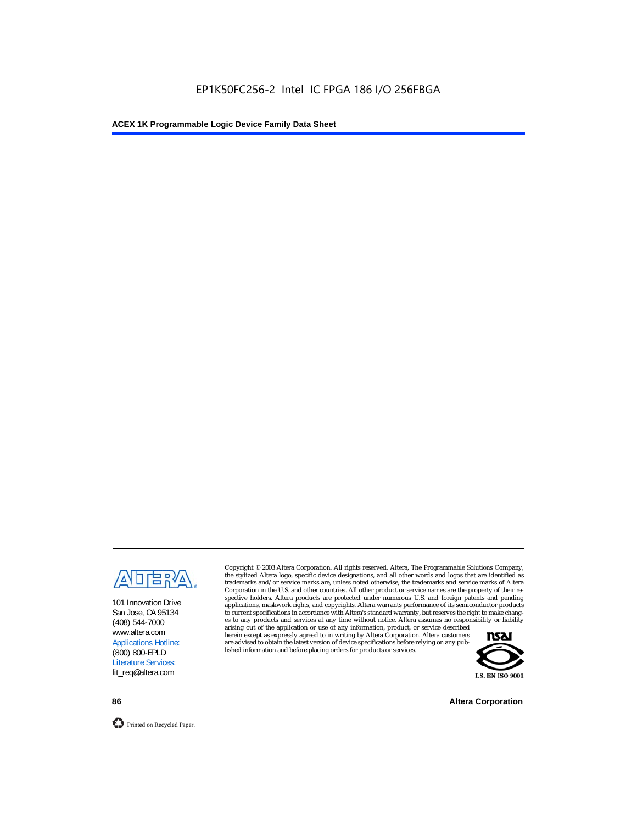

101 Innovation Drive San Jose, CA 95134 (408) 544-7000 www.altera.com Applications Hotline: (800) 800-EPLD Literature Services: lit\_req@altera.com

Copyright © 2003 Altera Corporation. All rights reserved. Altera, The Programmable Solutions Company, the stylized Altera logo, specific device designations, and all other words and logos that are identified as trademarks and/or service marks are, unless noted otherwise, the trademarks and service marks of Altera Corporation in the U.S. and other countries. All other product or service names are the property of their respective holders. Altera products are protected under numerous U.S. and foreign patents and pending applications, maskwork rights, and copyrights. Altera warrants performance of its semiconductor products to current specifications in accordance with Altera's standard warranty, but reserves the right to make changes to any products and services at any time without notice. Altera assumes no responsibility or liability

arising out of the application or use of any information, product, or service described herein except as expressly agreed to in writing by Altera Corporation. Altera customers are advised to obtain the latest version of device specifications before relying on any published information and before placing orders for products or services.



**86 Altera Corporation**